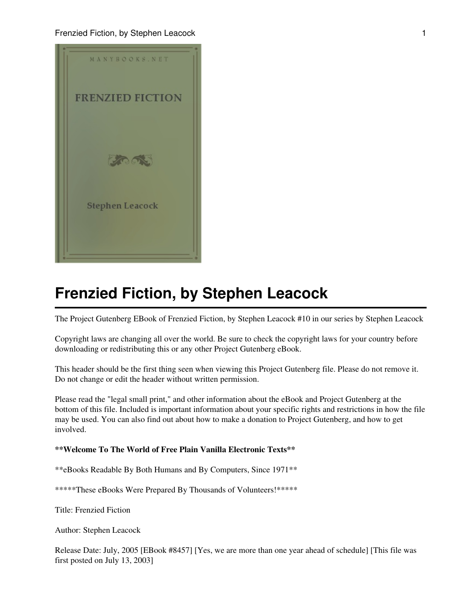

The Project Gutenberg EBook of Frenzied Fiction, by Stephen Leacock #10 in our series by Stephen Leacock

Copyright laws are changing all over the world. Be sure to check the copyright laws for your country before downloading or redistributing this or any other Project Gutenberg eBook.

This header should be the first thing seen when viewing this Project Gutenberg file. Please do not remove it. Do not change or edit the header without written permission.

Please read the "legal small print," and other information about the eBook and Project Gutenberg at the bottom of this file. Included is important information about your specific rights and restrictions in how the file may be used. You can also find out about how to make a donation to Project Gutenberg, and how to get involved.

#### **\*\*Welcome To The World of Free Plain Vanilla Electronic Texts\*\***

\*\*eBooks Readable By Both Humans and By Computers, Since 1971\*\*

\*\*\*\*\*These eBooks Were Prepared By Thousands of Volunteers!\*\*\*\*\*

Title: Frenzied Fiction

Author: Stephen Leacock

Release Date: July, 2005 [EBook #8457] [Yes, we are more than one year ahead of schedule] [This file was first posted on July 13, 2003]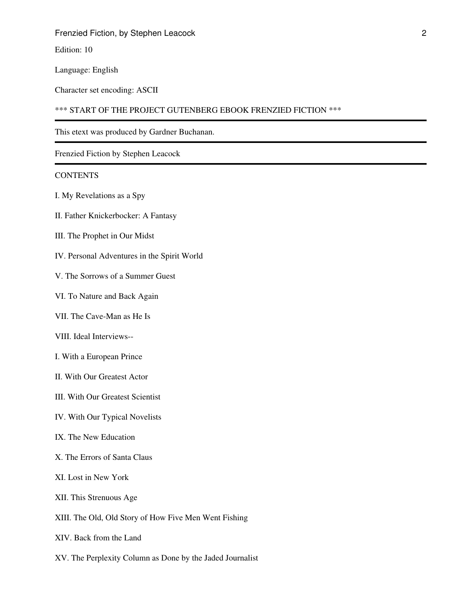Edition: 10

Language: English

Character set encoding: ASCII

\*\*\* START OF THE PROJECT GUTENBERG EBOOK FRENZIED FICTION \*\*\*

This etext was produced by Gardner Buchanan.

Frenzied Fiction by Stephen Leacock

#### **CONTENTS**

- I. My Revelations as a Spy
- II. Father Knickerbocker: A Fantasy
- III. The Prophet in Our Midst
- IV. Personal Adventures in the Spirit World
- V. The Sorrows of a Summer Guest
- VI. To Nature and Back Again
- VII. The Cave-Man as He Is
- VIII. Ideal Interviews--
- I. With a European Prince
- II. With Our Greatest Actor
- III. With Our Greatest Scientist
- IV. With Our Typical Novelists
- IX. The New Education
- X. The Errors of Santa Claus
- XI. Lost in New York
- XII. This Strenuous Age
- XIII. The Old, Old Story of How Five Men Went Fishing
- XIV. Back from the Land
- XV. The Perplexity Column as Done by the Jaded Journalist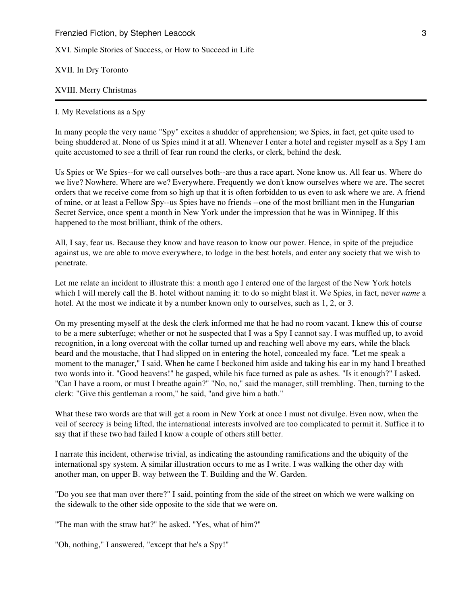XVI. Simple Stories of Success, or How to Succeed in Life

XVII. In Dry Toronto

#### XVIII. Merry Christmas

#### I. My Revelations as a Spy

In many people the very name "Spy" excites a shudder of apprehension; we Spies, in fact, get quite used to being shuddered at. None of us Spies mind it at all. Whenever I enter a hotel and register myself as a Spy I am quite accustomed to see a thrill of fear run round the clerks, or clerk, behind the desk.

Us Spies or We Spies--for we call ourselves both--are thus a race apart. None know us. All fear us. Where do we live? Nowhere. Where are we? Everywhere. Frequently we don't know ourselves where we are. The secret orders that we receive come from so high up that it is often forbidden to us even to ask where we are. A friend of mine, or at least a Fellow Spy--us Spies have no friends --one of the most brilliant men in the Hungarian Secret Service, once spent a month in New York under the impression that he was in Winnipeg. If this happened to the most brilliant, think of the others.

All, I say, fear us. Because they know and have reason to know our power. Hence, in spite of the prejudice against us, we are able to move everywhere, to lodge in the best hotels, and enter any society that we wish to penetrate.

Let me relate an incident to illustrate this: a month ago I entered one of the largest of the New York hotels which I will merely call the B. hotel without naming it: to do so might blast it. We Spies, in fact, never *name* a hotel. At the most we indicate it by a number known only to ourselves, such as 1, 2, or 3.

On my presenting myself at the desk the clerk informed me that he had no room vacant. I knew this of course to be a mere subterfuge; whether or not he suspected that I was a Spy I cannot say. I was muffled up, to avoid recognition, in a long overcoat with the collar turned up and reaching well above my ears, while the black beard and the moustache, that I had slipped on in entering the hotel, concealed my face. "Let me speak a moment to the manager," I said. When he came I beckoned him aside and taking his ear in my hand I breathed two words into it. "Good heavens!" he gasped, while his face turned as pale as ashes. "Is it enough?" I asked. "Can I have a room, or must I breathe again?" "No, no," said the manager, still trembling. Then, turning to the clerk: "Give this gentleman a room," he said, "and give him a bath."

What these two words are that will get a room in New York at once I must not divulge. Even now, when the veil of secrecy is being lifted, the international interests involved are too complicated to permit it. Suffice it to say that if these two had failed I know a couple of others still better.

I narrate this incident, otherwise trivial, as indicating the astounding ramifications and the ubiquity of the international spy system. A similar illustration occurs to me as I write. I was walking the other day with another man, on upper B. way between the T. Building and the W. Garden.

"Do you see that man over there?" I said, pointing from the side of the street on which we were walking on the sidewalk to the other side opposite to the side that we were on.

"The man with the straw hat?" he asked. "Yes, what of him?"

"Oh, nothing," I answered, "except that he's a Spy!"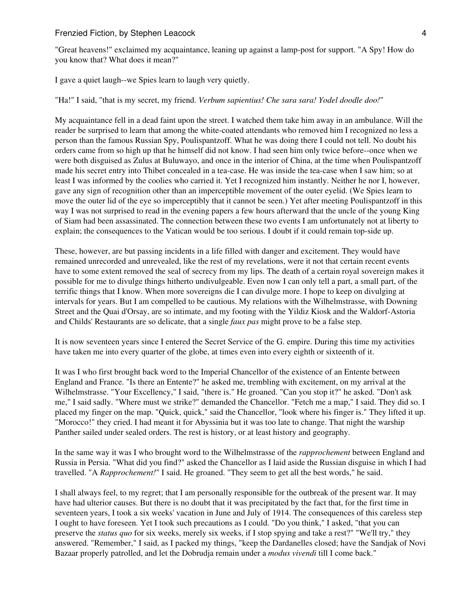"Great heavens!" exclaimed my acquaintance, leaning up against a lamp-post for support. "A Spy! How do you know that? What does it mean?"

I gave a quiet laugh--we Spies learn to laugh very quietly.

"Ha!" I said, "that is my secret, my friend. *Verbum sapientius! Che sara sara! Yodel doodle doo!*"

My acquaintance fell in a dead faint upon the street. I watched them take him away in an ambulance. Will the reader be surprised to learn that among the white-coated attendants who removed him I recognized no less a person than the famous Russian Spy, Poulispantzoff. What he was doing there I could not tell. No doubt his orders came from so high up that he himself did not know. I had seen him only twice before--once when we were both disguised as Zulus at Buluwayo, and once in the interior of China, at the time when Poulispantzoff made his secret entry into Thibet concealed in a tea-case. He was inside the tea-case when I saw him; so at least I was informed by the coolies who carried it. Yet I recognized him instantly. Neither he nor I, however, gave any sign of recognition other than an imperceptible movement of the outer eyelid. (We Spies learn to move the outer lid of the eye so imperceptibly that it cannot be seen.) Yet after meeting Poulispantzoff in this way I was not surprised to read in the evening papers a few hours afterward that the uncle of the young King of Siam had been assassinated. The connection between these two events I am unfortunately not at liberty to explain; the consequences to the Vatican would be too serious. I doubt if it could remain top-side up.

These, however, are but passing incidents in a life filled with danger and excitement. They would have remained unrecorded and unrevealed, like the rest of my revelations, were it not that certain recent events have to some extent removed the seal of secrecy from my lips. The death of a certain royal sovereign makes it possible for me to divulge things hitherto undivulgeable. Even now I can only tell a part, a small part, of the terrific things that I know. When more sovereigns die I can divulge more. I hope to keep on divulging at intervals for years. But I am compelled to be cautious. My relations with the Wilhelmstrasse, with Downing Street and the Quai d'Orsay, are so intimate, and my footing with the Yildiz Kiosk and the Waldorf-Astoria and Childs' Restaurants are so delicate, that a single *faux pas* might prove to be a false step.

It is now seventeen years since I entered the Secret Service of the G. empire. During this time my activities have taken me into every quarter of the globe, at times even into every eighth or sixteenth of it.

It was I who first brought back word to the Imperial Chancellor of the existence of an Entente between England and France. "Is there an Entente?" he asked me, trembling with excitement, on my arrival at the Wilhelmstrasse. "Your Excellency," I said, "there is." He groaned. "Can you stop it?" he asked. "Don't ask me," I said sadly. "Where must we strike?" demanded the Chancellor. "Fetch me a map," I said. They did so. I placed my finger on the map. "Quick, quick," said the Chancellor, "look where his finger is." They lifted it up. "Morocco!" they cried. I had meant it for Abyssinia but it was too late to change. That night the warship Panther sailed under sealed orders. The rest is history, or at least history and geography.

In the same way it was I who brought word to the Wilhelmstrasse of the *rapprochement* between England and Russia in Persia. "What did you find?" asked the Chancellor as I laid aside the Russian disguise in which I had travelled. "A *Rapprochement!*" I said. He groaned. "They seem to get all the best words," he said.

I shall always feel, to my regret; that I am personally responsible for the outbreak of the present war. It may have had ulterior causes. But there is no doubt that it was precipitated by the fact that, for the first time in seventeen years, I took a six weeks' vacation in June and July of 1914. The consequences of this careless step I ought to have foreseen. Yet I took such precautions as I could. "Do you think," I asked, "that you can preserve the *status quo* for six weeks, merely six weeks, if I stop spying and take a rest?" "We'll try," they answered. "Remember," I said, as I packed my things, "keep the Dardanelles closed; have the Sandjak of Novi Bazaar properly patrolled, and let the Dobrudja remain under a *modus vivendi* till I come back."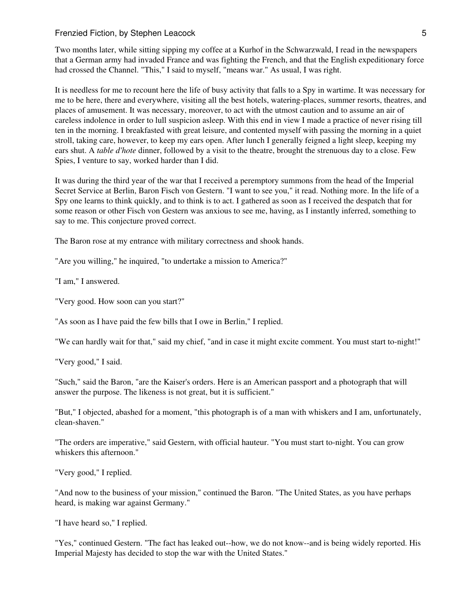Two months later, while sitting sipping my coffee at a Kurhof in the Schwarzwald, I read in the newspapers that a German army had invaded France and was fighting the French, and that the English expeditionary force had crossed the Channel. "This," I said to myself, "means war." As usual, I was right.

It is needless for me to recount here the life of busy activity that falls to a Spy in wartime. It was necessary for me to be here, there and everywhere, visiting all the best hotels, watering-places, summer resorts, theatres, and places of amusement. It was necessary, moreover, to act with the utmost caution and to assume an air of careless indolence in order to lull suspicion asleep. With this end in view I made a practice of never rising till ten in the morning. I breakfasted with great leisure, and contented myself with passing the morning in a quiet stroll, taking care, however, to keep my ears open. After lunch I generally feigned a light sleep, keeping my ears shut. A *table d'hote* dinner, followed by a visit to the theatre, brought the strenuous day to a close. Few Spies, I venture to say, worked harder than I did.

It was during the third year of the war that I received a peremptory summons from the head of the Imperial Secret Service at Berlin, Baron Fisch von Gestern. "I want to see you," it read. Nothing more. In the life of a Spy one learns to think quickly, and to think is to act. I gathered as soon as I received the despatch that for some reason or other Fisch von Gestern was anxious to see me, having, as I instantly inferred, something to say to me. This conjecture proved correct.

The Baron rose at my entrance with military correctness and shook hands.

"Are you willing," he inquired, "to undertake a mission to America?"

"I am," I answered.

"Very good. How soon can you start?"

"As soon as I have paid the few bills that I owe in Berlin," I replied.

"We can hardly wait for that," said my chief, "and in case it might excite comment. You must start to-night!"

"Very good," I said.

"Such," said the Baron, "are the Kaiser's orders. Here is an American passport and a photograph that will answer the purpose. The likeness is not great, but it is sufficient."

"But," I objected, abashed for a moment, "this photograph is of a man with whiskers and I am, unfortunately, clean-shaven."

"The orders are imperative," said Gestern, with official hauteur. "You must start to-night. You can grow whiskers this afternoon."

"Very good," I replied.

"And now to the business of your mission," continued the Baron. "The United States, as you have perhaps heard, is making war against Germany."

"I have heard so," I replied.

"Yes," continued Gestern. "The fact has leaked out--how, we do not know--and is being widely reported. His Imperial Majesty has decided to stop the war with the United States."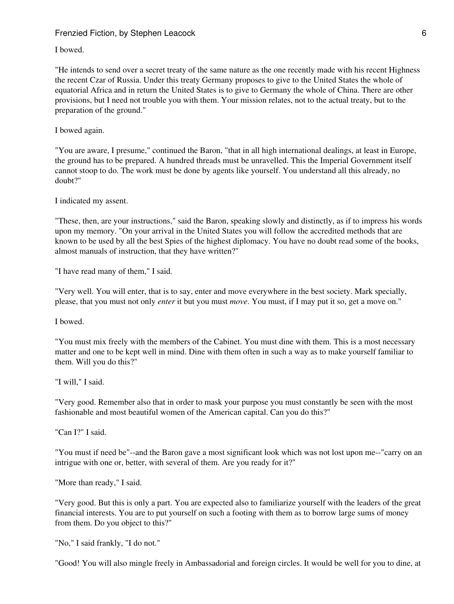#### I bowed.

"He intends to send over a secret treaty of the same nature as the one recently made with his recent Highness the recent Czar of Russia. Under this treaty Germany proposes to give to the United States the whole of equatorial Africa and in return the United States is to give to Germany the whole of China. There are other provisions, but I need not trouble you with them. Your mission relates, not to the actual treaty, but to the preparation of the ground."

#### I bowed again.

"You are aware, I presume," continued the Baron, "that in all high international dealings, at least in Europe, the ground has to be prepared. A hundred threads must be unravelled. This the Imperial Government itself cannot stoop to do. The work must be done by agents like yourself. You understand all this already, no doubt?"

#### I indicated my assent.

"These, then, are your instructions," said the Baron, speaking slowly and distinctly, as if to impress his words upon my memory. "On your arrival in the United States you will follow the accredited methods that are known to be used by all the best Spies of the highest diplomacy. You have no doubt read some of the books, almost manuals of instruction, that they have written?"

"I have read many of them," I said.

"Very well. You will enter, that is to say, enter and move everywhere in the best society. Mark specially, please, that you must not only *enter* it but you must *move*. You must, if I may put it so, get a move on."

I bowed.

"You must mix freely with the members of the Cabinet. You must dine with them. This is a most necessary matter and one to be kept well in mind. Dine with them often in such a way as to make yourself familiar to them. Will you do this?"

"I will," I said.

"Very good. Remember also that in order to mask your purpose you must constantly be seen with the most fashionable and most beautiful women of the American capital. Can you do this?"

"Can I?" I said.

"You must if need be"--and the Baron gave a most significant look which was not lost upon me--"carry on an intrigue with one or, better, with several of them. Are you ready for it?"

"More than ready," I said.

"Very good. But this is only a part. You are expected also to familiarize yourself with the leaders of the great financial interests. You are to put yourself on such a footing with them as to borrow large sums of money from them. Do you object to this?"

"No," I said frankly, "I do not."

"Good! You will also mingle freely in Ambassadorial and foreign circles. It would be well for you to dine, at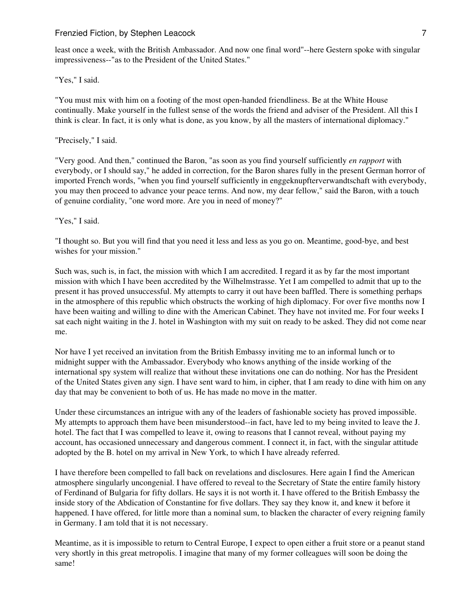least once a week, with the British Ambassador. And now one final word"--here Gestern spoke with singular impressiveness--"as to the President of the United States."

"Yes," I said.

"You must mix with him on a footing of the most open-handed friendliness. Be at the White House continually. Make yourself in the fullest sense of the words the friend and adviser of the President. All this I think is clear. In fact, it is only what is done, as you know, by all the masters of international diplomacy."

## "Precisely," I said.

"Very good. And then," continued the Baron, "as soon as you find yourself sufficiently *en rapport* with everybody, or I should say," he added in correction, for the Baron shares fully in the present German horror of imported French words, "when you find yourself sufficiently in enggeknupfterverwandtschaft with everybody, you may then proceed to advance your peace terms. And now, my dear fellow," said the Baron, with a touch of genuine cordiality, "one word more. Are you in need of money?"

"Yes," I said.

"I thought so. But you will find that you need it less and less as you go on. Meantime, good-bye, and best wishes for your mission."

Such was, such is, in fact, the mission with which I am accredited. I regard it as by far the most important mission with which I have been accredited by the Wilhelmstrasse. Yet I am compelled to admit that up to the present it has proved unsuccessful. My attempts to carry it out have been baffled. There is something perhaps in the atmosphere of this republic which obstructs the working of high diplomacy. For over five months now I have been waiting and willing to dine with the American Cabinet. They have not invited me. For four weeks I sat each night waiting in the J. hotel in Washington with my suit on ready to be asked. They did not come near me.

Nor have I yet received an invitation from the British Embassy inviting me to an informal lunch or to midnight supper with the Ambassador. Everybody who knows anything of the inside working of the international spy system will realize that without these invitations one can do nothing. Nor has the President of the United States given any sign. I have sent ward to him, in cipher, that I am ready to dine with him on any day that may be convenient to both of us. He has made no move in the matter.

Under these circumstances an intrigue with any of the leaders of fashionable society has proved impossible. My attempts to approach them have been misunderstood--in fact, have led to my being invited to leave the J. hotel. The fact that I was compelled to leave it, owing to reasons that I cannot reveal, without paying my account, has occasioned unnecessary and dangerous comment. I connect it, in fact, with the singular attitude adopted by the B. hotel on my arrival in New York, to which I have already referred.

I have therefore been compelled to fall back on revelations and disclosures. Here again I find the American atmosphere singularly uncongenial. I have offered to reveal to the Secretary of State the entire family history of Ferdinand of Bulgaria for fifty dollars. He says it is not worth it. I have offered to the British Embassy the inside story of the Abdication of Constantine for five dollars. They say they know it, and knew it before it happened. I have offered, for little more than a nominal sum, to blacken the character of every reigning family in Germany. I am told that it is not necessary.

Meantime, as it is impossible to return to Central Europe, I expect to open either a fruit store or a peanut stand very shortly in this great metropolis. I imagine that many of my former colleagues will soon be doing the same!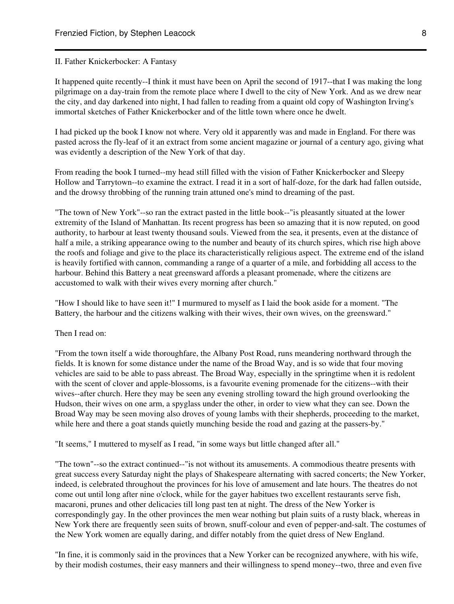#### II. Father Knickerbocker: A Fantasy

It happened quite recently--I think it must have been on April the second of 1917--that I was making the long pilgrimage on a day-train from the remote place where I dwell to the city of New York. And as we drew near the city, and day darkened into night, I had fallen to reading from a quaint old copy of Washington Irving's immortal sketches of Father Knickerbocker and of the little town where once he dwelt.

I had picked up the book I know not where. Very old it apparently was and made in England. For there was pasted across the fly-leaf of it an extract from some ancient magazine or journal of a century ago, giving what was evidently a description of the New York of that day.

From reading the book I turned--my head still filled with the vision of Father Knickerbocker and Sleepy Hollow and Tarrytown--to examine the extract. I read it in a sort of half-doze, for the dark had fallen outside, and the drowsy throbbing of the running train attuned one's mind to dreaming of the past.

"The town of New York"--so ran the extract pasted in the little book--"is pleasantly situated at the lower extremity of the Island of Manhattan. Its recent progress has been so amazing that it is now reputed, on good authority, to harbour at least twenty thousand souls. Viewed from the sea, it presents, even at the distance of half a mile, a striking appearance owing to the number and beauty of its church spires, which rise high above the roofs and foliage and give to the place its characteristically religious aspect. The extreme end of the island is heavily fortified with cannon, commanding a range of a quarter of a mile, and forbidding all access to the harbour. Behind this Battery a neat greensward affords a pleasant promenade, where the citizens are accustomed to walk with their wives every morning after church."

"How I should like to have seen it!" I murmured to myself as I laid the book aside for a moment. "The Battery, the harbour and the citizens walking with their wives, their own wives, on the greensward."

#### Then I read on:

"From the town itself a wide thoroughfare, the Albany Post Road, runs meandering northward through the fields. It is known for some distance under the name of the Broad Way, and is so wide that four moving vehicles are said to be able to pass abreast. The Broad Way, especially in the springtime when it is redolent with the scent of clover and apple-blossoms, is a favourite evening promenade for the citizens--with their wives--after church. Here they may be seen any evening strolling toward the high ground overlooking the Hudson, their wives on one arm, a spyglass under the other, in order to view what they can see. Down the Broad Way may be seen moving also droves of young lambs with their shepherds, proceeding to the market, while here and there a goat stands quietly munching beside the road and gazing at the passers-by."

"It seems," I muttered to myself as I read, "in some ways but little changed after all."

"The town"--so the extract continued--"is not without its amusements. A commodious theatre presents with great success every Saturday night the plays of Shakespeare alternating with sacred concerts; the New Yorker, indeed, is celebrated throughout the provinces for his love of amusement and late hours. The theatres do not come out until long after nine o'clock, while for the gayer habitues two excellent restaurants serve fish, macaroni, prunes and other delicacies till long past ten at night. The dress of the New Yorker is correspondingly gay. In the other provinces the men wear nothing but plain suits of a rusty black, whereas in New York there are frequently seen suits of brown, snuff-colour and even of pepper-and-salt. The costumes of the New York women are equally daring, and differ notably from the quiet dress of New England.

"In fine, it is commonly said in the provinces that a New Yorker can be recognized anywhere, with his wife, by their modish costumes, their easy manners and their willingness to spend money--two, three and even five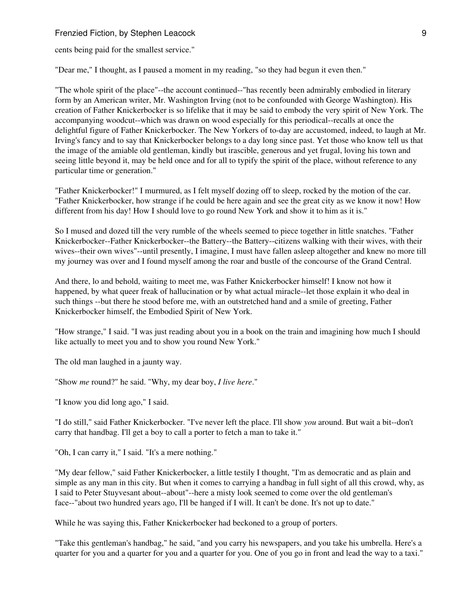cents being paid for the smallest service."

"Dear me," I thought, as I paused a moment in my reading, "so they had begun it even then."

"The whole spirit of the place"--the account continued--"has recently been admirably embodied in literary form by an American writer, Mr. Washington Irving (not to be confounded with George Washington). His creation of Father Knickerbocker is so lifelike that it may be said to embody the very spirit of New York. The accompanying woodcut--which was drawn on wood especially for this periodical--recalls at once the delightful figure of Father Knickerbocker. The New Yorkers of to-day are accustomed, indeed, to laugh at Mr. Irving's fancy and to say that Knickerbocker belongs to a day long since past. Yet those who know tell us that the image of the amiable old gentleman, kindly but irascible, generous and yet frugal, loving his town and seeing little beyond it, may be held once and for all to typify the spirit of the place, without reference to any particular time or generation."

"Father Knickerbocker!" I murmured, as I felt myself dozing off to sleep, rocked by the motion of the car. "Father Knickerbocker, how strange if he could be here again and see the great city as we know it now! How different from his day! How I should love to go round New York and show it to him as it is."

So I mused and dozed till the very rumble of the wheels seemed to piece together in little snatches. "Father Knickerbocker--Father Knickerbocker--the Battery--the Battery--citizens walking with their wives, with their wives--their own wives"--until presently, I imagine, I must have fallen asleep altogether and knew no more till my journey was over and I found myself among the roar and bustle of the concourse of the Grand Central.

And there, lo and behold, waiting to meet me, was Father Knickerbocker himself! I know not how it happened, by what queer freak of hallucination or by what actual miracle--let those explain it who deal in such things --but there he stood before me, with an outstretched hand and a smile of greeting, Father Knickerbocker himself, the Embodied Spirit of New York.

"How strange," I said. "I was just reading about you in a book on the train and imagining how much I should like actually to meet you and to show you round New York."

The old man laughed in a jaunty way.

"Show *me* round?" he said. "Why, my dear boy, *I live here*."

"I know you did long ago," I said.

"I do still," said Father Knickerbocker. "I've never left the place. I'll show *you* around. But wait a bit--don't carry that handbag. I'll get a boy to call a porter to fetch a man to take it."

"Oh, I can carry it," I said. "It's a mere nothing."

"My dear fellow," said Father Knickerbocker, a little testily I thought, "I'm as democratic and as plain and simple as any man in this city. But when it comes to carrying a handbag in full sight of all this crowd, why, as I said to Peter Stuyvesant about--about"--here a misty look seemed to come over the old gentleman's face--"about two hundred years ago, I'll be hanged if I will. It can't be done. It's not up to date."

While he was saying this, Father Knickerbocker had beckoned to a group of porters.

"Take this gentleman's handbag," he said, "and you carry his newspapers, and you take his umbrella. Here's a quarter for you and a quarter for you and a quarter for you. One of you go in front and lead the way to a taxi."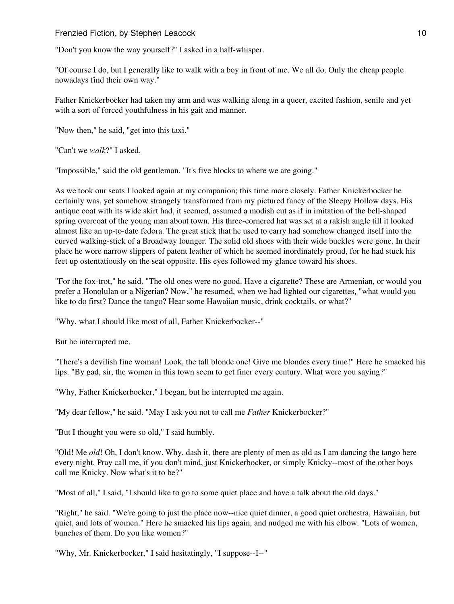"Don't you know the way yourself?" I asked in a half-whisper.

"Of course I do, but I generally like to walk with a boy in front of me. We all do. Only the cheap people nowadays find their own way."

Father Knickerbocker had taken my arm and was walking along in a queer, excited fashion, senile and yet with a sort of forced youthfulness in his gait and manner.

"Now then," he said, "get into this taxi."

"Can't we *walk*?" I asked.

"Impossible," said the old gentleman. "It's five blocks to where we are going."

As we took our seats I looked again at my companion; this time more closely. Father Knickerbocker he certainly was, yet somehow strangely transformed from my pictured fancy of the Sleepy Hollow days. His antique coat with its wide skirt had, it seemed, assumed a modish cut as if in imitation of the bell-shaped spring overcoat of the young man about town. His three-cornered hat was set at a rakish angle till it looked almost like an up-to-date fedora. The great stick that he used to carry had somehow changed itself into the curved walking-stick of a Broadway lounger. The solid old shoes with their wide buckles were gone. In their place he wore narrow slippers of patent leather of which he seemed inordinately proud, for he had stuck his feet up ostentatiously on the seat opposite. His eyes followed my glance toward his shoes.

"For the fox-trot," he said. "The old ones were no good. Have a cigarette? These are Armenian, or would you prefer a Honolulan or a Nigerian? Now," he resumed, when we had lighted our cigarettes, "what would you like to do first? Dance the tango? Hear some Hawaiian music, drink cocktails, or what?"

"Why, what I should like most of all, Father Knickerbocker--"

But he interrupted me.

"There's a devilish fine woman! Look, the tall blonde one! Give me blondes every time!" Here he smacked his lips. "By gad, sir, the women in this town seem to get finer every century. What were you saying?"

"Why, Father Knickerbocker," I began, but he interrupted me again.

"My dear fellow," he said. "May I ask you not to call me *Father* Knickerbocker?"

"But I thought you were so old," I said humbly.

"Old! Me *old*! Oh, I don't know. Why, dash it, there are plenty of men as old as I am dancing the tango here every night. Pray call me, if you don't mind, just Knickerbocker, or simply Knicky--most of the other boys call me Knicky. Now what's it to be?"

"Most of all," I said, "I should like to go to some quiet place and have a talk about the old days."

"Right," he said. "We're going to just the place now--nice quiet dinner, a good quiet orchestra, Hawaiian, but quiet, and lots of women." Here he smacked his lips again, and nudged me with his elbow. "Lots of women, bunches of them. Do you like women?"

"Why, Mr. Knickerbocker," I said hesitatingly, "I suppose--I--"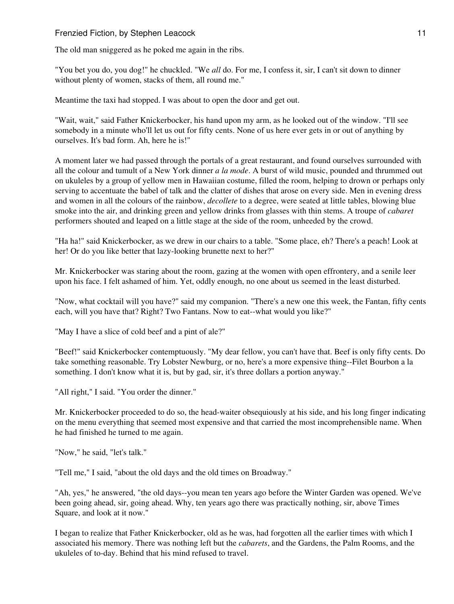The old man sniggered as he poked me again in the ribs.

"You bet you do, you dog!" he chuckled. "We *all* do. For me, I confess it, sir, I can't sit down to dinner without plenty of women, stacks of them, all round me."

Meantime the taxi had stopped. I was about to open the door and get out.

"Wait, wait," said Father Knickerbocker, his hand upon my arm, as he looked out of the window. "I'll see somebody in a minute who'll let us out for fifty cents. None of us here ever gets in or out of anything by ourselves. It's bad form. Ah, here he is!"

A moment later we had passed through the portals of a great restaurant, and found ourselves surrounded with all the colour and tumult of a New York dinner *a la mode*. A burst of wild music, pounded and thrummed out on ukuleles by a group of yellow men in Hawaiian costume, filled the room, helping to drown or perhaps only serving to accentuate the babel of talk and the clatter of dishes that arose on every side. Men in evening dress and women in all the colours of the rainbow, *decollete* to a degree, were seated at little tables, blowing blue smoke into the air, and drinking green and yellow drinks from glasses with thin stems. A troupe of *cabaret* performers shouted and leaped on a little stage at the side of the room, unheeded by the crowd.

"Ha ha!" said Knickerbocker, as we drew in our chairs to a table. "Some place, eh? There's a peach! Look at her! Or do you like better that lazy-looking brunette next to her?"

Mr. Knickerbocker was staring about the room, gazing at the women with open effrontery, and a senile leer upon his face. I felt ashamed of him. Yet, oddly enough, no one about us seemed in the least disturbed.

"Now, what cocktail will you have?" said my companion. "There's a new one this week, the Fantan, fifty cents each, will you have that? Right? Two Fantans. Now to eat--what would you like?"

"May I have a slice of cold beef and a pint of ale?"

"Beef!" said Knickerbocker contemptuously. "My dear fellow, you can't have that. Beef is only fifty cents. Do take something reasonable. Try Lobster Newburg, or no, here's a more expensive thing--Filet Bourbon a la something. I don't know what it is, but by gad, sir, it's three dollars a portion anyway."

"All right," I said. "You order the dinner."

Mr. Knickerbocker proceeded to do so, the head-waiter obsequiously at his side, and his long finger indicating on the menu everything that seemed most expensive and that carried the most incomprehensible name. When he had finished he turned to me again.

"Now," he said, "let's talk."

"Tell me," I said, "about the old days and the old times on Broadway."

"Ah, yes," he answered, "the old days--you mean ten years ago before the Winter Garden was opened. We've been going ahead, sir, going ahead. Why, ten years ago there was practically nothing, sir, above Times Square, and look at it now."

I began to realize that Father Knickerbocker, old as he was, had forgotten all the earlier times with which I associated his memory. There was nothing left but the *cabarets*, and the Gardens, the Palm Rooms, and the ukuleles of to-day. Behind that his mind refused to travel.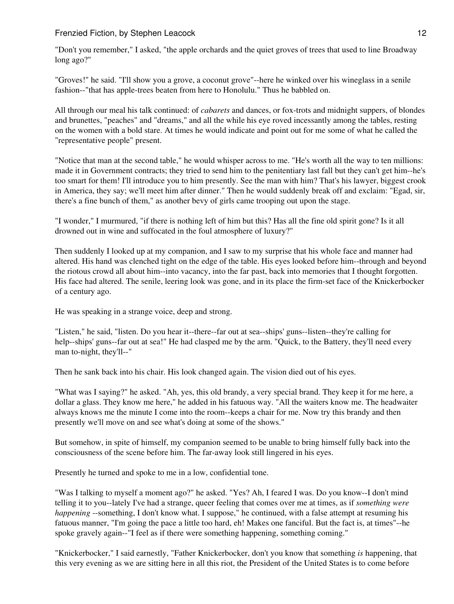"Don't you remember," I asked, "the apple orchards and the quiet groves of trees that used to line Broadway long ago?"

"Groves!" he said. "I'll show you a grove, a coconut grove"--here he winked over his wineglass in a senile fashion--"that has apple-trees beaten from here to Honolulu." Thus he babbled on.

All through our meal his talk continued: of *cabarets* and dances, or fox-trots and midnight suppers, of blondes and brunettes, "peaches" and "dreams," and all the while his eye roved incessantly among the tables, resting on the women with a bold stare. At times he would indicate and point out for me some of what he called the "representative people" present.

"Notice that man at the second table," he would whisper across to me. "He's worth all the way to ten millions: made it in Government contracts; they tried to send him to the penitentiary last fall but they can't get him--he's too smart for them! I'll introduce you to him presently. See the man with him? That's his lawyer, biggest crook in America, they say; we'll meet him after dinner." Then he would suddenly break off and exclaim: "Egad, sir, there's a fine bunch of them," as another bevy of girls came trooping out upon the stage.

"I wonder," I murmured, "if there is nothing left of him but this? Has all the fine old spirit gone? Is it all drowned out in wine and suffocated in the foul atmosphere of luxury?"

Then suddenly I looked up at my companion, and I saw to my surprise that his whole face and manner had altered. His hand was clenched tight on the edge of the table. His eyes looked before him--through and beyond the riotous crowd all about him--into vacancy, into the far past, back into memories that I thought forgotten. His face had altered. The senile, leering look was gone, and in its place the firm-set face of the Knickerbocker of a century ago.

He was speaking in a strange voice, deep and strong.

"Listen," he said, "listen. Do you hear it--there--far out at sea--ships' guns--listen--they're calling for help--ships' guns--far out at sea!" He had clasped me by the arm. "Ouick, to the Battery, they'll need every man to-night, they'll--"

Then he sank back into his chair. His look changed again. The vision died out of his eyes.

"What was I saying?" he asked. "Ah, yes, this old brandy, a very special brand. They keep it for me here, a dollar a glass. They know me here," he added in his fatuous way. "All the waiters know me. The headwaiter always knows me the minute I come into the room--keeps a chair for me. Now try this brandy and then presently we'll move on and see what's doing at some of the shows."

But somehow, in spite of himself, my companion seemed to be unable to bring himself fully back into the consciousness of the scene before him. The far-away look still lingered in his eyes.

Presently he turned and spoke to me in a low, confidential tone.

"Was I talking to myself a moment ago?" he asked. "Yes? Ah, I feared I was. Do you know--I don't mind telling it to you--lately I've had a strange, queer feeling that comes over me at times, as if *something were happening* --something, I don't know what. I suppose," he continued, with a false attempt at resuming his fatuous manner, "I'm going the pace a little too hard, eh! Makes one fanciful. But the fact is, at times"--he spoke gravely again--"I feel as if there were something happening, something coming."

"Knickerbocker," I said earnestly, "Father Knickerbocker, don't you know that something *is* happening, that this very evening as we are sitting here in all this riot, the President of the United States is to come before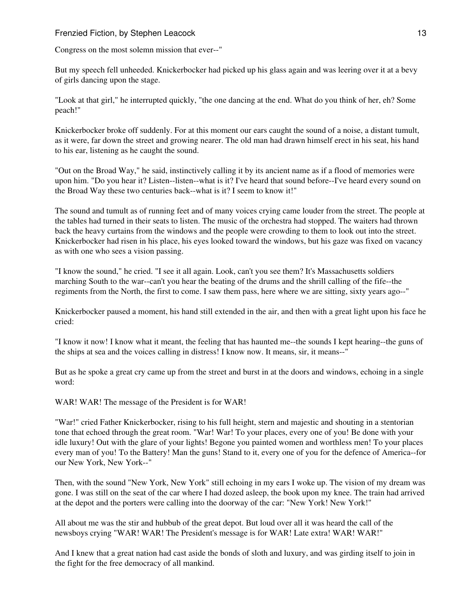Congress on the most solemn mission that ever--"

But my speech fell unheeded. Knickerbocker had picked up his glass again and was leering over it at a bevy of girls dancing upon the stage.

"Look at that girl," he interrupted quickly, "the one dancing at the end. What do you think of her, eh? Some peach!"

Knickerbocker broke off suddenly. For at this moment our ears caught the sound of a noise, a distant tumult, as it were, far down the street and growing nearer. The old man had drawn himself erect in his seat, his hand to his ear, listening as he caught the sound.

"Out on the Broad Way," he said, instinctively calling it by its ancient name as if a flood of memories were upon him. "Do you hear it? Listen--listen--what is it? I've heard that sound before--I've heard every sound on the Broad Way these two centuries back--what is it? I seem to know it!"

The sound and tumult as of running feet and of many voices crying came louder from the street. The people at the tables had turned in their seats to listen. The music of the orchestra had stopped. The waiters had thrown back the heavy curtains from the windows and the people were crowding to them to look out into the street. Knickerbocker had risen in his place, his eyes looked toward the windows, but his gaze was fixed on vacancy as with one who sees a vision passing.

"I know the sound," he cried. "I see it all again. Look, can't you see them? It's Massachusetts soldiers marching South to the war--can't you hear the beating of the drums and the shrill calling of the fife--the regiments from the North, the first to come. I saw them pass, here where we are sitting, sixty years ago--"

Knickerbocker paused a moment, his hand still extended in the air, and then with a great light upon his face he cried:

"I know it now! I know what it meant, the feeling that has haunted me--the sounds I kept hearing--the guns of the ships at sea and the voices calling in distress! I know now. It means, sir, it means--"

But as he spoke a great cry came up from the street and burst in at the doors and windows, echoing in a single word:

WAR! WAR! The message of the President is for WAR!

"War!" cried Father Knickerbocker, rising to his full height, stern and majestic and shouting in a stentorian tone that echoed through the great room. "War! War! To your places, every one of you! Be done with your idle luxury! Out with the glare of your lights! Begone you painted women and worthless men! To your places every man of you! To the Battery! Man the guns! Stand to it, every one of you for the defence of America--for our New York, New York--"

Then, with the sound "New York, New York" still echoing in my ears I woke up. The vision of my dream was gone. I was still on the seat of the car where I had dozed asleep, the book upon my knee. The train had arrived at the depot and the porters were calling into the doorway of the car: "New York! New York!"

All about me was the stir and hubbub of the great depot. But loud over all it was heard the call of the newsboys crying "WAR! WAR! The President's message is for WAR! Late extra! WAR! WAR!"

And I knew that a great nation had cast aside the bonds of sloth and luxury, and was girding itself to join in the fight for the free democracy of all mankind.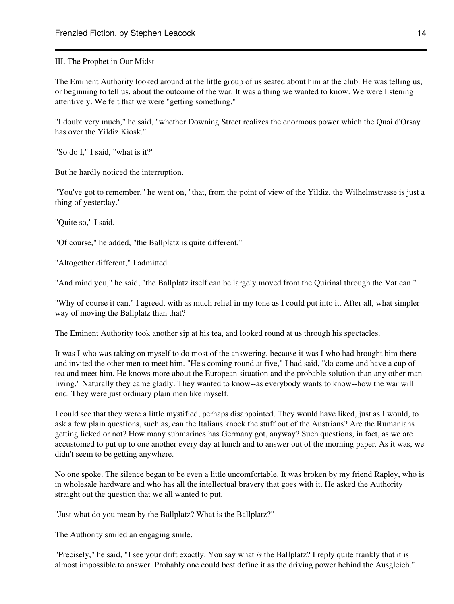III. The Prophet in Our Midst

The Eminent Authority looked around at the little group of us seated about him at the club. He was telling us, or beginning to tell us, about the outcome of the war. It was a thing we wanted to know. We were listening attentively. We felt that we were "getting something."

"I doubt very much," he said, "whether Downing Street realizes the enormous power which the Quai d'Orsay has over the Yildiz Kiosk."

"So do I," I said, "what is it?"

But he hardly noticed the interruption.

"You've got to remember," he went on, "that, from the point of view of the Yildiz, the Wilhelmstrasse is just a thing of yesterday."

"Quite so," I said.

"Of course," he added, "the Ballplatz is quite different."

"Altogether different," I admitted.

"And mind you," he said, "the Ballplatz itself can be largely moved from the Quirinal through the Vatican."

"Why of course it can," I agreed, with as much relief in my tone as I could put into it. After all, what simpler way of moving the Ballplatz than that?

The Eminent Authority took another sip at his tea, and looked round at us through his spectacles.

It was I who was taking on myself to do most of the answering, because it was I who had brought him there and invited the other men to meet him. "He's coming round at five," I had said, "do come and have a cup of tea and meet him. He knows more about the European situation and the probable solution than any other man living." Naturally they came gladly. They wanted to know--as everybody wants to know--how the war will end. They were just ordinary plain men like myself.

I could see that they were a little mystified, perhaps disappointed. They would have liked, just as I would, to ask a few plain questions, such as, can the Italians knock the stuff out of the Austrians? Are the Rumanians getting licked or not? How many submarines has Germany got, anyway? Such questions, in fact, as we are accustomed to put up to one another every day at lunch and to answer out of the morning paper. As it was, we didn't seem to be getting anywhere.

No one spoke. The silence began to be even a little uncomfortable. It was broken by my friend Rapley, who is in wholesale hardware and who has all the intellectual bravery that goes with it. He asked the Authority straight out the question that we all wanted to put.

"Just what do you mean by the Ballplatz? What is the Ballplatz?"

The Authority smiled an engaging smile.

"Precisely," he said, "I see your drift exactly. You say what *is* the Ballplatz? I reply quite frankly that it is almost impossible to answer. Probably one could best define it as the driving power behind the Ausgleich."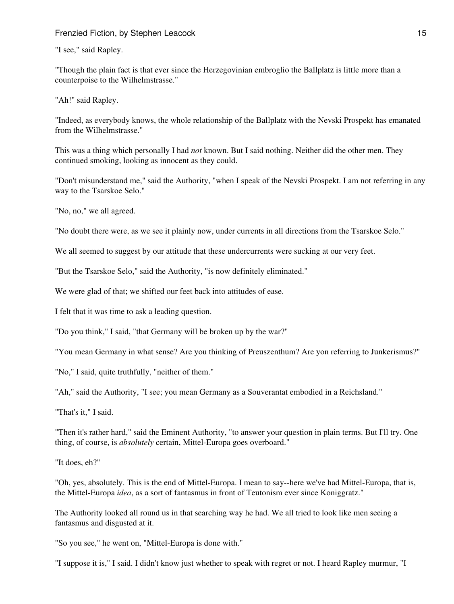"I see," said Rapley.

"Though the plain fact is that ever since the Herzegovinian embroglio the Ballplatz is little more than a counterpoise to the Wilhelmstrasse."

"Ah!" said Rapley.

"Indeed, as everybody knows, the whole relationship of the Ballplatz with the Nevski Prospekt has emanated from the Wilhelmstrasse."

This was a thing which personally I had *not* known. But I said nothing. Neither did the other men. They continued smoking, looking as innocent as they could.

"Don't misunderstand me," said the Authority, "when I speak of the Nevski Prospekt. I am not referring in any way to the Tsarskoe Selo."

"No, no," we all agreed.

"No doubt there were, as we see it plainly now, under currents in all directions from the Tsarskoe Selo."

We all seemed to suggest by our attitude that these undercurrents were sucking at our very feet.

"But the Tsarskoe Selo," said the Authority, "is now definitely eliminated."

We were glad of that; we shifted our feet back into attitudes of ease.

I felt that it was time to ask a leading question.

"Do you think," I said, "that Germany will be broken up by the war?"

"You mean Germany in what sense? Are you thinking of Preuszenthum? Are yon referring to Junkerismus?"

"No," I said, quite truthfully, "neither of them."

"Ah," said the Authority, "I see; you mean Germany as a Souverantat embodied in a Reichsland."

"That's it," I said.

"Then it's rather hard," said the Eminent Authority, "to answer your question in plain terms. But I'll try. One thing, of course, is *absolutely* certain, Mittel-Europa goes overboard."

"It does, eh?"

"Oh, yes, absolutely. This is the end of Mittel-Europa. I mean to say--here we've had Mittel-Europa, that is, the Mittel-Europa *idea*, as a sort of fantasmus in front of Teutonism ever since Koniggratz."

The Authority looked all round us in that searching way he had. We all tried to look like men seeing a fantasmus and disgusted at it.

"So you see," he went on, "Mittel-Europa is done with."

"I suppose it is," I said. I didn't know just whether to speak with regret or not. I heard Rapley murmur, "I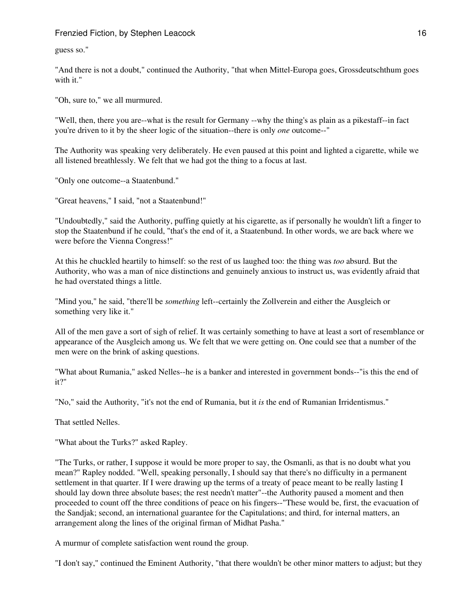guess so."

"And there is not a doubt," continued the Authority, "that when Mittel-Europa goes, Grossdeutschthum goes with it."

"Oh, sure to," we all murmured.

"Well, then, there you are--what is the result for Germany --why the thing's as plain as a pikestaff--in fact you're driven to it by the sheer logic of the situation--there is only *one* outcome--"

The Authority was speaking very deliberately. He even paused at this point and lighted a cigarette, while we all listened breathlessly. We felt that we had got the thing to a focus at last.

"Only one outcome--a Staatenbund."

"Great heavens," I said, "not a Staatenbund!"

"Undoubtedly," said the Authority, puffing quietly at his cigarette, as if personally he wouldn't lift a finger to stop the Staatenbund if he could, "that's the end of it, a Staatenbund. In other words, we are back where we were before the Vienna Congress!"

At this he chuckled heartily to himself: so the rest of us laughed too: the thing was *too* absurd. But the Authority, who was a man of nice distinctions and genuinely anxious to instruct us, was evidently afraid that he had overstated things a little.

"Mind you," he said, "there'll be *something* left--certainly the Zollverein and either the Ausgleich or something very like it."

All of the men gave a sort of sigh of relief. It was certainly something to have at least a sort of resemblance or appearance of the Ausgleich among us. We felt that we were getting on. One could see that a number of the men were on the brink of asking questions.

"What about Rumania," asked Nelles--he is a banker and interested in government bonds--"is this the end of it?"

"No," said the Authority, "it's not the end of Rumania, but it *is* the end of Rumanian Irridentismus."

That settled Nelles.

"What about the Turks?" asked Rapley.

"The Turks, or rather, I suppose it would be more proper to say, the Osmanli, as that is no doubt what you mean?" Rapley nodded. "Well, speaking personally, I should say that there's no difficulty in a permanent settlement in that quarter. If I were drawing up the terms of a treaty of peace meant to be really lasting I should lay down three absolute bases; the rest needn't matter"--the Authority paused a moment and then proceeded to count off the three conditions of peace on his fingers--"These would be, first, the evacuation of the Sandjak; second, an international guarantee for the Capitulations; and third, for internal matters, an arrangement along the lines of the original firman of Midhat Pasha."

A murmur of complete satisfaction went round the group.

"I don't say," continued the Eminent Authority, "that there wouldn't be other minor matters to adjust; but they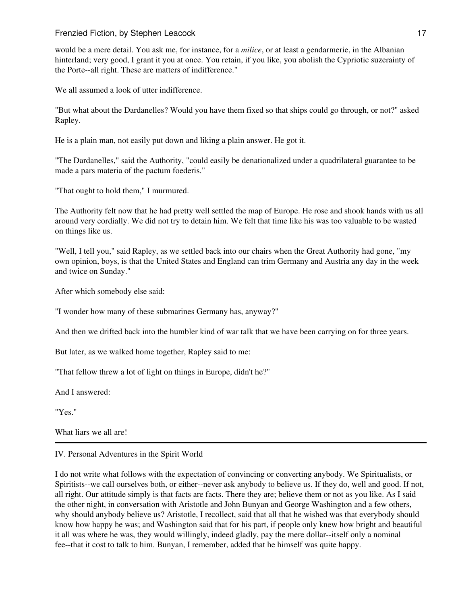would be a mere detail. You ask me, for instance, for a *milice*, or at least a gendarmerie, in the Albanian hinterland; very good, I grant it you at once. You retain, if you like, you abolish the Cypriotic suzerainty of the Porte--all right. These are matters of indifference."

We all assumed a look of utter indifference.

"But what about the Dardanelles? Would you have them fixed so that ships could go through, or not?" asked Rapley.

He is a plain man, not easily put down and liking a plain answer. He got it.

"The Dardanelles," said the Authority, "could easily be denationalized under a quadrilateral guarantee to be made a pars materia of the pactum foederis."

"That ought to hold them," I murmured.

The Authority felt now that he had pretty well settled the map of Europe. He rose and shook hands with us all around very cordially. We did not try to detain him. We felt that time like his was too valuable to be wasted on things like us.

"Well, I tell you," said Rapley, as we settled back into our chairs when the Great Authority had gone, "my own opinion, boys, is that the United States and England can trim Germany and Austria any day in the week and twice on Sunday."

After which somebody else said:

"I wonder how many of these submarines Germany has, anyway?"

And then we drifted back into the humbler kind of war talk that we have been carrying on for three years.

But later, as we walked home together, Rapley said to me:

"That fellow threw a lot of light on things in Europe, didn't he?"

And I answered:

"Yes."

What liars we all are!

# IV. Personal Adventures in the Spirit World

I do not write what follows with the expectation of convincing or converting anybody. We Spiritualists, or Spiritists--we call ourselves both, or either--never ask anybody to believe us. If they do, well and good. If not, all right. Our attitude simply is that facts are facts. There they are; believe them or not as you like. As I said the other night, in conversation with Aristotle and John Bunyan and George Washington and a few others, why should anybody believe us? Aristotle, I recollect, said that all that he wished was that everybody should know how happy he was; and Washington said that for his part, if people only knew how bright and beautiful it all was where he was, they would willingly, indeed gladly, pay the mere dollar--itself only a nominal fee--that it cost to talk to him. Bunyan, I remember, added that he himself was quite happy.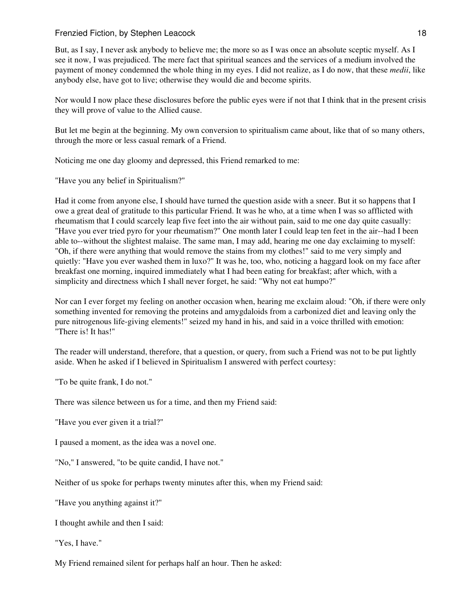But, as I say, I never ask anybody to believe me; the more so as I was once an absolute sceptic myself. As I see it now, I was prejudiced. The mere fact that spiritual seances and the services of a medium involved the payment of money condemned the whole thing in my eyes. I did not realize, as I do now, that these *medii*, like anybody else, have got to live; otherwise they would die and become spirits.

Nor would I now place these disclosures before the public eyes were if not that I think that in the present crisis they will prove of value to the Allied cause.

But let me begin at the beginning. My own conversion to spiritualism came about, like that of so many others, through the more or less casual remark of a Friend.

Noticing me one day gloomy and depressed, this Friend remarked to me:

"Have you any belief in Spiritualism?"

Had it come from anyone else, I should have turned the question aside with a sneer. But it so happens that I owe a great deal of gratitude to this particular Friend. It was he who, at a time when I was so afflicted with rheumatism that I could scarcely leap five feet into the air without pain, said to me one day quite casually: "Have you ever tried pyro for your rheumatism?" One month later I could leap ten feet in the air--had I been able to--without the slightest malaise. The same man, I may add, hearing me one day exclaiming to myself: "Oh, if there were anything that would remove the stains from my clothes!" said to me very simply and quietly: "Have you ever washed them in luxo?" It was he, too, who, noticing a haggard look on my face after breakfast one morning, inquired immediately what I had been eating for breakfast; after which, with a simplicity and directness which I shall never forget, he said: "Why not eat humpo?"

Nor can I ever forget my feeling on another occasion when, hearing me exclaim aloud: "Oh, if there were only something invented for removing the proteins and amygdaloids from a carbonized diet and leaving only the pure nitrogenous life-giving elements!" seized my hand in his, and said in a voice thrilled with emotion: "There is! It has!"

The reader will understand, therefore, that a question, or query, from such a Friend was not to be put lightly aside. When he asked if I believed in Spiritualism I answered with perfect courtesy:

"To be quite frank, I do not."

There was silence between us for a time, and then my Friend said:

"Have you ever given it a trial?"

I paused a moment, as the idea was a novel one.

"No," I answered, "to be quite candid, I have not."

Neither of us spoke for perhaps twenty minutes after this, when my Friend said:

"Have you anything against it?"

I thought awhile and then I said:

"Yes, I have."

My Friend remained silent for perhaps half an hour. Then he asked: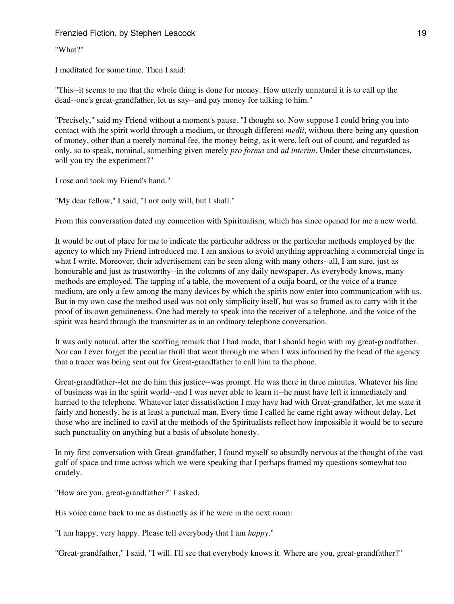"What?"

I meditated for some time. Then I said:

"This--it seems to me that the whole thing is done for money. How utterly unnatural it is to call up the dead--one's great-grandfather, let us say--and pay money for talking to him."

"Precisely," said my Friend without a moment's pause. "I thought so. Now suppose I could bring you into contact with the spirit world through a medium, or through different *medii*, without there being any question of money, other than a merely nominal fee, the money being, as it were, left out of count, and regarded as only, so to speak, nominal, something given merely *pro forma* and *ad interim*. Under these circumstances, will you try the experiment?"

I rose and took my Friend's hand."

"My dear fellow," I said, "I not only will, but I shall."

From this conversation dated my connection with Spiritualism, which has since opened for me a new world.

It would be out of place for me to indicate the particular address or the particular methods employed by the agency to which my Friend introduced me. I am anxious to avoid anything approaching a commercial tinge in what I write. Moreover, their advertisement can be seen along with many others--all, I am sure, just as honourable and just as trustworthy--in the columns of any daily newspaper. As everybody knows, many methods are employed. The tapping of a table, the movement of a ouija board, or the voice of a trance medium, are only a few among the many devices by which the spirits now enter into communication with us. But in my own case the method used was not only simplicity itself, but was so framed as to carry with it the proof of its own genuineness. One had merely to speak into the receiver of a telephone, and the voice of the spirit was heard through the transmitter as in an ordinary telephone conversation.

It was only natural, after the scoffing remark that I had made, that I should begin with my great-grandfather. Nor can I ever forget the peculiar thrill that went through me when I was informed by the head of the agency that a tracer was being sent out for Great-grandfather to call him to the phone.

Great-grandfather--let me do him this justice--was prompt. He was there in three minutes. Whatever his line of business was in the spirit world--and I was never able to learn it--he must have left it immediately and hurried to the telephone. Whatever later dissatisfaction I may have had with Great-grandfather, let me state it fairly and honestly, he is at least a punctual man. Every time I called he came right away without delay. Let those who are inclined to cavil at the methods of the Spiritualists reflect how impossible it would be to secure such punctuality on anything but a basis of absolute honesty.

In my first conversation with Great-grandfather, I found myself so absurdly nervous at the thought of the vast gulf of space and time across which we were speaking that I perhaps framed my questions somewhat too crudely.

"How are you, great-grandfather?" I asked.

His voice came back to me as distinctly as if he were in the next room:

"I am happy, very happy. Please tell everybody that I am *happy*."

"Great-grandfather," I said. "I will. I'll see that everybody knows it. Where are you, great-grandfather?"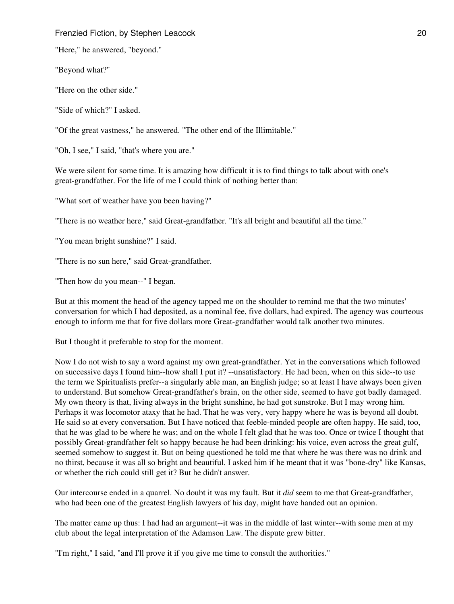"Here," he answered, "beyond."

"Beyond what?"

"Here on the other side."

"Side of which?" I asked.

"Of the great vastness," he answered. "The other end of the Illimitable."

"Oh, I see," I said, "that's where you are."

We were silent for some time. It is amazing how difficult it is to find things to talk about with one's great-grandfather. For the life of me I could think of nothing better than:

"What sort of weather have you been having?"

"There is no weather here," said Great-grandfather. "It's all bright and beautiful all the time."

"You mean bright sunshine?" I said.

"There is no sun here," said Great-grandfather.

"Then how do you mean--" I began.

But at this moment the head of the agency tapped me on the shoulder to remind me that the two minutes' conversation for which I had deposited, as a nominal fee, five dollars, had expired. The agency was courteous enough to inform me that for five dollars more Great-grandfather would talk another two minutes.

But I thought it preferable to stop for the moment.

Now I do not wish to say a word against my own great-grandfather. Yet in the conversations which followed on successive days I found him--how shall I put it? --unsatisfactory. He had been, when on this side--to use the term we Spiritualists prefer--a singularly able man, an English judge; so at least I have always been given to understand. But somehow Great-grandfather's brain, on the other side, seemed to have got badly damaged. My own theory is that, living always in the bright sunshine, he had got sunstroke. But I may wrong him. Perhaps it was locomotor ataxy that he had. That he was very, very happy where he was is beyond all doubt. He said so at every conversation. But I have noticed that feeble-minded people are often happy. He said, too, that he was glad to be where he was; and on the whole I felt glad that he was too. Once or twice I thought that possibly Great-grandfather felt so happy because he had been drinking: his voice, even across the great gulf, seemed somehow to suggest it. But on being questioned he told me that where he was there was no drink and no thirst, because it was all so bright and beautiful. I asked him if he meant that it was "bone-dry" like Kansas, or whether the rich could still get it? But he didn't answer.

Our intercourse ended in a quarrel. No doubt it was my fault. But it *did* seem to me that Great-grandfather, who had been one of the greatest English lawyers of his day, might have handed out an opinion.

The matter came up thus: I had had an argument--it was in the middle of last winter--with some men at my club about the legal interpretation of the Adamson Law. The dispute grew bitter.

"I'm right," I said, "and I'll prove it if you give me time to consult the authorities."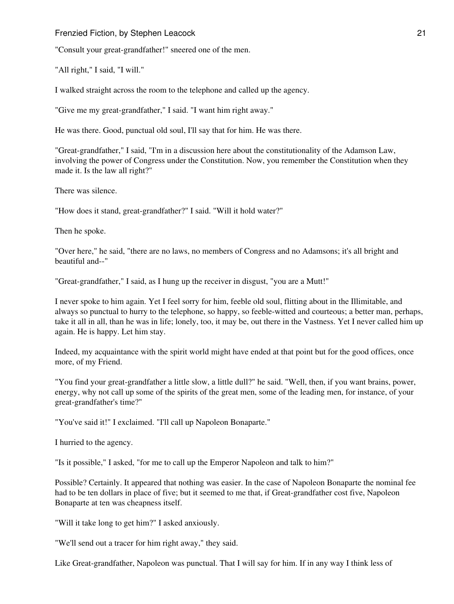"Consult your great-grandfather!" sneered one of the men.

"All right," I said, "I will."

I walked straight across the room to the telephone and called up the agency.

"Give me my great-grandfather," I said. "I want him right away."

He was there. Good, punctual old soul, I'll say that for him. He was there.

"Great-grandfather," I said, "I'm in a discussion here about the constitutionality of the Adamson Law, involving the power of Congress under the Constitution. Now, you remember the Constitution when they made it. Is the law all right?"

There was silence.

"How does it stand, great-grandfather?" I said. "Will it hold water?"

Then he spoke.

"Over here," he said, "there are no laws, no members of Congress and no Adamsons; it's all bright and beautiful and--"

"Great-grandfather," I said, as I hung up the receiver in disgust, "you are a Mutt!"

I never spoke to him again. Yet I feel sorry for him, feeble old soul, flitting about in the Illimitable, and always so punctual to hurry to the telephone, so happy, so feeble-witted and courteous; a better man, perhaps, take it all in all, than he was in life; lonely, too, it may be, out there in the Vastness. Yet I never called him up again. He is happy. Let him stay.

Indeed, my acquaintance with the spirit world might have ended at that point but for the good offices, once more, of my Friend.

"You find your great-grandfather a little slow, a little dull?" he said. "Well, then, if you want brains, power, energy, why not call up some of the spirits of the great men, some of the leading men, for instance, of your great-grandfather's time?"

"You've said it!" I exclaimed. "I'll call up Napoleon Bonaparte."

I hurried to the agency.

"Is it possible," I asked, "for me to call up the Emperor Napoleon and talk to him?"

Possible? Certainly. It appeared that nothing was easier. In the case of Napoleon Bonaparte the nominal fee had to be ten dollars in place of five; but it seemed to me that, if Great-grandfather cost five, Napoleon Bonaparte at ten was cheapness itself.

"Will it take long to get him?" I asked anxiously.

"We'll send out a tracer for him right away," they said.

Like Great-grandfather, Napoleon was punctual. That I will say for him. If in any way I think less of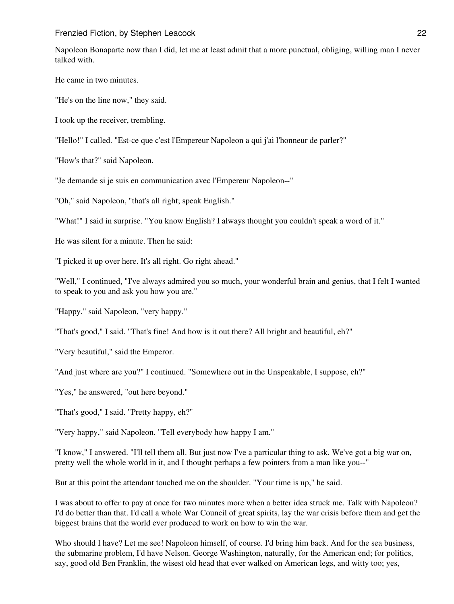Napoleon Bonaparte now than I did, let me at least admit that a more punctual, obliging, willing man I never talked with.

He came in two minutes.

"He's on the line now," they said.

I took up the receiver, trembling.

"Hello!" I called. "Est-ce que c'est l'Empereur Napoleon a qui j'ai l'honneur de parler?"

"How's that?" said Napoleon.

"Je demande si je suis en communication avec l'Empereur Napoleon--"

"Oh," said Napoleon, "that's all right; speak English."

"What!" I said in surprise. "You know English? I always thought you couldn't speak a word of it."

He was silent for a minute. Then he said:

"I picked it up over here. It's all right. Go right ahead."

"Well," I continued, "I've always admired you so much, your wonderful brain and genius, that I felt I wanted to speak to you and ask you how you are."

"Happy," said Napoleon, "very happy."

"That's good," I said. "That's fine! And how is it out there? All bright and beautiful, eh?"

"Very beautiful," said the Emperor.

"And just where are you?" I continued. "Somewhere out in the Unspeakable, I suppose, eh?"

"Yes," he answered, "out here beyond."

"That's good," I said. "Pretty happy, eh?"

"Very happy," said Napoleon. "Tell everybody how happy I am."

"I know," I answered. "I'll tell them all. But just now I've a particular thing to ask. We've got a big war on, pretty well the whole world in it, and I thought perhaps a few pointers from a man like you--"

But at this point the attendant touched me on the shoulder. "Your time is up," he said.

I was about to offer to pay at once for two minutes more when a better idea struck me. Talk with Napoleon? I'd do better than that. I'd call a whole War Council of great spirits, lay the war crisis before them and get the biggest brains that the world ever produced to work on how to win the war.

Who should I have? Let me see! Napoleon himself, of course. I'd bring him back. And for the sea business, the submarine problem, I'd have Nelson. George Washington, naturally, for the American end; for politics, say, good old Ben Franklin, the wisest old head that ever walked on American legs, and witty too; yes,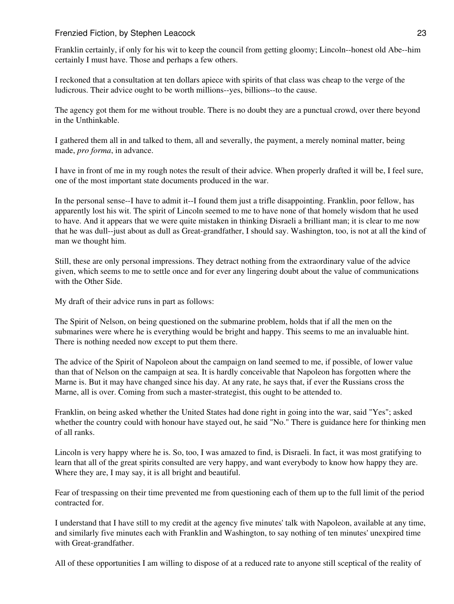Franklin certainly, if only for his wit to keep the council from getting gloomy; Lincoln--honest old Abe--him certainly I must have. Those and perhaps a few others.

I reckoned that a consultation at ten dollars apiece with spirits of that class was cheap to the verge of the ludicrous. Their advice ought to be worth millions--yes, billions--to the cause.

The agency got them for me without trouble. There is no doubt they are a punctual crowd, over there beyond in the Unthinkable.

I gathered them all in and talked to them, all and severally, the payment, a merely nominal matter, being made, *pro forma*, in advance.

I have in front of me in my rough notes the result of their advice. When properly drafted it will be, I feel sure, one of the most important state documents produced in the war.

In the personal sense--I have to admit it--I found them just a trifle disappointing. Franklin, poor fellow, has apparently lost his wit. The spirit of Lincoln seemed to me to have none of that homely wisdom that he used to have. And it appears that we were quite mistaken in thinking Disraeli a brilliant man; it is clear to me now that he was dull--just about as dull as Great-grandfather, I should say. Washington, too, is not at all the kind of man we thought him.

Still, these are only personal impressions. They detract nothing from the extraordinary value of the advice given, which seems to me to settle once and for ever any lingering doubt about the value of communications with the Other Side.

My draft of their advice runs in part as follows:

The Spirit of Nelson, on being questioned on the submarine problem, holds that if all the men on the submarines were where he is everything would be bright and happy. This seems to me an invaluable hint. There is nothing needed now except to put them there.

The advice of the Spirit of Napoleon about the campaign on land seemed to me, if possible, of lower value than that of Nelson on the campaign at sea. It is hardly conceivable that Napoleon has forgotten where the Marne is. But it may have changed since his day. At any rate, he says that, if ever the Russians cross the Marne, all is over. Coming from such a master-strategist, this ought to be attended to.

Franklin, on being asked whether the United States had done right in going into the war, said "Yes"; asked whether the country could with honour have stayed out, he said "No." There is guidance here for thinking men of all ranks.

Lincoln is very happy where he is. So, too, I was amazed to find, is Disraeli. In fact, it was most gratifying to learn that all of the great spirits consulted are very happy, and want everybody to know how happy they are. Where they are, I may say, it is all bright and beautiful.

Fear of trespassing on their time prevented me from questioning each of them up to the full limit of the period contracted for.

I understand that I have still to my credit at the agency five minutes' talk with Napoleon, available at any time, and similarly five minutes each with Franklin and Washington, to say nothing of ten minutes' unexpired time with Great-grandfather.

All of these opportunities I am willing to dispose of at a reduced rate to anyone still sceptical of the reality of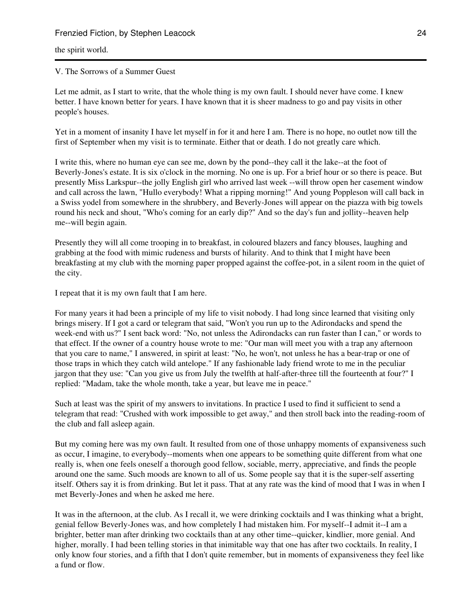## the spirit world.

## V. The Sorrows of a Summer Guest

Let me admit, as I start to write, that the whole thing is my own fault. I should never have come. I knew better. I have known better for years. I have known that it is sheer madness to go and pay visits in other people's houses.

Yet in a moment of insanity I have let myself in for it and here I am. There is no hope, no outlet now till the first of September when my visit is to terminate. Either that or death. I do not greatly care which.

I write this, where no human eye can see me, down by the pond--they call it the lake--at the foot of Beverly-Jones's estate. It is six o'clock in the morning. No one is up. For a brief hour or so there is peace. But presently Miss Larkspur--the jolly English girl who arrived last week --will throw open her casement window and call across the lawn, "Hullo everybody! What a ripping morning!" And young Poppleson will call back in a Swiss yodel from somewhere in the shrubbery, and Beverly-Jones will appear on the piazza with big towels round his neck and shout, "Who's coming for an early dip?" And so the day's fun and jollity--heaven help me--will begin again.

Presently they will all come trooping in to breakfast, in coloured blazers and fancy blouses, laughing and grabbing at the food with mimic rudeness and bursts of hilarity. And to think that I might have been breakfasting at my club with the morning paper propped against the coffee-pot, in a silent room in the quiet of the city.

I repeat that it is my own fault that I am here.

For many years it had been a principle of my life to visit nobody. I had long since learned that visiting only brings misery. If I got a card or telegram that said, "Won't you run up to the Adirondacks and spend the week-end with us?" I sent back word: "No, not unless the Adirondacks can run faster than I can," or words to that effect. If the owner of a country house wrote to me: "Our man will meet you with a trap any afternoon that you care to name," I answered, in spirit at least: "No, he won't, not unless he has a bear-trap or one of those traps in which they catch wild antelope." If any fashionable lady friend wrote to me in the peculiar jargon that they use: "Can you give us from July the twelfth at half-after-three till the fourteenth at four?" I replied: "Madam, take the whole month, take a year, but leave me in peace."

Such at least was the spirit of my answers to invitations. In practice I used to find it sufficient to send a telegram that read: "Crushed with work impossible to get away," and then stroll back into the reading-room of the club and fall asleep again.

But my coming here was my own fault. It resulted from one of those unhappy moments of expansiveness such as occur, I imagine, to everybody--moments when one appears to be something quite different from what one really is, when one feels oneself a thorough good fellow, sociable, merry, appreciative, and finds the people around one the same. Such moods are known to all of us. Some people say that it is the super-self asserting itself. Others say it is from drinking. But let it pass. That at any rate was the kind of mood that I was in when I met Beverly-Jones and when he asked me here.

It was in the afternoon, at the club. As I recall it, we were drinking cocktails and I was thinking what a bright, genial fellow Beverly-Jones was, and how completely I had mistaken him. For myself--I admit it--I am a brighter, better man after drinking two cocktails than at any other time--quicker, kindlier, more genial. And higher, morally. I had been telling stories in that inimitable way that one has after two cocktails. In reality, I only know four stories, and a fifth that I don't quite remember, but in moments of expansiveness they feel like a fund or flow.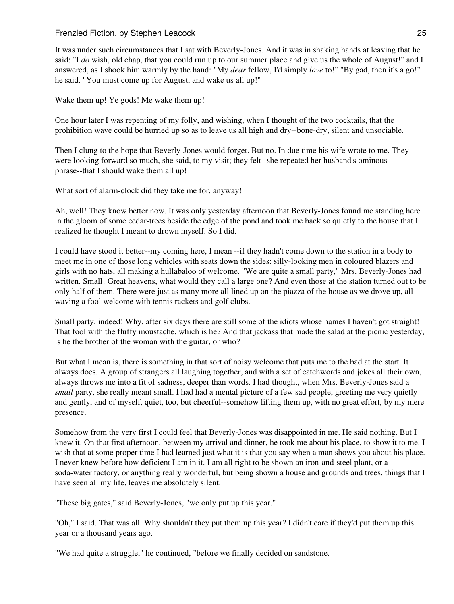It was under such circumstances that I sat with Beverly-Jones. And it was in shaking hands at leaving that he said: "I *do* wish, old chap, that you could run up to our summer place and give us the whole of August!" and I answered, as I shook him warmly by the hand: "My *dear* fellow, I'd simply *love* to!" "By gad, then it's a go!" he said. "You must come up for August, and wake us all up!"

Wake them up! Ye gods! Me wake them up!

One hour later I was repenting of my folly, and wishing, when I thought of the two cocktails, that the prohibition wave could be hurried up so as to leave us all high and dry--bone-dry, silent and unsociable.

Then I clung to the hope that Beverly-Jones would forget. But no. In due time his wife wrote to me. They were looking forward so much, she said, to my visit; they felt--she repeated her husband's ominous phrase--that I should wake them all up!

What sort of alarm-clock did they take me for, anyway!

Ah, well! They know better now. It was only yesterday afternoon that Beverly-Jones found me standing here in the gloom of some cedar-trees beside the edge of the pond and took me back so quietly to the house that I realized he thought I meant to drown myself. So I did.

I could have stood it better--my coming here, I mean --if they hadn't come down to the station in a body to meet me in one of those long vehicles with seats down the sides: silly-looking men in coloured blazers and girls with no hats, all making a hullabaloo of welcome. "We are quite a small party," Mrs. Beverly-Jones had written. Small! Great heavens, what would they call a large one? And even those at the station turned out to be only half of them. There were just as many more all lined up on the piazza of the house as we drove up, all waving a fool welcome with tennis rackets and golf clubs.

Small party, indeed! Why, after six days there are still some of the idiots whose names I haven't got straight! That fool with the fluffy moustache, which is he? And that jackass that made the salad at the picnic yesterday, is he the brother of the woman with the guitar, or who?

But what I mean is, there is something in that sort of noisy welcome that puts me to the bad at the start. It always does. A group of strangers all laughing together, and with a set of catchwords and jokes all their own, always throws me into a fit of sadness, deeper than words. I had thought, when Mrs. Beverly-Jones said a *small* party, she really meant small. I had had a mental picture of a few sad people, greeting me very quietly and gently, and of myself, quiet, too, but cheerful--somehow lifting them up, with no great effort, by my mere presence.

Somehow from the very first I could feel that Beverly-Jones was disappointed in me. He said nothing. But I knew it. On that first afternoon, between my arrival and dinner, he took me about his place, to show it to me. I wish that at some proper time I had learned just what it is that you say when a man shows you about his place. I never knew before how deficient I am in it. I am all right to be shown an iron-and-steel plant, or a soda-water factory, or anything really wonderful, but being shown a house and grounds and trees, things that I have seen all my life, leaves me absolutely silent.

"These big gates," said Beverly-Jones, "we only put up this year."

"Oh," I said. That was all. Why shouldn't they put them up this year? I didn't care if they'd put them up this year or a thousand years ago.

"We had quite a struggle," he continued, "before we finally decided on sandstone.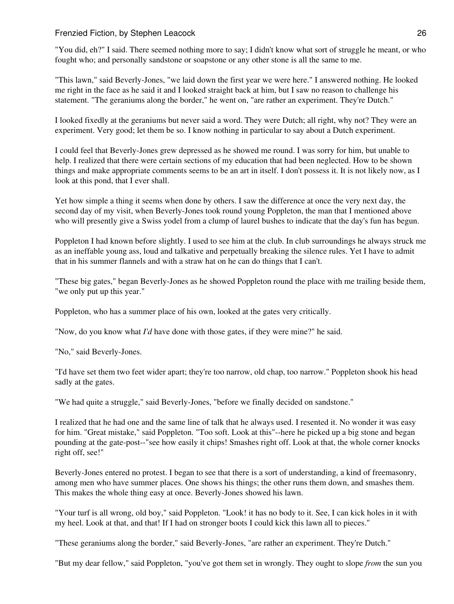"You did, eh?" I said. There seemed nothing more to say; I didn't know what sort of struggle he meant, or who fought who; and personally sandstone or soapstone or any other stone is all the same to me.

"This lawn," said Beverly-Jones, "we laid down the first year we were here." I answered nothing. He looked me right in the face as he said it and I looked straight back at him, but I saw no reason to challenge his statement. "The geraniums along the border," he went on, "are rather an experiment. They're Dutch."

I looked fixedly at the geraniums but never said a word. They were Dutch; all right, why not? They were an experiment. Very good; let them be so. I know nothing in particular to say about a Dutch experiment.

I could feel that Beverly-Jones grew depressed as he showed me round. I was sorry for him, but unable to help. I realized that there were certain sections of my education that had been neglected. How to be shown things and make appropriate comments seems to be an art in itself. I don't possess it. It is not likely now, as I look at this pond, that I ever shall.

Yet how simple a thing it seems when done by others. I saw the difference at once the very next day, the second day of my visit, when Beverly-Jones took round young Poppleton, the man that I mentioned above who will presently give a Swiss yodel from a clump of laurel bushes to indicate that the day's fun has begun.

Poppleton I had known before slightly. I used to see him at the club. In club surroundings he always struck me as an ineffable young ass, loud and talkative and perpetually breaking the silence rules. Yet I have to admit that in his summer flannels and with a straw hat on he can do things that I can't.

"These big gates," began Beverly-Jones as he showed Poppleton round the place with me trailing beside them, "we only put up this year."

Poppleton, who has a summer place of his own, looked at the gates very critically.

"Now, do you know what *I'd* have done with those gates, if they were mine?" he said.

"No," said Beverly-Jones.

"I'd have set them two feet wider apart; they're too narrow, old chap, too narrow." Poppleton shook his head sadly at the gates.

"We had quite a struggle," said Beverly-Jones, "before we finally decided on sandstone."

I realized that he had one and the same line of talk that he always used. I resented it. No wonder it was easy for him. "Great mistake," said Poppleton. "Too soft. Look at this"--here he picked up a big stone and began pounding at the gate-post--"see how easily it chips! Smashes right off. Look at that, the whole corner knocks right off, see!"

Beverly-Jones entered no protest. I began to see that there is a sort of understanding, a kind of freemasonry, among men who have summer places. One shows his things; the other runs them down, and smashes them. This makes the whole thing easy at once. Beverly-Jones showed his lawn.

"Your turf is all wrong, old boy," said Poppleton. "Look! it has no body to it. See, I can kick holes in it with my heel. Look at that, and that! If I had on stronger boots I could kick this lawn all to pieces."

"These geraniums along the border," said Beverly-Jones, "are rather an experiment. They're Dutch."

"But my dear fellow," said Poppleton, "you've got them set in wrongly. They ought to slope *from* the sun you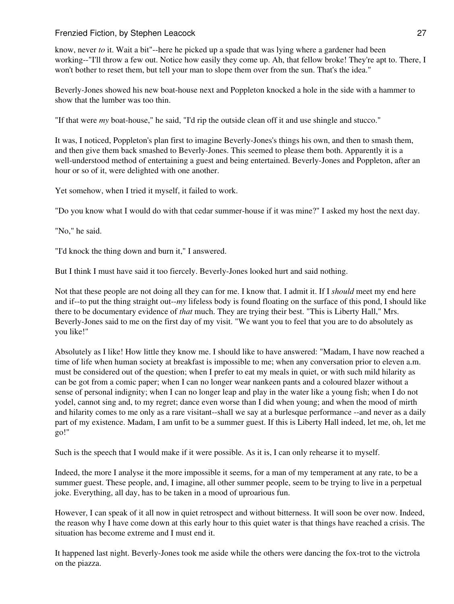know, never *to* it. Wait a bit"--here he picked up a spade that was lying where a gardener had been working--"I'll throw a few out. Notice how easily they come up. Ah, that fellow broke! They're apt to. There, I won't bother to reset them, but tell your man to slope them over from the sun. That's the idea."

Beverly-Jones showed his new boat-house next and Poppleton knocked a hole in the side with a hammer to show that the lumber was too thin.

"If that were *my* boat-house," he said, "I'd rip the outside clean off it and use shingle and stucco."

It was, I noticed, Poppleton's plan first to imagine Beverly-Jones's things his own, and then to smash them, and then give them back smashed to Beverly-Jones. This seemed to please them both. Apparently it is a well-understood method of entertaining a guest and being entertained. Beverly-Jones and Poppleton, after an hour or so of it, were delighted with one another.

Yet somehow, when I tried it myself, it failed to work.

"Do you know what I would do with that cedar summer-house if it was mine?" I asked my host the next day.

"No," he said.

"I'd knock the thing down and burn it," I answered.

But I think I must have said it too fiercely. Beverly-Jones looked hurt and said nothing.

Not that these people are not doing all they can for me. I know that. I admit it. If I *should* meet my end here and if--to put the thing straight out--*my* lifeless body is found floating on the surface of this pond, I should like there to be documentary evidence of *that* much. They are trying their best. "This is Liberty Hall," Mrs. Beverly-Jones said to me on the first day of my visit. "We want you to feel that you are to do absolutely as you like!"

Absolutely as I like! How little they know me. I should like to have answered: "Madam, I have now reached a time of life when human society at breakfast is impossible to me; when any conversation prior to eleven a.m. must be considered out of the question; when I prefer to eat my meals in quiet, or with such mild hilarity as can be got from a comic paper; when I can no longer wear nankeen pants and a coloured blazer without a sense of personal indignity; when I can no longer leap and play in the water like a young fish; when I do not yodel, cannot sing and, to my regret; dance even worse than I did when young; and when the mood of mirth and hilarity comes to me only as a rare visitant--shall we say at a burlesque performance --and never as a daily part of my existence. Madam, I am unfit to be a summer guest. If this is Liberty Hall indeed, let me, oh, let me go!"

Such is the speech that I would make if it were possible. As it is, I can only rehearse it to myself.

Indeed, the more I analyse it the more impossible it seems, for a man of my temperament at any rate, to be a summer guest. These people, and, I imagine, all other summer people, seem to be trying to live in a perpetual joke. Everything, all day, has to be taken in a mood of uproarious fun.

However, I can speak of it all now in quiet retrospect and without bitterness. It will soon be over now. Indeed, the reason why I have come down at this early hour to this quiet water is that things have reached a crisis. The situation has become extreme and I must end it.

It happened last night. Beverly-Jones took me aside while the others were dancing the fox-trot to the victrola on the piazza.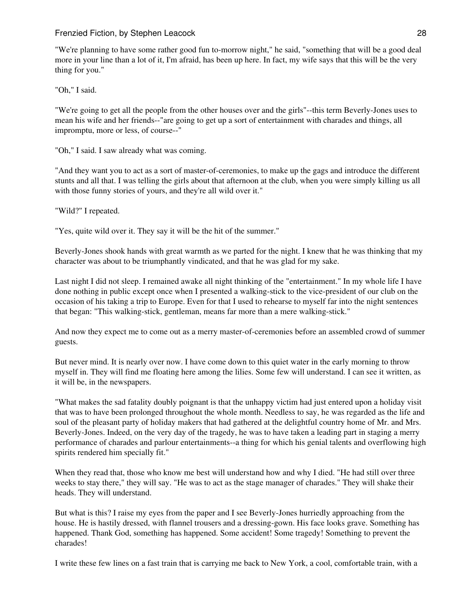"We're planning to have some rather good fun to-morrow night," he said, "something that will be a good deal more in your line than a lot of it, I'm afraid, has been up here. In fact, my wife says that this will be the very thing for you."

"Oh," I said.

"We're going to get all the people from the other houses over and the girls"--this term Beverly-Jones uses to mean his wife and her friends--"are going to get up a sort of entertainment with charades and things, all impromptu, more or less, of course--"

"Oh," I said. I saw already what was coming.

"And they want you to act as a sort of master-of-ceremonies, to make up the gags and introduce the different stunts and all that. I was telling the girls about that afternoon at the club, when you were simply killing us all with those funny stories of yours, and they're all wild over it."

"Wild?" I repeated.

"Yes, quite wild over it. They say it will be the hit of the summer."

Beverly-Jones shook hands with great warmth as we parted for the night. I knew that he was thinking that my character was about to be triumphantly vindicated, and that he was glad for my sake.

Last night I did not sleep. I remained awake all night thinking of the "entertainment." In my whole life I have done nothing in public except once when I presented a walking-stick to the vice-president of our club on the occasion of his taking a trip to Europe. Even for that I used to rehearse to myself far into the night sentences that began: "This walking-stick, gentleman, means far more than a mere walking-stick."

And now they expect me to come out as a merry master-of-ceremonies before an assembled crowd of summer guests.

But never mind. It is nearly over now. I have come down to this quiet water in the early morning to throw myself in. They will find me floating here among the lilies. Some few will understand. I can see it written, as it will be, in the newspapers.

"What makes the sad fatality doubly poignant is that the unhappy victim had just entered upon a holiday visit that was to have been prolonged throughout the whole month. Needless to say, he was regarded as the life and soul of the pleasant party of holiday makers that had gathered at the delightful country home of Mr. and Mrs. Beverly-Jones. Indeed, on the very day of the tragedy, he was to have taken a leading part in staging a merry performance of charades and parlour entertainments--a thing for which his genial talents and overflowing high spirits rendered him specially fit."

When they read that, those who know me best will understand how and why I died. "He had still over three weeks to stay there," they will say. "He was to act as the stage manager of charades." They will shake their heads. They will understand.

But what is this? I raise my eyes from the paper and I see Beverly-Jones hurriedly approaching from the house. He is hastily dressed, with flannel trousers and a dressing-gown. His face looks grave. Something has happened. Thank God, something has happened. Some accident! Some tragedy! Something to prevent the charades!

I write these few lines on a fast train that is carrying me back to New York, a cool, comfortable train, with a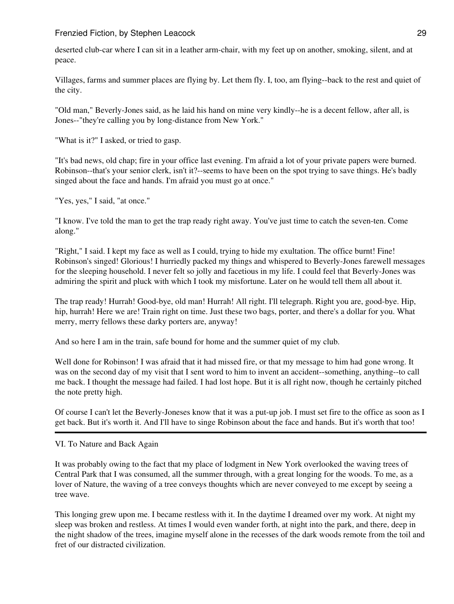deserted club-car where I can sit in a leather arm-chair, with my feet up on another, smoking, silent, and at peace.

Villages, farms and summer places are flying by. Let them fly. I, too, am flying--back to the rest and quiet of the city.

"Old man," Beverly-Jones said, as he laid his hand on mine very kindly--he is a decent fellow, after all, is Jones--"they're calling you by long-distance from New York."

"What is it?" I asked, or tried to gasp.

"It's bad news, old chap; fire in your office last evening. I'm afraid a lot of your private papers were burned. Robinson--that's your senior clerk, isn't it?--seems to have been on the spot trying to save things. He's badly singed about the face and hands. I'm afraid you must go at once."

"Yes, yes," I said, "at once."

"I know. I've told the man to get the trap ready right away. You've just time to catch the seven-ten. Come along."

"Right," I said. I kept my face as well as I could, trying to hide my exultation. The office burnt! Fine! Robinson's singed! Glorious! I hurriedly packed my things and whispered to Beverly-Jones farewell messages for the sleeping household. I never felt so jolly and facetious in my life. I could feel that Beverly-Jones was admiring the spirit and pluck with which I took my misfortune. Later on he would tell them all about it.

The trap ready! Hurrah! Good-bye, old man! Hurrah! All right. I'll telegraph. Right you are, good-bye. Hip, hip, hurrah! Here we are! Train right on time. Just these two bags, porter, and there's a dollar for you. What merry, merry fellows these darky porters are, anyway!

And so here I am in the train, safe bound for home and the summer quiet of my club.

Well done for Robinson! I was afraid that it had missed fire, or that my message to him had gone wrong. It was on the second day of my visit that I sent word to him to invent an accident--something, anything--to call me back. I thought the message had failed. I had lost hope. But it is all right now, though he certainly pitched the note pretty high.

Of course I can't let the Beverly-Joneses know that it was a put-up job. I must set fire to the office as soon as I get back. But it's worth it. And I'll have to singe Robinson about the face and hands. But it's worth that too!

#### VI. To Nature and Back Again

It was probably owing to the fact that my place of lodgment in New York overlooked the waving trees of Central Park that I was consumed, all the summer through, with a great longing for the woods. To me, as a lover of Nature, the waving of a tree conveys thoughts which are never conveyed to me except by seeing a tree wave.

This longing grew upon me. I became restless with it. In the daytime I dreamed over my work. At night my sleep was broken and restless. At times I would even wander forth, at night into the park, and there, deep in the night shadow of the trees, imagine myself alone in the recesses of the dark woods remote from the toil and fret of our distracted civilization.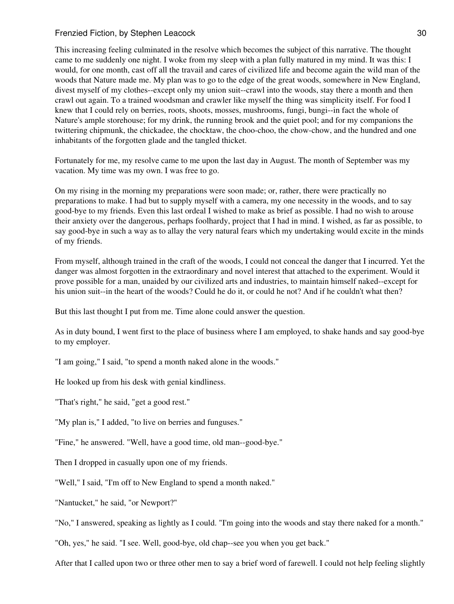This increasing feeling culminated in the resolve which becomes the subject of this narrative. The thought came to me suddenly one night. I woke from my sleep with a plan fully matured in my mind. It was this: I would, for one month, cast off all the travail and cares of civilized life and become again the wild man of the woods that Nature made me. My plan was to go to the edge of the great woods, somewhere in New England, divest myself of my clothes--except only my union suit--crawl into the woods, stay there a month and then crawl out again. To a trained woodsman and crawler like myself the thing was simplicity itself. For food I knew that I could rely on berries, roots, shoots, mosses, mushrooms, fungi, bungi--in fact the whole of Nature's ample storehouse; for my drink, the running brook and the quiet pool; and for my companions the twittering chipmunk, the chickadee, the chocktaw, the choo-choo, the chow-chow, and the hundred and one inhabitants of the forgotten glade and the tangled thicket.

Fortunately for me, my resolve came to me upon the last day in August. The month of September was my vacation. My time was my own. I was free to go.

On my rising in the morning my preparations were soon made; or, rather, there were practically no preparations to make. I had but to supply myself with a camera, my one necessity in the woods, and to say good-bye to my friends. Even this last ordeal I wished to make as brief as possible. I had no wish to arouse their anxiety over the dangerous, perhaps foolhardy, project that I had in mind. I wished, as far as possible, to say good-bye in such a way as to allay the very natural fears which my undertaking would excite in the minds of my friends.

From myself, although trained in the craft of the woods, I could not conceal the danger that I incurred. Yet the danger was almost forgotten in the extraordinary and novel interest that attached to the experiment. Would it prove possible for a man, unaided by our civilized arts and industries, to maintain himself naked--except for his union suit--in the heart of the woods? Could he do it, or could he not? And if he couldn't what then?

But this last thought I put from me. Time alone could answer the question.

As in duty bound, I went first to the place of business where I am employed, to shake hands and say good-bye to my employer.

"I am going," I said, "to spend a month naked alone in the woods."

He looked up from his desk with genial kindliness.

"That's right," he said, "get a good rest."

"My plan is," I added, "to live on berries and funguses."

"Fine," he answered. "Well, have a good time, old man--good-bye."

Then I dropped in casually upon one of my friends.

"Well," I said, "I'm off to New England to spend a month naked."

"Nantucket," he said, "or Newport?"

"No," I answered, speaking as lightly as I could. "I'm going into the woods and stay there naked for a month."

"Oh, yes," he said. "I see. Well, good-bye, old chap--see you when you get back."

After that I called upon two or three other men to say a brief word of farewell. I could not help feeling slightly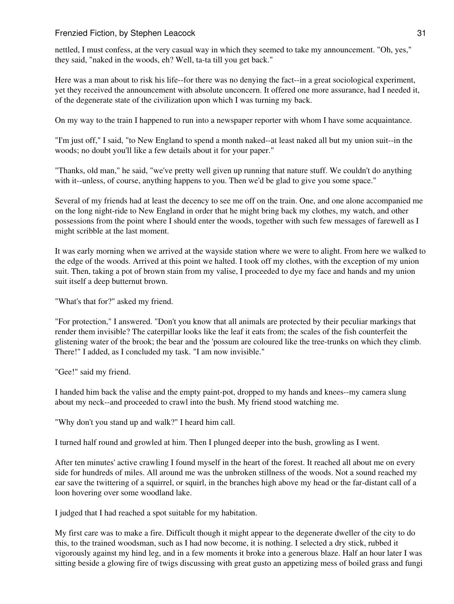nettled, I must confess, at the very casual way in which they seemed to take my announcement. "Oh, yes," they said, "naked in the woods, eh? Well, ta-ta till you get back."

Here was a man about to risk his life--for there was no denying the fact--in a great sociological experiment, yet they received the announcement with absolute unconcern. It offered one more assurance, had I needed it, of the degenerate state of the civilization upon which I was turning my back.

On my way to the train I happened to run into a newspaper reporter with whom I have some acquaintance.

"I'm just off," I said, "to New England to spend a month naked--at least naked all but my union suit--in the woods; no doubt you'll like a few details about it for your paper."

"Thanks, old man," he said, "we've pretty well given up running that nature stuff. We couldn't do anything with it--unless, of course, anything happens to you. Then we'd be glad to give you some space."

Several of my friends had at least the decency to see me off on the train. One, and one alone accompanied me on the long night-ride to New England in order that he might bring back my clothes, my watch, and other possessions from the point where I should enter the woods, together with such few messages of farewell as I might scribble at the last moment.

It was early morning when we arrived at the wayside station where we were to alight. From here we walked to the edge of the woods. Arrived at this point we halted. I took off my clothes, with the exception of my union suit. Then, taking a pot of brown stain from my valise, I proceeded to dye my face and hands and my union suit itself a deep butternut brown.

"What's that for?" asked my friend.

"For protection," I answered. "Don't you know that all animals are protected by their peculiar markings that render them invisible? The caterpillar looks like the leaf it eats from; the scales of the fish counterfeit the glistening water of the brook; the bear and the 'possum are coloured like the tree-trunks on which they climb. There!" I added, as I concluded my task. "I am now invisible."

"Gee!" said my friend.

I handed him back the valise and the empty paint-pot, dropped to my hands and knees--my camera slung about my neck--and proceeded to crawl into the bush. My friend stood watching me.

"Why don't you stand up and walk?" I heard him call.

I turned half round and growled at him. Then I plunged deeper into the bush, growling as I went.

After ten minutes' active crawling I found myself in the heart of the forest. It reached all about me on every side for hundreds of miles. All around me was the unbroken stillness of the woods. Not a sound reached my ear save the twittering of a squirrel, or squirl, in the branches high above my head or the far-distant call of a loon hovering over some woodland lake.

I judged that I had reached a spot suitable for my habitation.

My first care was to make a fire. Difficult though it might appear to the degenerate dweller of the city to do this, to the trained woodsman, such as I had now become, it is nothing. I selected a dry stick, rubbed it vigorously against my hind leg, and in a few moments it broke into a generous blaze. Half an hour later I was sitting beside a glowing fire of twigs discussing with great gusto an appetizing mess of boiled grass and fungi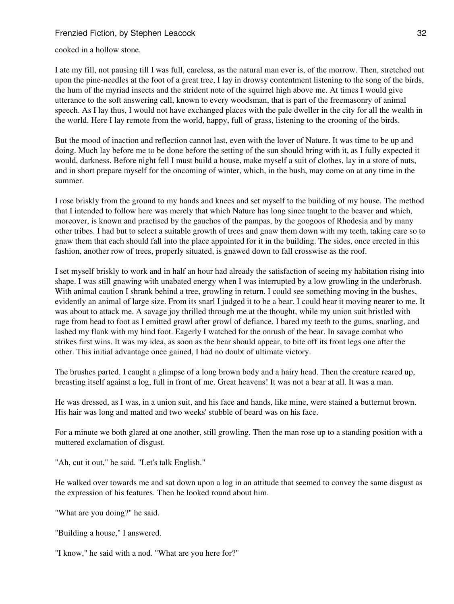cooked in a hollow stone.

I ate my fill, not pausing till I was full, careless, as the natural man ever is, of the morrow. Then, stretched out upon the pine-needles at the foot of a great tree, I lay in drowsy contentment listening to the song of the birds, the hum of the myriad insects and the strident note of the squirrel high above me. At times I would give utterance to the soft answering call, known to every woodsman, that is part of the freemasonry of animal speech. As I lay thus, I would not have exchanged places with the pale dweller in the city for all the wealth in the world. Here I lay remote from the world, happy, full of grass, listening to the crooning of the birds.

But the mood of inaction and reflection cannot last, even with the lover of Nature. It was time to be up and doing. Much lay before me to be done before the setting of the sun should bring with it, as I fully expected it would, darkness. Before night fell I must build a house, make myself a suit of clothes, lay in a store of nuts, and in short prepare myself for the oncoming of winter, which, in the bush, may come on at any time in the summer.

I rose briskly from the ground to my hands and knees and set myself to the building of my house. The method that I intended to follow here was merely that which Nature has long since taught to the beaver and which, moreover, is known and practised by the gauchos of the pampas, by the googoos of Rhodesia and by many other tribes. I had but to select a suitable growth of trees and gnaw them down with my teeth, taking care so to gnaw them that each should fall into the place appointed for it in the building. The sides, once erected in this fashion, another row of trees, properly situated, is gnawed down to fall crosswise as the roof.

I set myself briskly to work and in half an hour had already the satisfaction of seeing my habitation rising into shape. I was still gnawing with unabated energy when I was interrupted by a low growling in the underbrush. With animal caution I shrank behind a tree, growling in return. I could see something moving in the bushes, evidently an animal of large size. From its snarl I judged it to be a bear. I could hear it moving nearer to me. It was about to attack me. A savage joy thrilled through me at the thought, while my union suit bristled with rage from head to foot as I emitted growl after growl of defiance. I bared my teeth to the gums, snarling, and lashed my flank with my hind foot. Eagerly I watched for the onrush of the bear. In savage combat who strikes first wins. It was my idea, as soon as the bear should appear, to bite off its front legs one after the other. This initial advantage once gained, I had no doubt of ultimate victory.

The brushes parted. I caught a glimpse of a long brown body and a hairy head. Then the creature reared up, breasting itself against a log, full in front of me. Great heavens! It was not a bear at all. It was a man.

He was dressed, as I was, in a union suit, and his face and hands, like mine, were stained a butternut brown. His hair was long and matted and two weeks' stubble of beard was on his face.

For a minute we both glared at one another, still growling. Then the man rose up to a standing position with a muttered exclamation of disgust.

"Ah, cut it out," he said. "Let's talk English."

He walked over towards me and sat down upon a log in an attitude that seemed to convey the same disgust as the expression of his features. Then he looked round about him.

"What are you doing?" he said.

"Building a house," I answered.

"I know," he said with a nod. "What are you here for?"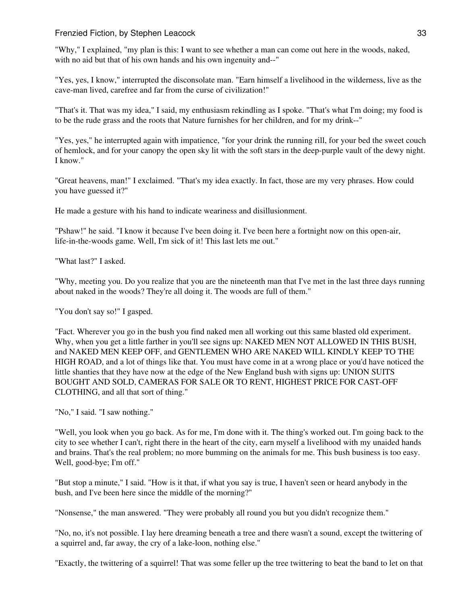"Why," I explained, "my plan is this: I want to see whether a man can come out here in the woods, naked, with no aid but that of his own hands and his own ingenuity and--"

"Yes, yes, I know," interrupted the disconsolate man. "Earn himself a livelihood in the wilderness, live as the cave-man lived, carefree and far from the curse of civilization!"

"That's it. That was my idea," I said, my enthusiasm rekindling as I spoke. "That's what I'm doing; my food is to be the rude grass and the roots that Nature furnishes for her children, and for my drink--"

"Yes, yes," he interrupted again with impatience, "for your drink the running rill, for your bed the sweet couch of hemlock, and for your canopy the open sky lit with the soft stars in the deep-purple vault of the dewy night. I know."

"Great heavens, man!" I exclaimed. "That's my idea exactly. In fact, those are my very phrases. How could you have guessed it?"

He made a gesture with his hand to indicate weariness and disillusionment.

"Pshaw!" he said. "I know it because I've been doing it. I've been here a fortnight now on this open-air, life-in-the-woods game. Well, I'm sick of it! This last lets me out."

"What last?" I asked.

"Why, meeting you. Do you realize that you are the nineteenth man that I've met in the last three days running about naked in the woods? They're all doing it. The woods are full of them."

"You don't say so!" I gasped.

"Fact. Wherever you go in the bush you find naked men all working out this same blasted old experiment. Why, when you get a little farther in you'll see signs up: NAKED MEN NOT ALLOWED IN THIS BUSH, and NAKED MEN KEEP OFF, and GENTLEMEN WHO ARE NAKED WILL KINDLY KEEP TO THE HIGH ROAD, and a lot of things like that. You must have come in at a wrong place or you'd have noticed the little shanties that they have now at the edge of the New England bush with signs up: UNION SUITS BOUGHT AND SOLD, CAMERAS FOR SALE OR TO RENT, HIGHEST PRICE FOR CAST-OFF CLOTHING, and all that sort of thing."

"No," I said. "I saw nothing."

"Well, you look when you go back. As for me, I'm done with it. The thing's worked out. I'm going back to the city to see whether I can't, right there in the heart of the city, earn myself a livelihood with my unaided hands and brains. That's the real problem; no more bumming on the animals for me. This bush business is too easy. Well, good-bye; I'm off."

"But stop a minute," I said. "How is it that, if what you say is true, I haven't seen or heard anybody in the bush, and I've been here since the middle of the morning?"

"Nonsense," the man answered. "They were probably all round you but you didn't recognize them."

"No, no, it's not possible. I lay here dreaming beneath a tree and there wasn't a sound, except the twittering of a squirrel and, far away, the cry of a lake-loon, nothing else."

"Exactly, the twittering of a squirrel! That was some feller up the tree twittering to beat the band to let on that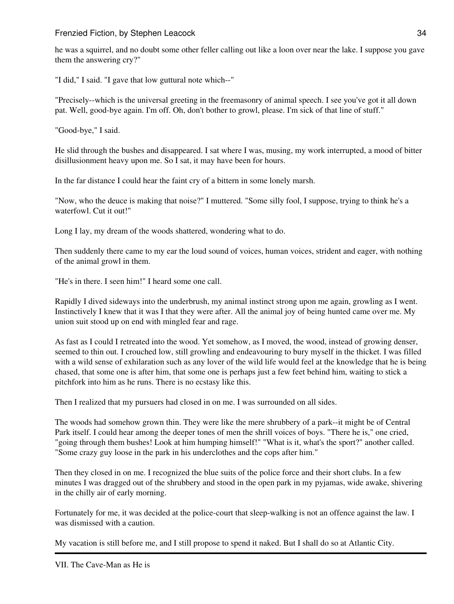he was a squirrel, and no doubt some other feller calling out like a loon over near the lake. I suppose you gave them the answering cry?"

"I did," I said. "I gave that low guttural note which--"

"Precisely--which is the universal greeting in the freemasonry of animal speech. I see you've got it all down pat. Well, good-bye again. I'm off. Oh, don't bother to growl, please. I'm sick of that line of stuff."

"Good-bye," I said.

He slid through the bushes and disappeared. I sat where I was, musing, my work interrupted, a mood of bitter disillusionment heavy upon me. So I sat, it may have been for hours.

In the far distance I could hear the faint cry of a bittern in some lonely marsh.

"Now, who the deuce is making that noise?" I muttered. "Some silly fool, I suppose, trying to think he's a waterfowl. Cut it out!"

Long I lay, my dream of the woods shattered, wondering what to do.

Then suddenly there came to my ear the loud sound of voices, human voices, strident and eager, with nothing of the animal growl in them.

"He's in there. I seen him!" I heard some one call.

Rapidly I dived sideways into the underbrush, my animal instinct strong upon me again, growling as I went. Instinctively I knew that it was I that they were after. All the animal joy of being hunted came over me. My union suit stood up on end with mingled fear and rage.

As fast as I could I retreated into the wood. Yet somehow, as I moved, the wood, instead of growing denser, seemed to thin out. I crouched low, still growling and endeavouring to bury myself in the thicket. I was filled with a wild sense of exhilaration such as any lover of the wild life would feel at the knowledge that he is being chased, that some one is after him, that some one is perhaps just a few feet behind him, waiting to stick a pitchfork into him as he runs. There is no ecstasy like this.

Then I realized that my pursuers had closed in on me. I was surrounded on all sides.

The woods had somehow grown thin. They were like the mere shrubbery of a park--it might be of Central Park itself. I could hear among the deeper tones of men the shrill voices of boys. "There he is," one cried, "going through them bushes! Look at him humping himself!" "What is it, what's the sport?" another called. "Some crazy guy loose in the park in his underclothes and the cops after him."

Then they closed in on me. I recognized the blue suits of the police force and their short clubs. In a few minutes I was dragged out of the shrubbery and stood in the open park in my pyjamas, wide awake, shivering in the chilly air of early morning.

Fortunately for me, it was decided at the police-court that sleep-walking is not an offence against the law. I was dismissed with a caution.

My vacation is still before me, and I still propose to spend it naked. But I shall do so at Atlantic City.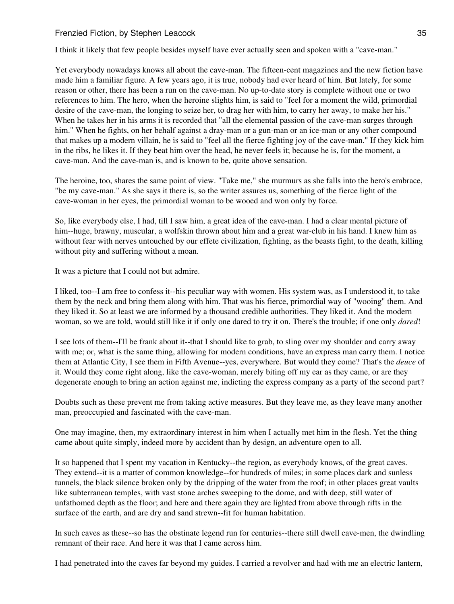I think it likely that few people besides myself have ever actually seen and spoken with a "cave-man."

Yet everybody nowadays knows all about the cave-man. The fifteen-cent magazines and the new fiction have made him a familiar figure. A few years ago, it is true, nobody had ever heard of him. But lately, for some reason or other, there has been a run on the cave-man. No up-to-date story is complete without one or two references to him. The hero, when the heroine slights him, is said to "feel for a moment the wild, primordial desire of the cave-man, the longing to seize her, to drag her with him, to carry her away, to make her his." When he takes her in his arms it is recorded that "all the elemental passion of the cave-man surges through him." When he fights, on her behalf against a dray-man or a gun-man or an ice-man or any other compound that makes up a modern villain, he is said to "feel all the fierce fighting joy of the cave-man." If they kick him in the ribs, he likes it. If they beat him over the head, he never feels it; because he is, for the moment, a cave-man. And the cave-man is, and is known to be, quite above sensation.

The heroine, too, shares the same point of view. "Take me," she murmurs as she falls into the hero's embrace, "be my cave-man." As she says it there is, so the writer assures us, something of the fierce light of the cave-woman in her eyes, the primordial woman to be wooed and won only by force.

So, like everybody else, I had, till I saw him, a great idea of the cave-man. I had a clear mental picture of him--huge, brawny, muscular, a wolfskin thrown about him and a great war-club in his hand. I knew him as without fear with nerves untouched by our effete civilization, fighting, as the beasts fight, to the death, killing without pity and suffering without a moan.

It was a picture that I could not but admire.

I liked, too--I am free to confess it--his peculiar way with women. His system was, as I understood it, to take them by the neck and bring them along with him. That was his fierce, primordial way of "wooing" them. And they liked it. So at least we are informed by a thousand credible authorities. They liked it. And the modern woman, so we are told, would still like it if only one dared to try it on. There's the trouble; if one only *dared*!

I see lots of them--I'll be frank about it--that I should like to grab, to sling over my shoulder and carry away with me; or, what is the same thing, allowing for modern conditions, have an express man carry them. I notice them at Atlantic City, I see them in Fifth Avenue--yes, everywhere. But would they come? That's the *deuce* of it. Would they come right along, like the cave-woman, merely biting off my ear as they came, or are they degenerate enough to bring an action against me, indicting the express company as a party of the second part?

Doubts such as these prevent me from taking active measures. But they leave me, as they leave many another man, preoccupied and fascinated with the cave-man.

One may imagine, then, my extraordinary interest in him when I actually met him in the flesh. Yet the thing came about quite simply, indeed more by accident than by design, an adventure open to all.

It so happened that I spent my vacation in Kentucky--the region, as everybody knows, of the great caves. They extend--it is a matter of common knowledge--for hundreds of miles; in some places dark and sunless tunnels, the black silence broken only by the dripping of the water from the roof; in other places great vaults like subterranean temples, with vast stone arches sweeping to the dome, and with deep, still water of unfathomed depth as the floor; and here and there again they are lighted from above through rifts in the surface of the earth, and are dry and sand strewn--fit for human habitation.

In such caves as these--so has the obstinate legend run for centuries--there still dwell cave-men, the dwindling remnant of their race. And here it was that I came across him.

I had penetrated into the caves far beyond my guides. I carried a revolver and had with me an electric lantern,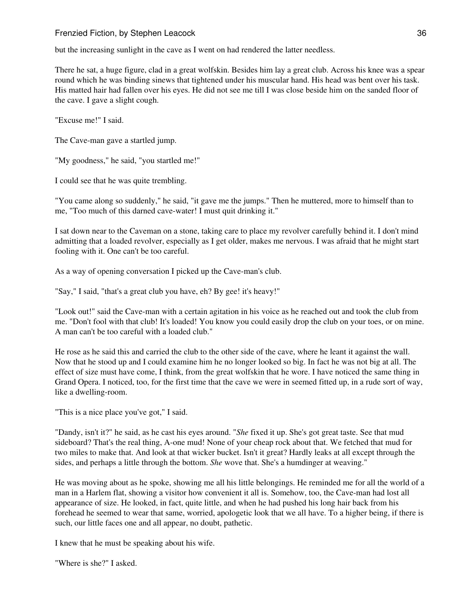but the increasing sunlight in the cave as I went on had rendered the latter needless.

There he sat, a huge figure, clad in a great wolfskin. Besides him lay a great club. Across his knee was a spear round which he was binding sinews that tightened under his muscular hand. His head was bent over his task. His matted hair had fallen over his eyes. He did not see me till I was close beside him on the sanded floor of the cave. I gave a slight cough.

"Excuse me!" I said.

The Cave-man gave a startled jump.

"My goodness," he said, "you startled me!"

I could see that he was quite trembling.

"You came along so suddenly," he said, "it gave me the jumps." Then he muttered, more to himself than to me, "Too much of this darned cave-water! I must quit drinking it."

I sat down near to the Caveman on a stone, taking care to place my revolver carefully behind it. I don't mind admitting that a loaded revolver, especially as I get older, makes me nervous. I was afraid that he might start fooling with it. One can't be too careful.

As a way of opening conversation I picked up the Cave-man's club.

"Say," I said, "that's a great club you have, eh? By gee! it's heavy!"

"Look out!" said the Cave-man with a certain agitation in his voice as he reached out and took the club from me. "Don't fool with that club! It's loaded! You know you could easily drop the club on your toes, or on mine. A man can't be too careful with a loaded club."

He rose as he said this and carried the club to the other side of the cave, where he leant it against the wall. Now that he stood up and I could examine him he no longer looked so big. In fact he was not big at all. The effect of size must have come, I think, from the great wolfskin that he wore. I have noticed the same thing in Grand Opera. I noticed, too, for the first time that the cave we were in seemed fitted up, in a rude sort of way, like a dwelling-room.

"This is a nice place you've got," I said.

"Dandy, isn't it?" he said, as he cast his eyes around. "*She* fixed it up. She's got great taste. See that mud sideboard? That's the real thing, A-one mud! None of your cheap rock about that. We fetched that mud for two miles to make that. And look at that wicker bucket. Isn't it great? Hardly leaks at all except through the sides, and perhaps a little through the bottom. *She* wove that. She's a humdinger at weaving."

He was moving about as he spoke, showing me all his little belongings. He reminded me for all the world of a man in a Harlem flat, showing a visitor how convenient it all is. Somehow, too, the Cave-man had lost all appearance of size. He looked, in fact, quite little, and when he had pushed his long hair back from his forehead he seemed to wear that same, worried, apologetic look that we all have. To a higher being, if there is such, our little faces one and all appear, no doubt, pathetic.

I knew that he must be speaking about his wife.

"Where is she?" I asked.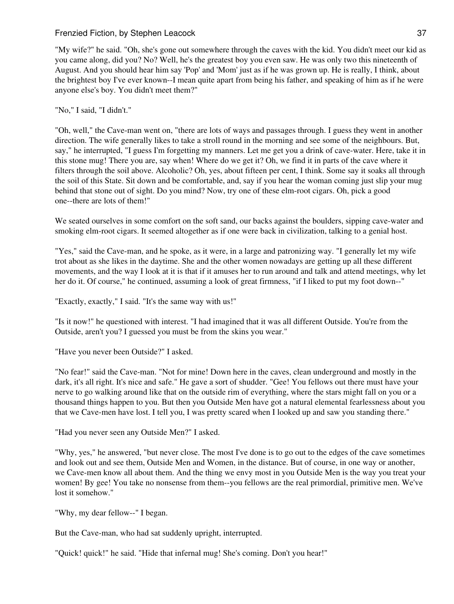"My wife?" he said. "Oh, she's gone out somewhere through the caves with the kid. You didn't meet our kid as you came along, did you? No? Well, he's the greatest boy you even saw. He was only two this nineteenth of August. And you should hear him say 'Pop' and 'Mom' just as if he was grown up. He is really, I think, about the brightest boy I've ever known--I mean quite apart from being his father, and speaking of him as if he were anyone else's boy. You didn't meet them?"

# "No," I said, "I didn't."

"Oh, well," the Cave-man went on, "there are lots of ways and passages through. I guess they went in another direction. The wife generally likes to take a stroll round in the morning and see some of the neighbours. But, say," he interrupted, "I guess I'm forgetting my manners. Let me get you a drink of cave-water. Here, take it in this stone mug! There you are, say when! Where do we get it? Oh, we find it in parts of the cave where it filters through the soil above. Alcoholic? Oh, yes, about fifteen per cent, I think. Some say it soaks all through the soil of this State. Sit down and be comfortable, and, say if you hear the woman coming just slip your mug behind that stone out of sight. Do you mind? Now, try one of these elm-root cigars. Oh, pick a good one--there are lots of them!"

We seated ourselves in some comfort on the soft sand, our backs against the boulders, sipping cave-water and smoking elm-root cigars. It seemed altogether as if one were back in civilization, talking to a genial host.

"Yes," said the Cave-man, and he spoke, as it were, in a large and patronizing way. "I generally let my wife trot about as she likes in the daytime. She and the other women nowadays are getting up all these different movements, and the way I look at it is that if it amuses her to run around and talk and attend meetings, why let her do it. Of course," he continued, assuming a look of great firmness, "if I liked to put my foot down--"

"Exactly, exactly," I said. "It's the same way with us!"

"Is it now!" he questioned with interest. "I had imagined that it was all different Outside. You're from the Outside, aren't you? I guessed you must be from the skins you wear."

"Have you never been Outside?" I asked.

"No fear!" said the Cave-man. "Not for mine! Down here in the caves, clean underground and mostly in the dark, it's all right. It's nice and safe." He gave a sort of shudder. "Gee! You fellows out there must have your nerve to go walking around like that on the outside rim of everything, where the stars might fall on you or a thousand things happen to you. But then you Outside Men have got a natural elemental fearlessness about you that we Cave-men have lost. I tell you, I was pretty scared when I looked up and saw you standing there."

"Had you never seen any Outside Men?" I asked.

"Why, yes," he answered, "but never close. The most I've done is to go out to the edges of the cave sometimes and look out and see them, Outside Men and Women, in the distance. But of course, in one way or another, we Cave-men know all about them. And the thing we envy most in you Outside Men is the way you treat your women! By gee! You take no nonsense from them--you fellows are the real primordial, primitive men. We've lost it somehow."

"Why, my dear fellow--" I began.

But the Cave-man, who had sat suddenly upright, interrupted.

"Quick! quick!" he said. "Hide that infernal mug! She's coming. Don't you hear!"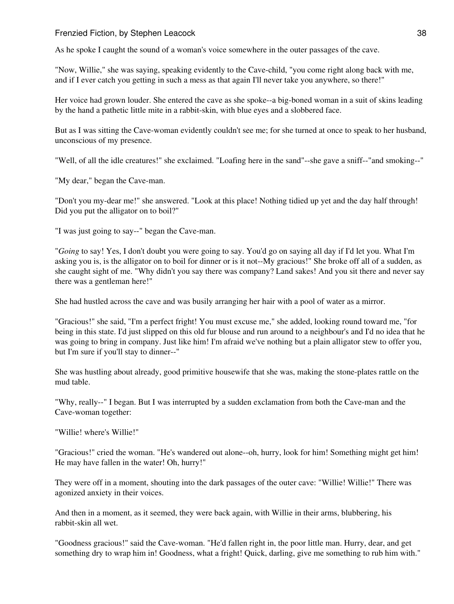As he spoke I caught the sound of a woman's voice somewhere in the outer passages of the cave.

"Now, Willie," she was saying, speaking evidently to the Cave-child, "you come right along back with me, and if I ever catch you getting in such a mess as that again I'll never take you anywhere, so there!"

Her voice had grown louder. She entered the cave as she spoke--a big-boned woman in a suit of skins leading by the hand a pathetic little mite in a rabbit-skin, with blue eyes and a slobbered face.

But as I was sitting the Cave-woman evidently couldn't see me; for she turned at once to speak to her husband, unconscious of my presence.

"Well, of all the idle creatures!" she exclaimed. "Loafing here in the sand"--she gave a sniff--"and smoking--"

"My dear," began the Cave-man.

"Don't you my-dear me!" she answered. "Look at this place! Nothing tidied up yet and the day half through! Did you put the alligator on to boil?"

"I was just going to say--" began the Cave-man.

"*Going* to say! Yes, I don't doubt you were going to say. You'd go on saying all day if I'd let you. What I'm asking you is, is the alligator on to boil for dinner or is it not--My gracious!" She broke off all of a sudden, as she caught sight of me. "Why didn't you say there was company? Land sakes! And you sit there and never say there was a gentleman here!"

She had hustled across the cave and was busily arranging her hair with a pool of water as a mirror.

"Gracious!" she said, "I'm a perfect fright! You must excuse me," she added, looking round toward me, "for being in this state. I'd just slipped on this old fur blouse and run around to a neighbour's and I'd no idea that he was going to bring in company. Just like him! I'm afraid we've nothing but a plain alligator stew to offer you, but I'm sure if you'll stay to dinner--"

She was hustling about already, good primitive housewife that she was, making the stone-plates rattle on the mud table.

"Why, really--" I began. But I was interrupted by a sudden exclamation from both the Cave-man and the Cave-woman together:

"Willie! where's Willie!"

"Gracious!" cried the woman. "He's wandered out alone--oh, hurry, look for him! Something might get him! He may have fallen in the water! Oh, hurry!"

They were off in a moment, shouting into the dark passages of the outer cave: "Willie! Willie!" There was agonized anxiety in their voices.

And then in a moment, as it seemed, they were back again, with Willie in their arms, blubbering, his rabbit-skin all wet.

"Goodness gracious!" said the Cave-woman. "He'd fallen right in, the poor little man. Hurry, dear, and get something dry to wrap him in! Goodness, what a fright! Quick, darling, give me something to rub him with."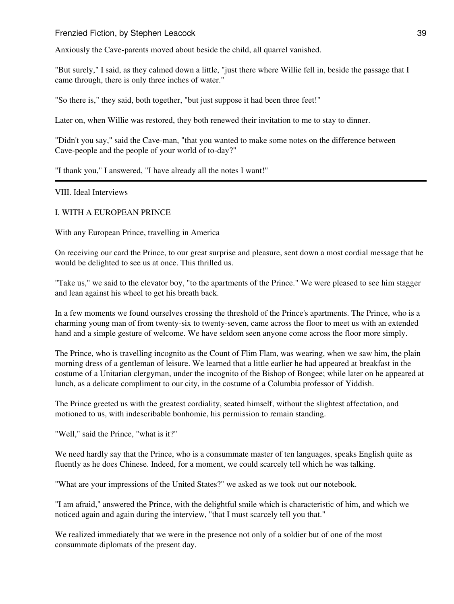Anxiously the Cave-parents moved about beside the child, all quarrel vanished.

"But surely," I said, as they calmed down a little, "just there where Willie fell in, beside the passage that I came through, there is only three inches of water."

"So there is," they said, both together, "but just suppose it had been three feet!"

Later on, when Willie was restored, they both renewed their invitation to me to stay to dinner.

"Didn't you say," said the Cave-man, "that you wanted to make some notes on the difference between Cave-people and the people of your world of to-day?"

"I thank you," I answered, "I have already all the notes I want!"

VIII. Ideal Interviews

I. WITH A EUROPEAN PRINCE

With any European Prince, travelling in America

On receiving our card the Prince, to our great surprise and pleasure, sent down a most cordial message that he would be delighted to see us at once. This thrilled us.

"Take us," we said to the elevator boy, "to the apartments of the Prince." We were pleased to see him stagger and lean against his wheel to get his breath back.

In a few moments we found ourselves crossing the threshold of the Prince's apartments. The Prince, who is a charming young man of from twenty-six to twenty-seven, came across the floor to meet us with an extended hand and a simple gesture of welcome. We have seldom seen anyone come across the floor more simply.

The Prince, who is travelling incognito as the Count of Flim Flam, was wearing, when we saw him, the plain morning dress of a gentleman of leisure. We learned that a little earlier he had appeared at breakfast in the costume of a Unitarian clergyman, under the incognito of the Bishop of Bongee; while later on he appeared at lunch, as a delicate compliment to our city, in the costume of a Columbia professor of Yiddish.

The Prince greeted us with the greatest cordiality, seated himself, without the slightest affectation, and motioned to us, with indescribable bonhomie, his permission to remain standing.

"Well," said the Prince, "what is it?"

We need hardly say that the Prince, who is a consummate master of ten languages, speaks English quite as fluently as he does Chinese. Indeed, for a moment, we could scarcely tell which he was talking.

"What are your impressions of the United States?" we asked as we took out our notebook.

"I am afraid," answered the Prince, with the delightful smile which is characteristic of him, and which we noticed again and again during the interview, "that I must scarcely tell you that."

We realized immediately that we were in the presence not only of a soldier but of one of the most consummate diplomats of the present day.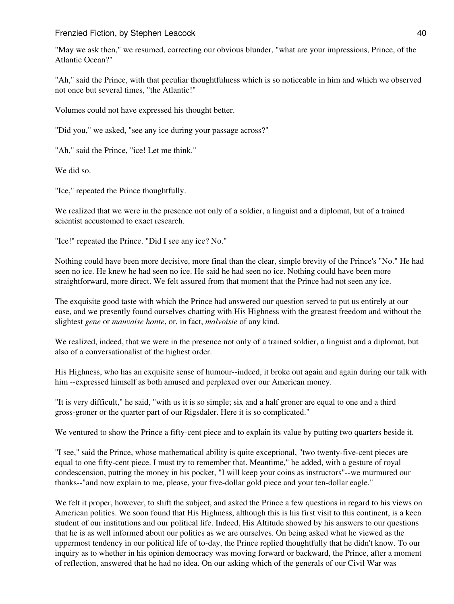"May we ask then," we resumed, correcting our obvious blunder, "what are your impressions, Prince, of the Atlantic Ocean?"

"Ah," said the Prince, with that peculiar thoughtfulness which is so noticeable in him and which we observed not once but several times, "the Atlantic!"

Volumes could not have expressed his thought better.

"Did you," we asked, "see any ice during your passage across?"

"Ah," said the Prince, "ice! Let me think."

We did so.

"Ice," repeated the Prince thoughtfully.

We realized that we were in the presence not only of a soldier, a linguist and a diplomat, but of a trained scientist accustomed to exact research.

"Ice!" repeated the Prince. "Did I see any ice? No."

Nothing could have been more decisive, more final than the clear, simple brevity of the Prince's "No." He had seen no ice. He knew he had seen no ice. He said he had seen no ice. Nothing could have been more straightforward, more direct. We felt assured from that moment that the Prince had not seen any ice.

The exquisite good taste with which the Prince had answered our question served to put us entirely at our ease, and we presently found ourselves chatting with His Highness with the greatest freedom and without the slightest *gene* or *mauvaise honte*, or, in fact, *malvoisie* of any kind.

We realized, indeed, that we were in the presence not only of a trained soldier, a linguist and a diplomat, but also of a conversationalist of the highest order.

His Highness, who has an exquisite sense of humour--indeed, it broke out again and again during our talk with him --expressed himself as both amused and perplexed over our American money.

"It is very difficult," he said, "with us it is so simple; six and a half groner are equal to one and a third gross-groner or the quarter part of our Rigsdaler. Here it is so complicated."

We ventured to show the Prince a fifty-cent piece and to explain its value by putting two quarters beside it.

"I see," said the Prince, whose mathematical ability is quite exceptional, "two twenty-five-cent pieces are equal to one fifty-cent piece. I must try to remember that. Meantime," he added, with a gesture of royal condescension, putting the money in his pocket, "I will keep your coins as instructors"--we murmured our thanks--"and now explain to me, please, your five-dollar gold piece and your ten-dollar eagle."

We felt it proper, however, to shift the subject, and asked the Prince a few questions in regard to his views on American politics. We soon found that His Highness, although this is his first visit to this continent, is a keen student of our institutions and our political life. Indeed, His Altitude showed by his answers to our questions that he is as well informed about our politics as we are ourselves. On being asked what he viewed as the uppermost tendency in our political life of to-day, the Prince replied thoughtfully that he didn't know. To our inquiry as to whether in his opinion democracy was moving forward or backward, the Prince, after a moment of reflection, answered that he had no idea. On our asking which of the generals of our Civil War was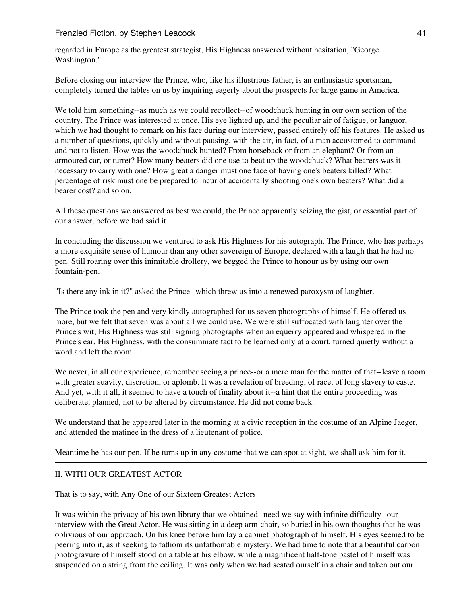regarded in Europe as the greatest strategist, His Highness answered without hesitation, "George Washington."

Before closing our interview the Prince, who, like his illustrious father, is an enthusiastic sportsman, completely turned the tables on us by inquiring eagerly about the prospects for large game in America.

We told him something--as much as we could recollect--of woodchuck hunting in our own section of the country. The Prince was interested at once. His eye lighted up, and the peculiar air of fatigue, or languor, which we had thought to remark on his face during our interview, passed entirely off his features. He asked us a number of questions, quickly and without pausing, with the air, in fact, of a man accustomed to command and not to listen. How was the woodchuck hunted? From horseback or from an elephant? Or from an armoured car, or turret? How many beaters did one use to beat up the woodchuck? What bearers was it necessary to carry with one? How great a danger must one face of having one's beaters killed? What percentage of risk must one be prepared to incur of accidentally shooting one's own beaters? What did a bearer cost? and so on.

All these questions we answered as best we could, the Prince apparently seizing the gist, or essential part of our answer, before we had said it.

In concluding the discussion we ventured to ask His Highness for his autograph. The Prince, who has perhaps a more exquisite sense of humour than any other sovereign of Europe, declared with a laugh that he had no pen. Still roaring over this inimitable drollery, we begged the Prince to honour us by using our own fountain-pen.

"Is there any ink in it?" asked the Prince--which threw us into a renewed paroxysm of laughter.

The Prince took the pen and very kindly autographed for us seven photographs of himself. He offered us more, but we felt that seven was about all we could use. We were still suffocated with laughter over the Prince's wit; His Highness was still signing photographs when an equerry appeared and whispered in the Prince's ear. His Highness, with the consummate tact to be learned only at a court, turned quietly without a word and left the room.

We never, in all our experience, remember seeing a prince--or a mere man for the matter of that--leave a room with greater suavity, discretion, or aplomb. It was a revelation of breeding, of race, of long slavery to caste. And yet, with it all, it seemed to have a touch of finality about it--a hint that the entire proceeding was deliberate, planned, not to be altered by circumstance. He did not come back.

We understand that he appeared later in the morning at a civic reception in the costume of an Alpine Jaeger, and attended the matinee in the dress of a lieutenant of police.

Meantime he has our pen. If he turns up in any costume that we can spot at sight, we shall ask him for it.

# II. WITH OUR GREATEST ACTOR

That is to say, with Any One of our Sixteen Greatest Actors

It was within the privacy of his own library that we obtained--need we say with infinite difficulty--our interview with the Great Actor. He was sitting in a deep arm-chair, so buried in his own thoughts that he was oblivious of our approach. On his knee before him lay a cabinet photograph of himself. His eyes seemed to be peering into it, as if seeking to fathom its unfathomable mystery. We had time to note that a beautiful carbon photogravure of himself stood on a table at his elbow, while a magnificent half-tone pastel of himself was suspended on a string from the ceiling. It was only when we had seated ourself in a chair and taken out our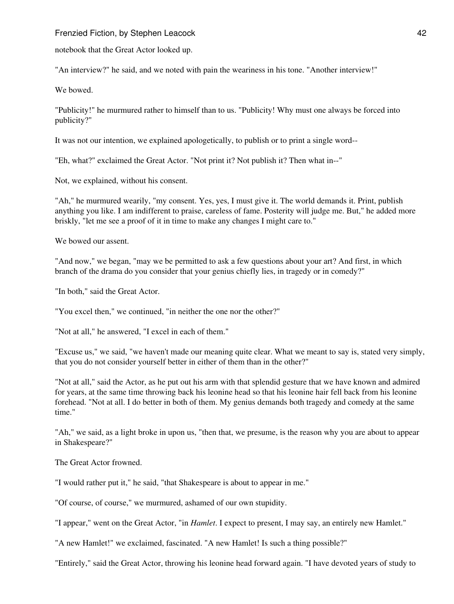notebook that the Great Actor looked up.

"An interview?" he said, and we noted with pain the weariness in his tone. "Another interview!"

We bowed.

"Publicity!" he murmured rather to himself than to us. "Publicity! Why must one always be forced into publicity?"

It was not our intention, we explained apologetically, to publish or to print a single word--

"Eh, what?" exclaimed the Great Actor. "Not print it? Not publish it? Then what in--"

Not, we explained, without his consent.

"Ah," he murmured wearily, "my consent. Yes, yes, I must give it. The world demands it. Print, publish anything you like. I am indifferent to praise, careless of fame. Posterity will judge me. But," he added more briskly, "let me see a proof of it in time to make any changes I might care to."

We bowed our assent.

"And now," we began, "may we be permitted to ask a few questions about your art? And first, in which branch of the drama do you consider that your genius chiefly lies, in tragedy or in comedy?"

"In both," said the Great Actor.

"You excel then," we continued, "in neither the one nor the other?"

"Not at all," he answered, "I excel in each of them."

"Excuse us," we said, "we haven't made our meaning quite clear. What we meant to say is, stated very simply, that you do not consider yourself better in either of them than in the other?"

"Not at all," said the Actor, as he put out his arm with that splendid gesture that we have known and admired for years, at the same time throwing back his leonine head so that his leonine hair fell back from his leonine forehead. "Not at all. I do better in both of them. My genius demands both tragedy and comedy at the same time."

"Ah," we said, as a light broke in upon us, "then that, we presume, is the reason why you are about to appear in Shakespeare?"

The Great Actor frowned.

"I would rather put it," he said, "that Shakespeare is about to appear in me."

"Of course, of course," we murmured, ashamed of our own stupidity.

"I appear," went on the Great Actor, "in *Hamlet*. I expect to present, I may say, an entirely new Hamlet."

"A new Hamlet!" we exclaimed, fascinated. "A new Hamlet! Is such a thing possible?"

"Entirely," said the Great Actor, throwing his leonine head forward again. "I have devoted years of study to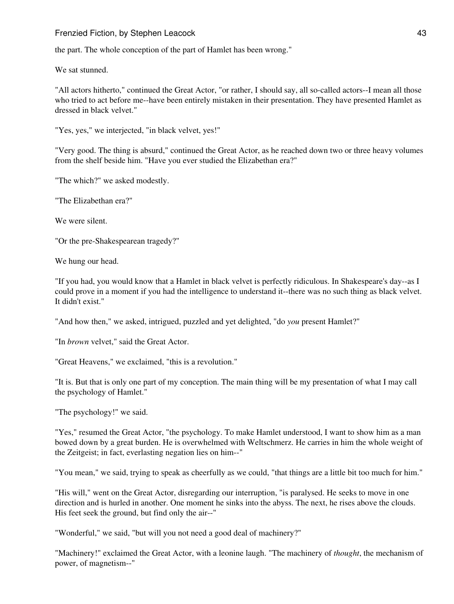the part. The whole conception of the part of Hamlet has been wrong."

We sat stunned.

"All actors hitherto," continued the Great Actor, "or rather, I should say, all so-called actors--I mean all those who tried to act before me--have been entirely mistaken in their presentation. They have presented Hamlet as dressed in black velvet."

"Yes, yes," we interjected, "in black velvet, yes!"

"Very good. The thing is absurd," continued the Great Actor, as he reached down two or three heavy volumes from the shelf beside him. "Have you ever studied the Elizabethan era?"

"The which?" we asked modestly.

"The Elizabethan era?"

We were silent.

"Or the pre-Shakespearean tragedy?"

We hung our head.

"If you had, you would know that a Hamlet in black velvet is perfectly ridiculous. In Shakespeare's day--as I could prove in a moment if you had the intelligence to understand it--there was no such thing as black velvet. It didn't exist."

"And how then," we asked, intrigued, puzzled and yet delighted, "do *you* present Hamlet?"

"In *brown* velvet," said the Great Actor.

"Great Heavens," we exclaimed, "this is a revolution."

"It is. But that is only one part of my conception. The main thing will be my presentation of what I may call the psychology of Hamlet."

"The psychology!" we said.

"Yes," resumed the Great Actor, "the psychology. To make Hamlet understood, I want to show him as a man bowed down by a great burden. He is overwhelmed with Weltschmerz. He carries in him the whole weight of the Zeitgeist; in fact, everlasting negation lies on him--"

"You mean," we said, trying to speak as cheerfully as we could, "that things are a little bit too much for him."

"His will," went on the Great Actor, disregarding our interruption, "is paralysed. He seeks to move in one direction and is hurled in another. One moment he sinks into the abyss. The next, he rises above the clouds. His feet seek the ground, but find only the air--"

"Wonderful," we said, "but will you not need a good deal of machinery?"

"Machinery!" exclaimed the Great Actor, with a leonine laugh. "The machinery of *thought*, the mechanism of power, of magnetism--"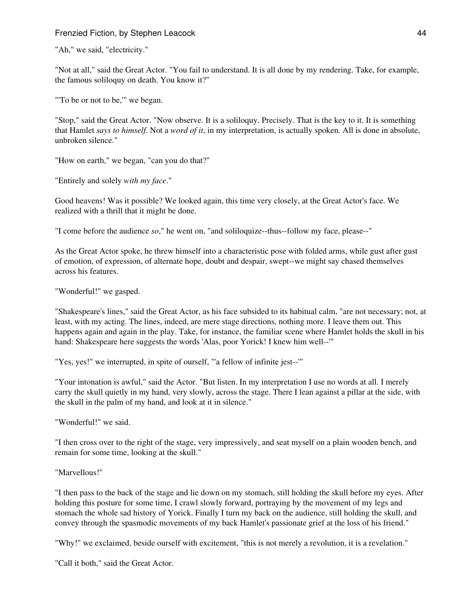"Ah," we said, "electricity."

"Not at all," said the Great Actor. "You fail to understand. It is all done by my rendering. Take, for example, the famous soliloquy on death. You know it?"

"To be or not to be," we began.

"Stop," said the Great Actor. "Now observe. It is a soliloquy. Precisely. That is the key to it. It is something that Hamlet *says to himself*. Not a *word of it*, in my interpretation, is actually spoken. All is done in absolute, unbroken silence."

"How on earth," we began, "can you do that?"

"Entirely and solely *with my face*."

Good heavens! Was it possible? We looked again, this time very closely, at the Great Actor's face. We realized with a thrill that it might be done.

"I come before the audience *so*," he went on, "and soliloquize--thus--follow my face, please--"

As the Great Actor spoke, he threw himself into a characteristic pose with folded arms, while gust after gust of emotion, of expression, of alternate hope, doubt and despair, swept--we might say chased themselves across his features.

"Wonderful!" we gasped.

"Shakespeare's lines," said the Great Actor, as his face subsided to its habitual calm, "are not necessary; not, at least, with my acting. The lines, indeed, are mere stage directions, nothing more. I leave them out. This happens again and again in the play. Take, for instance, the familiar scene where Hamlet holds the skull in his hand: Shakespeare here suggests the words 'Alas, poor Yorick! I knew him well--'"

"Yes, yes!" we interrupted, in spite of ourself, "'a fellow of infinite jest--'"

"Your intonation is awful," said the Actor. "But listen. In my interpretation I use no words at all. I merely carry the skull quietly in my hand, very slowly, across the stage. There I lean against a pillar at the side, with the skull in the palm of my hand, and look at it in silence."

"Wonderful!" we said.

"I then cross over to the right of the stage, very impressively, and seat myself on a plain wooden bench, and remain for some time, looking at the skull."

### "Marvellous!"

"I then pass to the back of the stage and lie down on my stomach, still holding the skull before my eyes. After holding this posture for some time, I crawl slowly forward, portraying by the movement of my legs and stomach the whole sad history of Yorick. Finally I turn my back on the audience, still holding the skull, and convey through the spasmodic movements of my back Hamlet's passionate grief at the loss of his friend."

"Why!" we exclaimed, beside ourself with excitement, "this is not merely a revolution, it is a revelation."

"Call it both," said the Great Actor.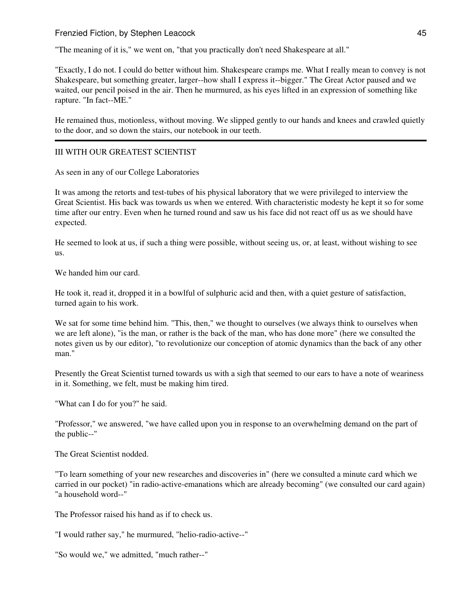"The meaning of it is," we went on, "that you practically don't need Shakespeare at all."

"Exactly, I do not. I could do better without him. Shakespeare cramps me. What I really mean to convey is not Shakespeare, but something greater, larger--how shall I express it--bigger." The Great Actor paused and we waited, our pencil poised in the air. Then he murmured, as his eyes lifted in an expression of something like rapture. "In fact--ME."

He remained thus, motionless, without moving. We slipped gently to our hands and knees and crawled quietly to the door, and so down the stairs, our notebook in our teeth.

## III WITH OUR GREATEST SCIENTIST

As seen in any of our College Laboratories

It was among the retorts and test-tubes of his physical laboratory that we were privileged to interview the Great Scientist. His back was towards us when we entered. With characteristic modesty he kept it so for some time after our entry. Even when he turned round and saw us his face did not react off us as we should have expected.

He seemed to look at us, if such a thing were possible, without seeing us, or, at least, without wishing to see us.

We handed him our card.

He took it, read it, dropped it in a bowlful of sulphuric acid and then, with a quiet gesture of satisfaction, turned again to his work.

We sat for some time behind him. "This, then," we thought to ourselves (we always think to ourselves when we are left alone), "is the man, or rather is the back of the man, who has done more" (here we consulted the notes given us by our editor), "to revolutionize our conception of atomic dynamics than the back of any other man."

Presently the Great Scientist turned towards us with a sigh that seemed to our ears to have a note of weariness in it. Something, we felt, must be making him tired.

"What can I do for you?" he said.

"Professor," we answered, "we have called upon you in response to an overwhelming demand on the part of the public--"

The Great Scientist nodded.

"To learn something of your new researches and discoveries in" (here we consulted a minute card which we carried in our pocket) "in radio-active-emanations which are already becoming" (we consulted our card again) "a household word--"

The Professor raised his hand as if to check us.

"I would rather say," he murmured, "helio-radio-active--"

"So would we," we admitted, "much rather--"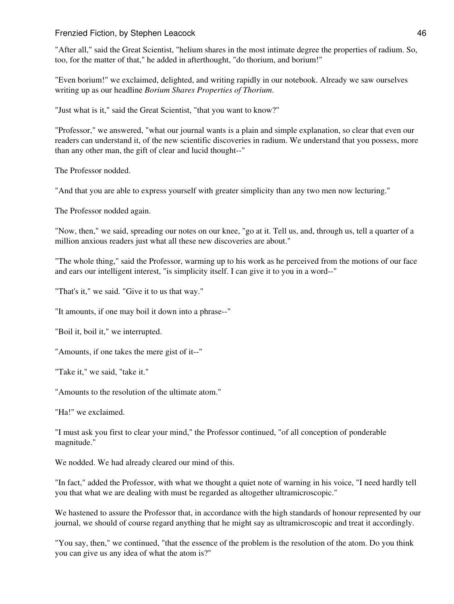"After all," said the Great Scientist, "helium shares in the most intimate degree the properties of radium. So, too, for the matter of that," he added in afterthought, "do thorium, and borium!"

"Even borium!" we exclaimed, delighted, and writing rapidly in our notebook. Already we saw ourselves writing up as our headline *Borium Shares Properties of Thorium*.

"Just what is it," said the Great Scientist, "that you want to know?"

"Professor," we answered, "what our journal wants is a plain and simple explanation, so clear that even our readers can understand it, of the new scientific discoveries in radium. We understand that you possess, more than any other man, the gift of clear and lucid thought--"

The Professor nodded.

"And that you are able to express yourself with greater simplicity than any two men now lecturing."

The Professor nodded again.

"Now, then," we said, spreading our notes on our knee, "go at it. Tell us, and, through us, tell a quarter of a million anxious readers just what all these new discoveries are about."

"The whole thing," said the Professor, warming up to his work as he perceived from the motions of our face and ears our intelligent interest, "is simplicity itself. I can give it to you in a word--"

"That's it," we said. "Give it to us that way."

"It amounts, if one may boil it down into a phrase--"

"Boil it, boil it," we interrupted.

"Amounts, if one takes the mere gist of it--"

"Take it," we said, "take it."

"Amounts to the resolution of the ultimate atom."

"Ha!" we exclaimed.

"I must ask you first to clear your mind," the Professor continued, "of all conception of ponderable magnitude."

We nodded. We had already cleared our mind of this.

"In fact," added the Professor, with what we thought a quiet note of warning in his voice, "I need hardly tell you that what we are dealing with must be regarded as altogether ultramicroscopic."

We hastened to assure the Professor that, in accordance with the high standards of honour represented by our journal, we should of course regard anything that he might say as ultramicroscopic and treat it accordingly.

"You say, then," we continued, "that the essence of the problem is the resolution of the atom. Do you think you can give us any idea of what the atom is?"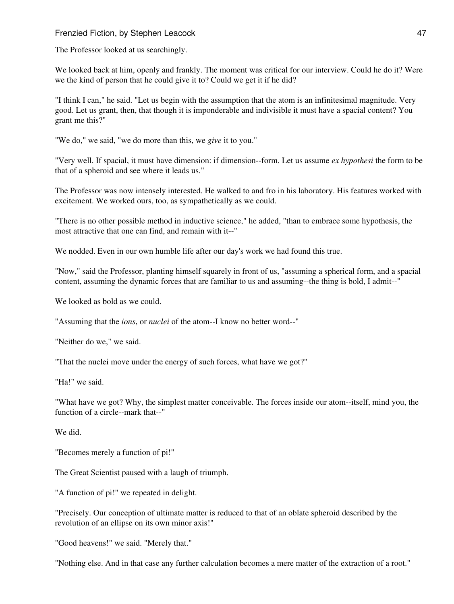The Professor looked at us searchingly.

We looked back at him, openly and frankly. The moment was critical for our interview. Could he do it? Were we the kind of person that he could give it to? Could we get it if he did?

"I think I can," he said. "Let us begin with the assumption that the atom is an infinitesimal magnitude. Very good. Let us grant, then, that though it is imponderable and indivisible it must have a spacial content? You grant me this?"

"We do," we said, "we do more than this, we *give* it to you."

"Very well. If spacial, it must have dimension: if dimension--form. Let us assume *ex hypothesi* the form to be that of a spheroid and see where it leads us."

The Professor was now intensely interested. He walked to and fro in his laboratory. His features worked with excitement. We worked ours, too, as sympathetically as we could.

"There is no other possible method in inductive science," he added, "than to embrace some hypothesis, the most attractive that one can find, and remain with it--"

We nodded. Even in our own humble life after our day's work we had found this true.

"Now," said the Professor, planting himself squarely in front of us, "assuming a spherical form, and a spacial content, assuming the dynamic forces that are familiar to us and assuming--the thing is bold, I admit--"

We looked as bold as we could.

"Assuming that the *ions*, or *nuclei* of the atom--I know no better word--"

"Neither do we," we said.

"That the nuclei move under the energy of such forces, what have we got?"

"Ha!" we said.

"What have we got? Why, the simplest matter conceivable. The forces inside our atom--itself, mind you, the function of a circle--mark that--"

We did.

"Becomes merely a function of pi!"

The Great Scientist paused with a laugh of triumph.

"A function of pi!" we repeated in delight.

"Precisely. Our conception of ultimate matter is reduced to that of an oblate spheroid described by the revolution of an ellipse on its own minor axis!"

"Good heavens!" we said. "Merely that."

"Nothing else. And in that case any further calculation becomes a mere matter of the extraction of a root."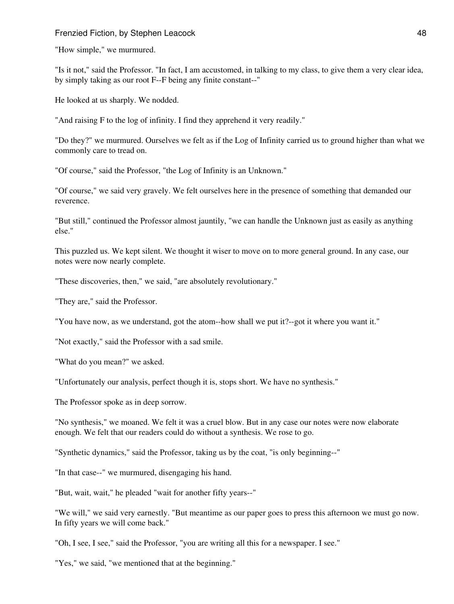"How simple," we murmured.

"Is it not," said the Professor. "In fact, I am accustomed, in talking to my class, to give them a very clear idea, by simply taking as our root F--F being any finite constant--"

He looked at us sharply. We nodded.

"And raising F to the log of infinity. I find they apprehend it very readily."

"Do they?" we murmured. Ourselves we felt as if the Log of Infinity carried us to ground higher than what we commonly care to tread on.

"Of course," said the Professor, "the Log of Infinity is an Unknown."

"Of course," we said very gravely. We felt ourselves here in the presence of something that demanded our reverence.

"But still," continued the Professor almost jauntily, "we can handle the Unknown just as easily as anything else."

This puzzled us. We kept silent. We thought it wiser to move on to more general ground. In any case, our notes were now nearly complete.

"These discoveries, then," we said, "are absolutely revolutionary."

"They are," said the Professor.

"You have now, as we understand, got the atom--how shall we put it?--got it where you want it."

"Not exactly," said the Professor with a sad smile.

"What do you mean?" we asked.

"Unfortunately our analysis, perfect though it is, stops short. We have no synthesis."

The Professor spoke as in deep sorrow.

"No synthesis," we moaned. We felt it was a cruel blow. But in any case our notes were now elaborate enough. We felt that our readers could do without a synthesis. We rose to go.

"Synthetic dynamics," said the Professor, taking us by the coat, "is only beginning--"

"In that case--" we murmured, disengaging his hand.

"But, wait, wait," he pleaded "wait for another fifty years--"

"We will," we said very earnestly. "But meantime as our paper goes to press this afternoon we must go now. In fifty years we will come back."

"Oh, I see, I see," said the Professor, "you are writing all this for a newspaper. I see."

"Yes," we said, "we mentioned that at the beginning."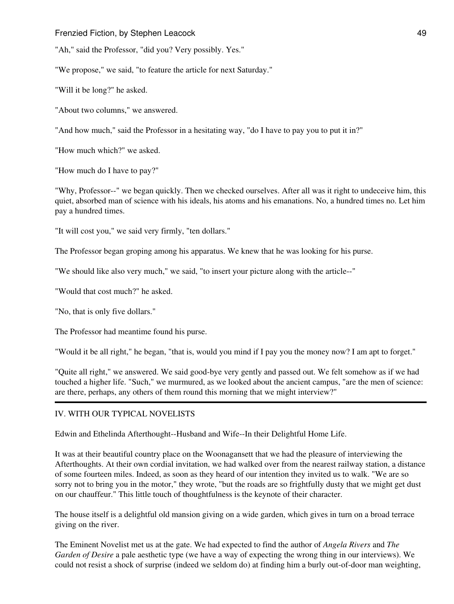"Ah," said the Professor, "did you? Very possibly. Yes."

"We propose," we said, "to feature the article for next Saturday."

"Will it be long?" he asked.

"About two columns," we answered.

"And how much," said the Professor in a hesitating way, "do I have to pay you to put it in?"

"How much which?" we asked.

"How much do I have to pay?"

"Why, Professor--" we began quickly. Then we checked ourselves. After all was it right to undeceive him, this quiet, absorbed man of science with his ideals, his atoms and his emanations. No, a hundred times no. Let him pay a hundred times.

"It will cost you," we said very firmly, "ten dollars."

The Professor began groping among his apparatus. We knew that he was looking for his purse.

"We should like also very much," we said, "to insert your picture along with the article--"

"Would that cost much?" he asked.

"No, that is only five dollars."

The Professor had meantime found his purse.

"Would it be all right," he began, "that is, would you mind if I pay you the money now? I am apt to forget."

"Quite all right," we answered. We said good-bye very gently and passed out. We felt somehow as if we had touched a higher life. "Such," we murmured, as we looked about the ancient campus, "are the men of science: are there, perhaps, any others of them round this morning that we might interview?"

## IV. WITH OUR TYPICAL NOVELISTS

Edwin and Ethelinda Afterthought--Husband and Wife--In their Delightful Home Life.

It was at their beautiful country place on the Woonagansett that we had the pleasure of interviewing the Afterthoughts. At their own cordial invitation, we had walked over from the nearest railway station, a distance of some fourteen miles. Indeed, as soon as they heard of our intention they invited us to walk. "We are so sorry not to bring you in the motor," they wrote, "but the roads are so frightfully dusty that we might get dust on our chauffeur." This little touch of thoughtfulness is the keynote of their character.

The house itself is a delightful old mansion giving on a wide garden, which gives in turn on a broad terrace giving on the river.

The Eminent Novelist met us at the gate. We had expected to find the author of *Angela Rivers* and *The Garden of Desire* a pale aesthetic type (we have a way of expecting the wrong thing in our interviews). We could not resist a shock of surprise (indeed we seldom do) at finding him a burly out-of-door man weighting,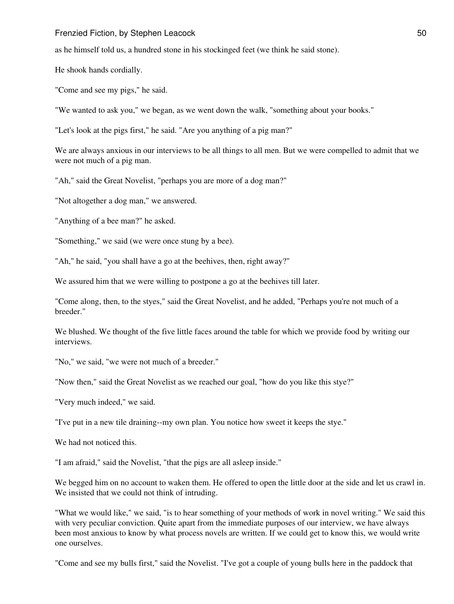as he himself told us, a hundred stone in his stockinged feet (we think he said stone).

He shook hands cordially.

"Come and see my pigs," he said.

"We wanted to ask you," we began, as we went down the walk, "something about your books."

"Let's look at the pigs first," he said. "Are you anything of a pig man?"

We are always anxious in our interviews to be all things to all men. But we were compelled to admit that we were not much of a pig man.

"Ah," said the Great Novelist, "perhaps you are more of a dog man?"

"Not altogether a dog man," we answered.

"Anything of a bee man?" he asked.

"Something," we said (we were once stung by a bee).

"Ah," he said, "you shall have a go at the beehives, then, right away?"

We assured him that we were willing to postpone a go at the beehives till later.

"Come along, then, to the styes," said the Great Novelist, and he added, "Perhaps you're not much of a breeder."

We blushed. We thought of the five little faces around the table for which we provide food by writing our interviews.

"No," we said, "we were not much of a breeder."

"Now then," said the Great Novelist as we reached our goal, "how do you like this stye?"

"Very much indeed," we said.

"I've put in a new tile draining--my own plan. You notice how sweet it keeps the stye."

We had not noticed this.

"I am afraid," said the Novelist, "that the pigs are all asleep inside."

We begged him on no account to waken them. He offered to open the little door at the side and let us crawl in. We insisted that we could not think of intruding.

"What we would like," we said, "is to hear something of your methods of work in novel writing." We said this with very peculiar conviction. Quite apart from the immediate purposes of our interview, we have always been most anxious to know by what process novels are written. If we could get to know this, we would write one ourselves.

"Come and see my bulls first," said the Novelist. "I've got a couple of young bulls here in the paddock that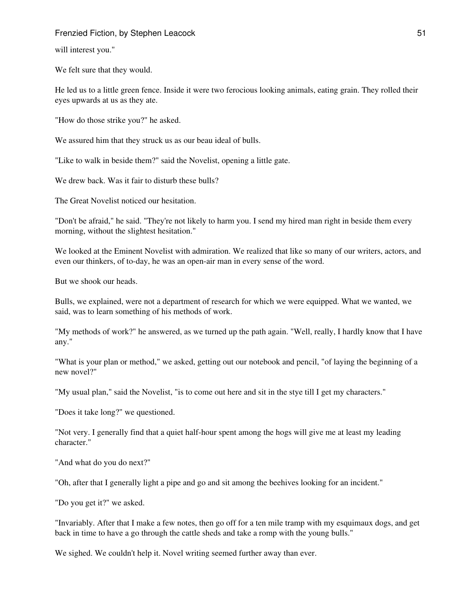will interest you."

We felt sure that they would.

He led us to a little green fence. Inside it were two ferocious looking animals, eating grain. They rolled their eyes upwards at us as they ate.

"How do those strike you?" he asked.

We assured him that they struck us as our beau ideal of bulls.

"Like to walk in beside them?" said the Novelist, opening a little gate.

We drew back. Was it fair to disturb these bulls?

The Great Novelist noticed our hesitation.

"Don't be afraid," he said. "They're not likely to harm you. I send my hired man right in beside them every morning, without the slightest hesitation."

We looked at the Eminent Novelist with admiration. We realized that like so many of our writers, actors, and even our thinkers, of to-day, he was an open-air man in every sense of the word.

But we shook our heads.

Bulls, we explained, were not a department of research for which we were equipped. What we wanted, we said, was to learn something of his methods of work.

"My methods of work?" he answered, as we turned up the path again. "Well, really, I hardly know that I have any."

"What is your plan or method," we asked, getting out our notebook and pencil, "of laying the beginning of a new novel?"

"My usual plan," said the Novelist, "is to come out here and sit in the stye till I get my characters."

"Does it take long?" we questioned.

"Not very. I generally find that a quiet half-hour spent among the hogs will give me at least my leading character."

"And what do you do next?"

"Oh, after that I generally light a pipe and go and sit among the beehives looking for an incident."

"Do you get it?" we asked.

"Invariably. After that I make a few notes, then go off for a ten mile tramp with my esquimaux dogs, and get back in time to have a go through the cattle sheds and take a romp with the young bulls."

We sighed. We couldn't help it. Novel writing seemed further away than ever.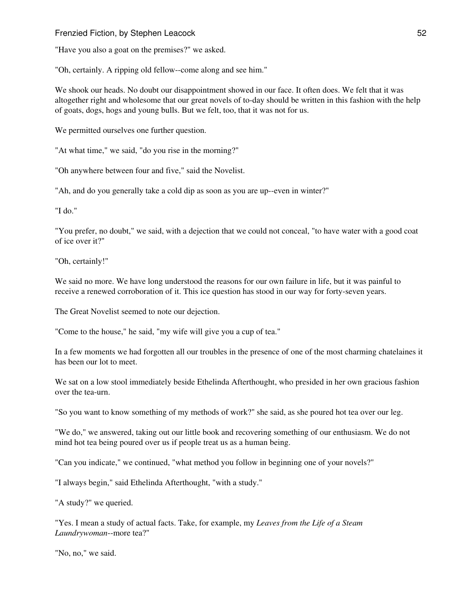"Have you also a goat on the premises?" we asked.

"Oh, certainly. A ripping old fellow--come along and see him."

We shook our heads. No doubt our disappointment showed in our face. It often does. We felt that it was altogether right and wholesome that our great novels of to-day should be written in this fashion with the help of goats, dogs, hogs and young bulls. But we felt, too, that it was not for us.

We permitted ourselves one further question.

"At what time," we said, "do you rise in the morning?"

"Oh anywhere between four and five," said the Novelist.

"Ah, and do you generally take a cold dip as soon as you are up--even in winter?"

"I do."

"You prefer, no doubt," we said, with a dejection that we could not conceal, "to have water with a good coat of ice over it?"

"Oh, certainly!"

We said no more. We have long understood the reasons for our own failure in life, but it was painful to receive a renewed corroboration of it. This ice question has stood in our way for forty-seven years.

The Great Novelist seemed to note our dejection.

"Come to the house," he said, "my wife will give you a cup of tea."

In a few moments we had forgotten all our troubles in the presence of one of the most charming chatelaines it has been our lot to meet.

We sat on a low stool immediately beside Ethelinda Afterthought, who presided in her own gracious fashion over the tea-urn.

"So you want to know something of my methods of work?" she said, as she poured hot tea over our leg.

"We do," we answered, taking out our little book and recovering something of our enthusiasm. We do not mind hot tea being poured over us if people treat us as a human being.

"Can you indicate," we continued, "what method you follow in beginning one of your novels?"

"I always begin," said Ethelinda Afterthought, "with a study."

"A study?" we queried.

"Yes. I mean a study of actual facts. Take, for example, my *Leaves from the Life of a Steam Laundrywoman*--more tea?"

"No, no," we said.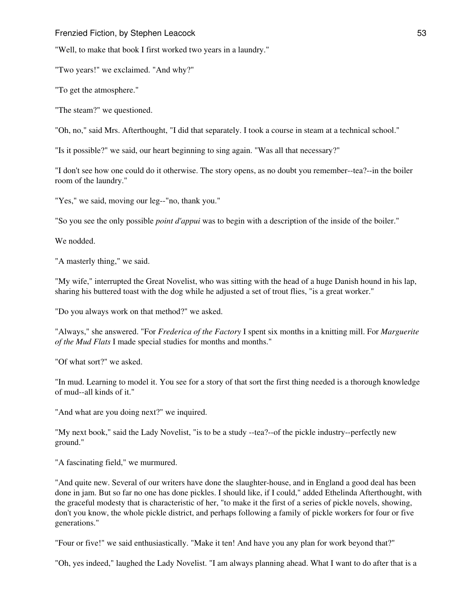"Well, to make that book I first worked two years in a laundry."

"Two years!" we exclaimed. "And why?"

"To get the atmosphere."

"The steam?" we questioned.

"Oh, no," said Mrs. Afterthought, "I did that separately. I took a course in steam at a technical school."

"Is it possible?" we said, our heart beginning to sing again. "Was all that necessary?"

"I don't see how one could do it otherwise. The story opens, as no doubt you remember--tea?--in the boiler room of the laundry."

"Yes," we said, moving our leg--"no, thank you."

"So you see the only possible *point d'appui* was to begin with a description of the inside of the boiler."

We nodded.

"A masterly thing," we said.

"My wife," interrupted the Great Novelist, who was sitting with the head of a huge Danish hound in his lap, sharing his buttered toast with the dog while he adjusted a set of trout flies, "is a great worker."

"Do you always work on that method?" we asked.

"Always," she answered. "For *Frederica of the Factory* I spent six months in a knitting mill. For *Marguerite of the Mud Flats* I made special studies for months and months."

"Of what sort?" we asked.

"In mud. Learning to model it. You see for a story of that sort the first thing needed is a thorough knowledge of mud--all kinds of it."

"And what are you doing next?" we inquired.

"My next book," said the Lady Novelist, "is to be a study --tea?--of the pickle industry--perfectly new ground."

"A fascinating field," we murmured.

"And quite new. Several of our writers have done the slaughter-house, and in England a good deal has been done in jam. But so far no one has done pickles. I should like, if I could," added Ethelinda Afterthought, with the graceful modesty that is characteristic of her, "to make it the first of a series of pickle novels, showing, don't you know, the whole pickle district, and perhaps following a family of pickle workers for four or five generations."

"Four or five!" we said enthusiastically. "Make it ten! And have you any plan for work beyond that?"

"Oh, yes indeed," laughed the Lady Novelist. "I am always planning ahead. What I want to do after that is a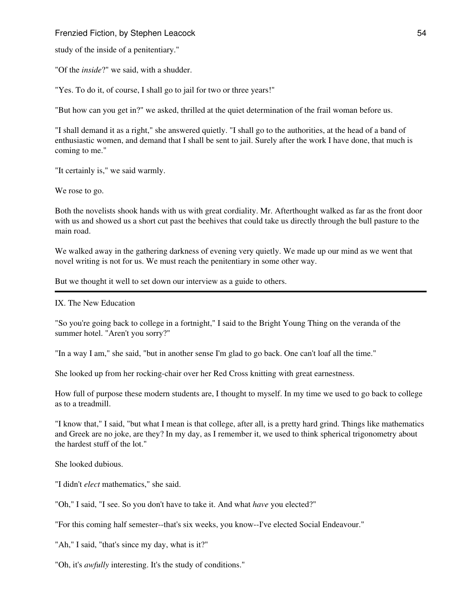study of the inside of a penitentiary."

"Of the *inside*?" we said, with a shudder.

"Yes. To do it, of course, I shall go to jail for two or three years!"

"But how can you get in?" we asked, thrilled at the quiet determination of the frail woman before us.

"I shall demand it as a right," she answered quietly. "I shall go to the authorities, at the head of a band of enthusiastic women, and demand that I shall be sent to jail. Surely after the work I have done, that much is coming to me."

"It certainly is," we said warmly.

We rose to go.

Both the novelists shook hands with us with great cordiality. Mr. Afterthought walked as far as the front door with us and showed us a short cut past the beehives that could take us directly through the bull pasture to the main road.

We walked away in the gathering darkness of evening very quietly. We made up our mind as we went that novel writing is not for us. We must reach the penitentiary in some other way.

But we thought it well to set down our interview as a guide to others.

IX. The New Education

"So you're going back to college in a fortnight," I said to the Bright Young Thing on the veranda of the summer hotel. "Aren't you sorry?"

"In a way I am," she said, "but in another sense I'm glad to go back. One can't loaf all the time."

She looked up from her rocking-chair over her Red Cross knitting with great earnestness.

How full of purpose these modern students are, I thought to myself. In my time we used to go back to college as to a treadmill.

"I know that," I said, "but what I mean is that college, after all, is a pretty hard grind. Things like mathematics and Greek are no joke, are they? In my day, as I remember it, we used to think spherical trigonometry about the hardest stuff of the lot."

She looked dubious.

"I didn't *elect* mathematics," she said.

"Oh," I said, "I see. So you don't have to take it. And what *have* you elected?"

"For this coming half semester--that's six weeks, you know--I've elected Social Endeavour."

"Ah," I said, "that's since my day, what is it?"

"Oh, it's *awfully* interesting. It's the study of conditions."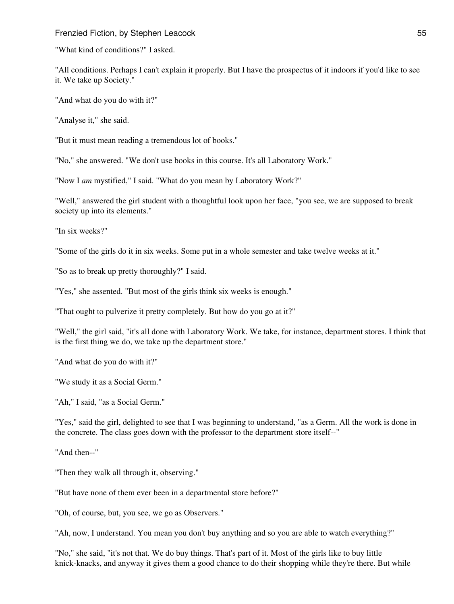"What kind of conditions?" I asked.

"All conditions. Perhaps I can't explain it properly. But I have the prospectus of it indoors if you'd like to see it. We take up Society."

"And what do you do with it?"

"Analyse it," she said.

"But it must mean reading a tremendous lot of books."

"No," she answered. "We don't use books in this course. It's all Laboratory Work."

"Now I *am* mystified," I said. "What do you mean by Laboratory Work?"

"Well," answered the girl student with a thoughtful look upon her face, "you see, we are supposed to break society up into its elements."

"In six weeks?"

"Some of the girls do it in six weeks. Some put in a whole semester and take twelve weeks at it."

"So as to break up pretty thoroughly?" I said.

"Yes," she assented. "But most of the girls think six weeks is enough."

"That ought to pulverize it pretty completely. But how do you go at it?"

"Well," the girl said, "it's all done with Laboratory Work. We take, for instance, department stores. I think that is the first thing we do, we take up the department store."

"And what do you do with it?"

"We study it as a Social Germ."

"Ah," I said, "as a Social Germ."

"Yes," said the girl, delighted to see that I was beginning to understand, "as a Germ. All the work is done in the concrete. The class goes down with the professor to the department store itself--"

"And then--"

"Then they walk all through it, observing."

"But have none of them ever been in a departmental store before?"

"Oh, of course, but, you see, we go as Observers."

"Ah, now, I understand. You mean you don't buy anything and so you are able to watch everything?"

"No," she said, "it's not that. We do buy things. That's part of it. Most of the girls like to buy little knick-knacks, and anyway it gives them a good chance to do their shopping while they're there. But while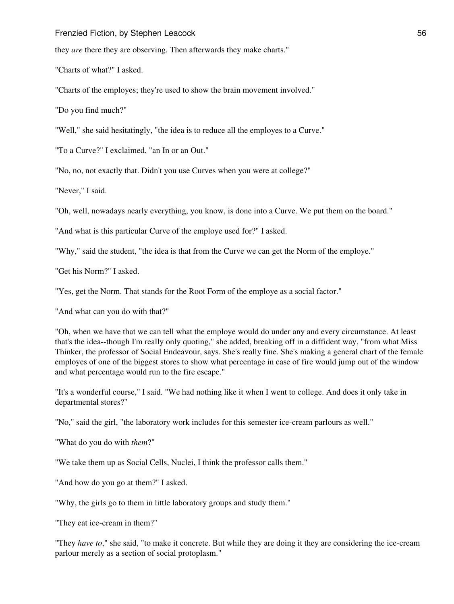they *are* there they are observing. Then afterwards they make charts."

"Charts of what?" I asked.

"Charts of the employes; they're used to show the brain movement involved."

"Do you find much?"

"Well," she said hesitatingly, "the idea is to reduce all the employes to a Curve."

"To a Curve?" I exclaimed, "an In or an Out."

"No, no, not exactly that. Didn't you use Curves when you were at college?"

"Never," I said.

"Oh, well, nowadays nearly everything, you know, is done into a Curve. We put them on the board."

"And what is this particular Curve of the employe used for?" I asked.

"Why," said the student, "the idea is that from the Curve we can get the Norm of the employe."

"Get his Norm?" I asked.

"Yes, get the Norm. That stands for the Root Form of the employe as a social factor."

"And what can you do with that?"

"Oh, when we have that we can tell what the employe would do under any and every circumstance. At least that's the idea--though I'm really only quoting," she added, breaking off in a diffident way, "from what Miss Thinker, the professor of Social Endeavour, says. She's really fine. She's making a general chart of the female employes of one of the biggest stores to show what percentage in case of fire would jump out of the window and what percentage would run to the fire escape."

"It's a wonderful course," I said. "We had nothing like it when I went to college. And does it only take in departmental stores?"

"No," said the girl, "the laboratory work includes for this semester ice-cream parlours as well."

"What do you do with *them*?"

"We take them up as Social Cells, Nuclei, I think the professor calls them."

"And how do you go at them?" I asked.

"Why, the girls go to them in little laboratory groups and study them."

"They eat ice-cream in them?"

"They *have to*," she said, "to make it concrete. But while they are doing it they are considering the ice-cream parlour merely as a section of social protoplasm."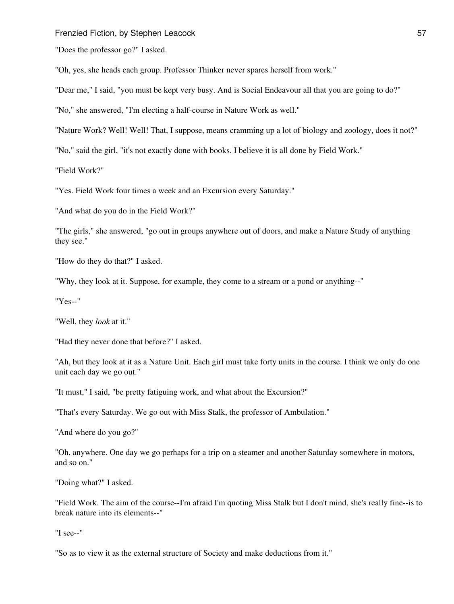"Does the professor go?" I asked.

"Oh, yes, she heads each group. Professor Thinker never spares herself from work."

"Dear me," I said, "you must be kept very busy. And is Social Endeavour all that you are going to do?"

"No," she answered, "I'm electing a half-course in Nature Work as well."

"Nature Work? Well! Well! That, I suppose, means cramming up a lot of biology and zoology, does it not?"

"No," said the girl, "it's not exactly done with books. I believe it is all done by Field Work."

"Field Work?"

"Yes. Field Work four times a week and an Excursion every Saturday."

"And what do you do in the Field Work?"

"The girls," she answered, "go out in groups anywhere out of doors, and make a Nature Study of anything they see."

"How do they do that?" I asked.

"Why, they look at it. Suppose, for example, they come to a stream or a pond or anything--"

"Yes--"

"Well, they *look* at it."

"Had they never done that before?" I asked.

"Ah, but they look at it as a Nature Unit. Each girl must take forty units in the course. I think we only do one unit each day we go out."

"It must," I said, "be pretty fatiguing work, and what about the Excursion?"

"That's every Saturday. We go out with Miss Stalk, the professor of Ambulation."

"And where do you go?"

"Oh, anywhere. One day we go perhaps for a trip on a steamer and another Saturday somewhere in motors, and so on."

"Doing what?" I asked.

"Field Work. The aim of the course--I'm afraid I'm quoting Miss Stalk but I don't mind, she's really fine--is to break nature into its elements--"

"I see--"

"So as to view it as the external structure of Society and make deductions from it."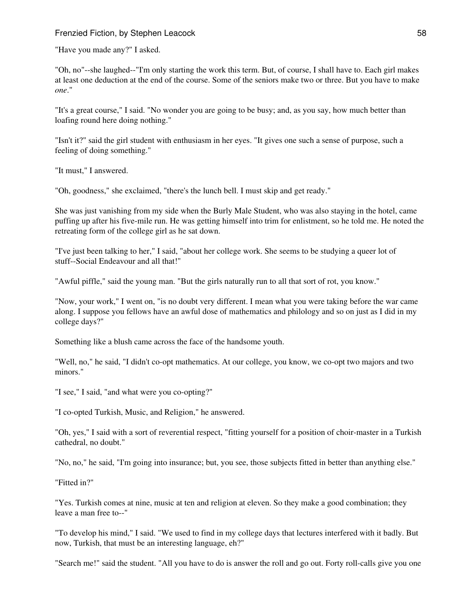"Have you made any?" I asked.

"Oh, no"--she laughed--"I'm only starting the work this term. But, of course, I shall have to. Each girl makes at least one deduction at the end of the course. Some of the seniors make two or three. But you have to make *one*."

"It's a great course," I said. "No wonder you are going to be busy; and, as you say, how much better than loafing round here doing nothing."

"Isn't it?" said the girl student with enthusiasm in her eyes. "It gives one such a sense of purpose, such a feeling of doing something."

"It must," I answered.

"Oh, goodness," she exclaimed, "there's the lunch bell. I must skip and get ready."

She was just vanishing from my side when the Burly Male Student, who was also staying in the hotel, came puffing up after his five-mile run. He was getting himself into trim for enlistment, so he told me. He noted the retreating form of the college girl as he sat down.

"I've just been talking to her," I said, "about her college work. She seems to be studying a queer lot of stuff--Social Endeavour and all that!"

"Awful piffle," said the young man. "But the girls naturally run to all that sort of rot, you know."

"Now, your work," I went on, "is no doubt very different. I mean what you were taking before the war came along. I suppose you fellows have an awful dose of mathematics and philology and so on just as I did in my college days?"

Something like a blush came across the face of the handsome youth.

"Well, no," he said, "I didn't co-opt mathematics. At our college, you know, we co-opt two majors and two minors."

"I see," I said, "and what were you co-opting?"

"I co-opted Turkish, Music, and Religion," he answered.

"Oh, yes," I said with a sort of reverential respect, "fitting yourself for a position of choir-master in a Turkish cathedral, no doubt."

"No, no," he said, "I'm going into insurance; but, you see, those subjects fitted in better than anything else."

"Fitted in?"

"Yes. Turkish comes at nine, music at ten and religion at eleven. So they make a good combination; they leave a man free to--"

"To develop his mind," I said. "We used to find in my college days that lectures interfered with it badly. But now, Turkish, that must be an interesting language, eh?"

"Search me!" said the student. "All you have to do is answer the roll and go out. Forty roll-calls give you one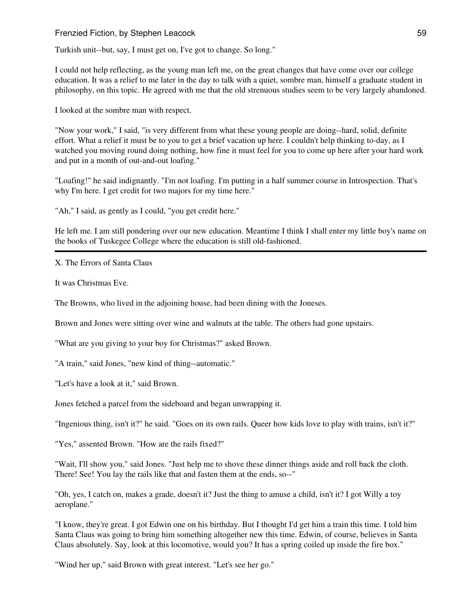Turkish unit--but, say, I must get on, I've got to change. So long."

I could not help reflecting, as the young man left me, on the great changes that have come over our college education. It was a relief to me later in the day to talk with a quiet, sombre man, himself a graduate student in philosophy, on this topic. He agreed with me that the old strenuous studies seem to be very largely abandoned.

I looked at the sombre man with respect.

"Now your work," I said, "is very different from what these young people are doing--hard, solid, definite effort. What a relief it must be to you to get a brief vacation up here. I couldn't help thinking to-day, as I watched you moving round doing nothing, how fine it must feel for you to come up here after your hard work and put in a month of out-and-out loafing."

"Loafing!" he said indignantly. "I'm not loafing. I'm putting in a half summer course in Introspection. That's why I'm here. I get credit for two majors for my time here."

"Ah," I said, as gently as I could, "you get credit here."

He left me. I am still pondering over our new education. Meantime I think I shall enter my little boy's name on the books of Tuskegee College where the education is still old-fashioned.

X. The Errors of Santa Claus

It was Christmas Eve.

The Browns, who lived in the adjoining house, had been dining with the Joneses.

Brown and Jones were sitting over wine and walnuts at the table. The others had gone upstairs.

"What are you giving to your boy for Christmas?" asked Brown.

"A train," said Jones, "new kind of thing--automatic."

"Let's have a look at it," said Brown.

Jones fetched a parcel from the sideboard and began unwrapping it.

"Ingenious thing, isn't it?" he said. "Goes on its own rails. Queer how kids love to play with trains, isn't it?"

"Yes," assented Brown. "How are the rails fixed?"

"Wait, I'll show you," said Jones. "Just help me to shove these dinner things aside and roll back the cloth. There! See! You lay the rails like that and fasten them at the ends, so--"

"Oh, yes, I catch on, makes a grade, doesn't it? Just the thing to amuse a child, isn't it? I got Willy a toy aeroplane."

"I know, they're great. I got Edwin one on his birthday. But I thought I'd get him a train this time. I told him Santa Claus was going to bring him something altogether new this time. Edwin, of course, believes in Santa Claus absolutely. Say, look at this locomotive, would you? It has a spring coiled up inside the fire box."

"Wind her up," said Brown with great interest. "Let's see her go."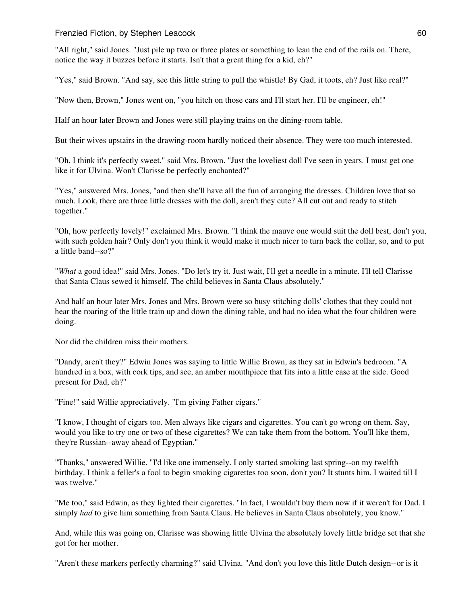"All right," said Jones. "Just pile up two or three plates or something to lean the end of the rails on. There, notice the way it buzzes before it starts. Isn't that a great thing for a kid, eh?"

"Yes," said Brown. "And say, see this little string to pull the whistle! By Gad, it toots, eh? Just like real?"

"Now then, Brown," Jones went on, "you hitch on those cars and I'll start her. I'll be engineer, eh!"

Half an hour later Brown and Jones were still playing trains on the dining-room table.

But their wives upstairs in the drawing-room hardly noticed their absence. They were too much interested.

"Oh, I think it's perfectly sweet," said Mrs. Brown. "Just the loveliest doll I've seen in years. I must get one like it for Ulvina. Won't Clarisse be perfectly enchanted?"

"Yes," answered Mrs. Jones, "and then she'll have all the fun of arranging the dresses. Children love that so much. Look, there are three little dresses with the doll, aren't they cute? All cut out and ready to stitch together."

"Oh, how perfectly lovely!" exclaimed Mrs. Brown. "I think the mauve one would suit the doll best, don't you, with such golden hair? Only don't you think it would make it much nicer to turn back the collar, so, and to put a little band--so?"

"*What* a good idea!" said Mrs. Jones. "Do let's try it. Just wait, I'll get a needle in a minute. I'll tell Clarisse that Santa Claus sewed it himself. The child believes in Santa Claus absolutely."

And half an hour later Mrs. Jones and Mrs. Brown were so busy stitching dolls' clothes that they could not hear the roaring of the little train up and down the dining table, and had no idea what the four children were doing.

Nor did the children miss their mothers.

"Dandy, aren't they?" Edwin Jones was saying to little Willie Brown, as they sat in Edwin's bedroom. "A hundred in a box, with cork tips, and see, an amber mouthpiece that fits into a little case at the side. Good present for Dad, eh?"

"Fine!" said Willie appreciatively. "I'm giving Father cigars."

"I know, I thought of cigars too. Men always like cigars and cigarettes. You can't go wrong on them. Say, would you like to try one or two of these cigarettes? We can take them from the bottom. You'll like them, they're Russian--away ahead of Egyptian."

"Thanks," answered Willie. "I'd like one immensely. I only started smoking last spring--on my twelfth birthday. I think a feller's a fool to begin smoking cigarettes too soon, don't you? It stunts him. I waited till I was twelve."

"Me too," said Edwin, as they lighted their cigarettes. "In fact, I wouldn't buy them now if it weren't for Dad. I simply *had* to give him something from Santa Claus. He believes in Santa Claus absolutely, you know."

And, while this was going on, Clarisse was showing little Ulvina the absolutely lovely little bridge set that she got for her mother.

"Aren't these markers perfectly charming?" said Ulvina. "And don't you love this little Dutch design--or is it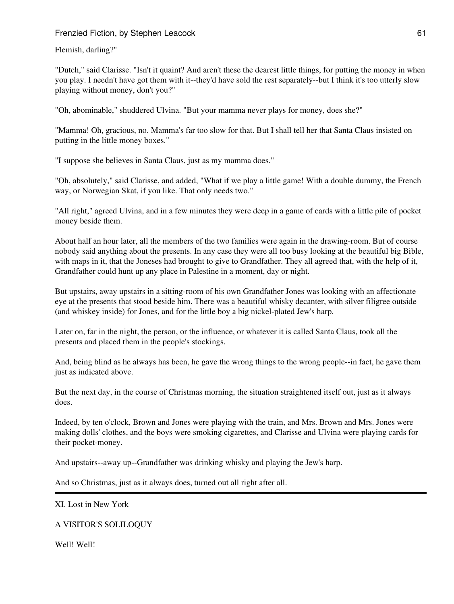Flemish, darling?"

"Dutch," said Clarisse. "Isn't it quaint? And aren't these the dearest little things, for putting the money in when you play. I needn't have got them with it--they'd have sold the rest separately--but I think it's too utterly slow playing without money, don't you?"

"Oh, abominable," shuddered Ulvina. "But your mamma never plays for money, does she?"

"Mamma! Oh, gracious, no. Mamma's far too slow for that. But I shall tell her that Santa Claus insisted on putting in the little money boxes."

"I suppose she believes in Santa Claus, just as my mamma does."

"Oh, absolutely," said Clarisse, and added, "What if we play a little game! With a double dummy, the French way, or Norwegian Skat, if you like. That only needs two."

"All right," agreed Ulvina, and in a few minutes they were deep in a game of cards with a little pile of pocket money beside them.

About half an hour later, all the members of the two families were again in the drawing-room. But of course nobody said anything about the presents. In any case they were all too busy looking at the beautiful big Bible, with maps in it, that the Joneses had brought to give to Grandfather. They all agreed that, with the help of it, Grandfather could hunt up any place in Palestine in a moment, day or night.

But upstairs, away upstairs in a sitting-room of his own Grandfather Jones was looking with an affectionate eye at the presents that stood beside him. There was a beautiful whisky decanter, with silver filigree outside (and whiskey inside) for Jones, and for the little boy a big nickel-plated Jew's harp.

Later on, far in the night, the person, or the influence, or whatever it is called Santa Claus, took all the presents and placed them in the people's stockings.

And, being blind as he always has been, he gave the wrong things to the wrong people--in fact, he gave them just as indicated above.

But the next day, in the course of Christmas morning, the situation straightened itself out, just as it always does.

Indeed, by ten o'clock, Brown and Jones were playing with the train, and Mrs. Brown and Mrs. Jones were making dolls' clothes, and the boys were smoking cigarettes, and Clarisse and Ulvina were playing cards for their pocket-money.

And upstairs--away up--Grandfather was drinking whisky and playing the Jew's harp.

And so Christmas, just as it always does, turned out all right after all.

XI. Lost in New York

A VISITOR'S SOLILOQUY

Well! Well!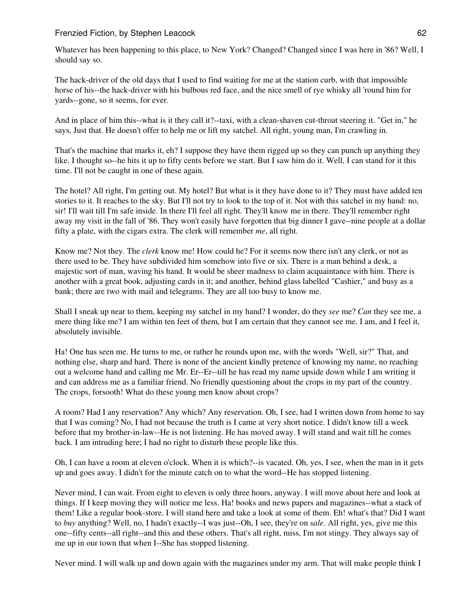Whatever has been happening to this place, to New York? Changed? Changed since I was here in '86? Well, I should say so.

The hack-driver of the old days that I used to find waiting for me at the station curb, with that impossible horse of his--the hack-driver with his bulbous red face, and the nice smell of rye whisky all 'round him for yards--gone, so it seems, for ever.

And in place of him this--what is it they call it?--taxi, with a clean-shaven cut-throat steering it. "Get in," he says, Just that. He doesn't offer to help me or lift my satchel. All right, young man, I'm crawling in.

That's the machine that marks it, eh? I suppose they have them rigged up so they can punch up anything they like. I thought so--he hits it up to fifty cents before we start. But I saw him do it. Well, I can stand for it this time. I'll not be caught in one of these again.

The hotel? All right, I'm getting out. My hotel? But what is it they have done to it? They must have added ten stories to it. It reaches to the sky. But I'll not try to look to the top of it. Not with this satchel in my hand: no, sir! I'll wait till I'm safe inside. In there I'll feel all right. They'll know me in there. They'll remember right away my visit in the fall of '86. They won't easily have forgotten that big dinner I gave--nine people at a dollar fifty a plate, with the cigars extra. The clerk will remember *me*, all right.

Know me? Not they. The *clerk* know me! How could he? For it seems now there isn't any clerk, or not as there used to be. They have subdivided him somehow into five or six. There is a man behind a desk, a majestic sort of man, waving his hand. It would be sheer madness to claim acquaintance with him. There is another with a great book, adjusting cards in it; and another, behind glass labelled "Cashier," and busy as a bank; there are two with mail and telegrams. They are all too busy to know me.

Shall I sneak up near to them, keeping my satchel in my hand? I wonder, do they *see* me? *Can* they see me, a mere thing like me? I am within ten feet of them, but I am certain that they cannot see me. I am, and I feel it, absolutely invisible.

Ha! One has seen me. He turns to me, or rather he rounds upon me, with the words "Well, sir?" That, and nothing else, sharp and hard. There is none of the ancient kindly pretence of knowing my name, no reaching out a welcome hand and calling me Mr. Er--Er--till he has read my name upside down while I am writing it and can address me as a familiar friend. No friendly questioning about the crops in my part of the country. The crops, forsooth! What do these young men know about crops?

A room? Had I any reservation? Any which? Any reservation. Oh, I see, had I written down from home to say that I was coming? No, I had not because the truth is I came at very short notice. I didn't know till a week before that my brother-in-law--He is not listening. He has moved away. I will stand and wait till he comes back. I am intruding here; I had no right to disturb these people like this.

Oh, I can have a room at eleven o'clock. When it is which?--is vacated. Oh, yes, I see, when the man in it gets up and goes away. I didn't for the minute catch on to what the word--He has stopped listening.

Never mind, I can wait. From eight to eleven is only three hours, anyway. I will move about here and look at things. If I keep moving they will notice me less. Ha! books and news papers and magazines--what a stack of them! Like a regular book-store. I will stand here and take a look at some of them. Eh! what's that? Did I want to *buy* anything? Well, no, I hadn't exactly--I was just--Oh, I see, they're on *sale*. All right, yes, give me this one--fifty cents--all right--and this and these others. That's all right, miss, I'm not stingy. They always say of me up in our town that when I--She has stopped listening.

Never mind. I will walk up and down again with the magazines under my arm. That will make people think I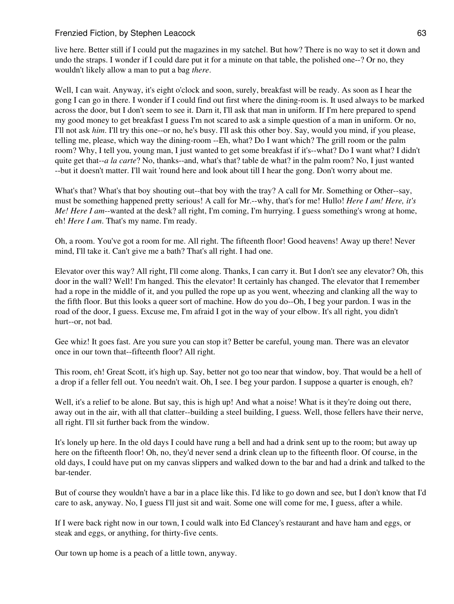live here. Better still if I could put the magazines in my satchel. But how? There is no way to set it down and undo the straps. I wonder if I could dare put it for a minute on that table, the polished one--? Or no, they wouldn't likely allow a man to put a bag *there*.

Well, I can wait. Anyway, it's eight o'clock and soon, surely, breakfast will be ready. As soon as I hear the gong I can go in there. I wonder if I could find out first where the dining-room is. It used always to be marked across the door, but I don't seem to see it. Darn it, I'll ask that man in uniform. If I'm here prepared to spend my good money to get breakfast I guess I'm not scared to ask a simple question of a man in uniform. Or no, I'll not ask *him*. I'll try this one--or no, he's busy. I'll ask this other boy. Say, would you mind, if you please, telling me, please, which way the dining-room --Eh, what? Do I want which? The grill room or the palm room? Why, I tell you, young man, I just wanted to get some breakfast if it's--what? Do I want what? I didn't quite get that--*a la carte*? No, thanks--and, what's that? table de what? in the palm room? No, I just wanted --but it doesn't matter. I'll wait 'round here and look about till I hear the gong. Don't worry about me.

What's that? What's that boy shouting out--that boy with the tray? A call for Mr. Something or Other--say, must be something happened pretty serious! A call for Mr.--why, that's for me! Hullo! *Here I am! Here, it's Me! Here I am*--wanted at the desk? all right, I'm coming, I'm hurrying. I guess something's wrong at home, eh! *Here I am*. That's my name. I'm ready.

Oh, a room. You've got a room for me. All right. The fifteenth floor! Good heavens! Away up there! Never mind, I'll take it. Can't give me a bath? That's all right. I had one.

Elevator over this way? All right, I'll come along. Thanks, I can carry it. But I don't see any elevator? Oh, this door in the wall? Well! I'm hanged. This the elevator! It certainly has changed. The elevator that I remember had a rope in the middle of it, and you pulled the rope up as you went, wheezing and clanking all the way to the fifth floor. But this looks a queer sort of machine. How do you do--Oh, I beg your pardon. I was in the road of the door, I guess. Excuse me, I'm afraid I got in the way of your elbow. It's all right, you didn't hurt--or, not bad.

Gee whiz! It goes fast. Are you sure you can stop it? Better be careful, young man. There was an elevator once in our town that--fifteenth floor? All right.

This room, eh! Great Scott, it's high up. Say, better not go too near that window, boy. That would be a hell of a drop if a feller fell out. You needn't wait. Oh, I see. I beg your pardon. I suppose a quarter is enough, eh?

Well, it's a relief to be alone. But say, this is high up! And what a noise! What is it they're doing out there, away out in the air, with all that clatter--building a steel building, I guess. Well, those fellers have their nerve, all right. I'll sit further back from the window.

It's lonely up here. In the old days I could have rung a bell and had a drink sent up to the room; but away up here on the fifteenth floor! Oh, no, they'd never send a drink clean up to the fifteenth floor. Of course, in the old days, I could have put on my canvas slippers and walked down to the bar and had a drink and talked to the bar-tender.

But of course they wouldn't have a bar in a place like this. I'd like to go down and see, but I don't know that I'd care to ask, anyway. No, I guess I'll just sit and wait. Some one will come for me, I guess, after a while.

If I were back right now in our town, I could walk into Ed Clancey's restaurant and have ham and eggs, or steak and eggs, or anything, for thirty-five cents.

Our town up home is a peach of a little town, anyway.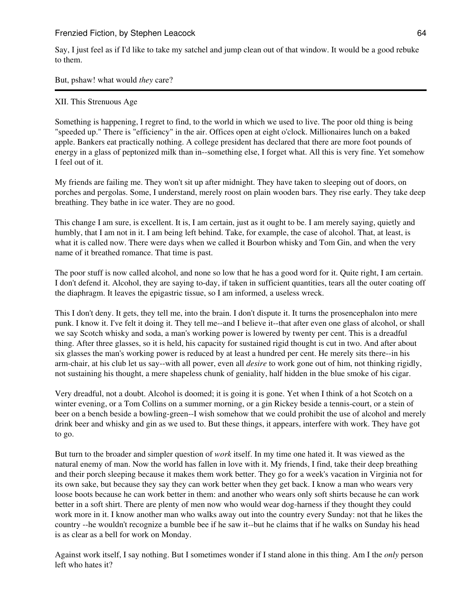Say, I just feel as if I'd like to take my satchel and jump clean out of that window. It would be a good rebuke to them.

But, pshaw! what would *they* care?

## XII. This Strenuous Age

Something is happening, I regret to find, to the world in which we used to live. The poor old thing is being "speeded up." There is "efficiency" in the air. Offices open at eight o'clock. Millionaires lunch on a baked apple. Bankers eat practically nothing. A college president has declared that there are more foot pounds of energy in a glass of peptonized milk than in--something else, I forget what. All this is very fine. Yet somehow I feel out of it.

My friends are failing me. They won't sit up after midnight. They have taken to sleeping out of doors, on porches and pergolas. Some, I understand, merely roost on plain wooden bars. They rise early. They take deep breathing. They bathe in ice water. They are no good.

This change I am sure, is excellent. It is, I am certain, just as it ought to be. I am merely saying, quietly and humbly, that I am not in it. I am being left behind. Take, for example, the case of alcohol. That, at least, is what it is called now. There were days when we called it Bourbon whisky and Tom Gin, and when the very name of it breathed romance. That time is past.

The poor stuff is now called alcohol, and none so low that he has a good word for it. Quite right, I am certain. I don't defend it. Alcohol, they are saying to-day, if taken in sufficient quantities, tears all the outer coating off the diaphragm. It leaves the epigastric tissue, so I am informed, a useless wreck.

This I don't deny. It gets, they tell me, into the brain. I don't dispute it. It turns the prosencephalon into mere punk. I know it. I've felt it doing it. They tell me--and I believe it--that after even one glass of alcohol, or shall we say Scotch whisky and soda, a man's working power is lowered by twenty per cent. This is a dreadful thing. After three glasses, so it is held, his capacity for sustained rigid thought is cut in two. And after about six glasses the man's working power is reduced by at least a hundred per cent. He merely sits there--in his arm-chair, at his club let us say--with all power, even all *desire* to work gone out of him, not thinking rigidly, not sustaining his thought, a mere shapeless chunk of geniality, half hidden in the blue smoke of his cigar.

Very dreadful, not a doubt. Alcohol is doomed; it is going it is gone. Yet when I think of a hot Scotch on a winter evening, or a Tom Collins on a summer morning, or a gin Rickey beside a tennis-court, or a stein of beer on a bench beside a bowling-green--I wish somehow that we could prohibit the use of alcohol and merely drink beer and whisky and gin as we used to. But these things, it appears, interfere with work. They have got to go.

But turn to the broader and simpler question of *work* itself. In my time one hated it. It was viewed as the natural enemy of man. Now the world has fallen in love with it. My friends, I find, take their deep breathing and their porch sleeping because it makes them work better. They go for a week's vacation in Virginia not for its own sake, but because they say they can work better when they get back. I know a man who wears very loose boots because he can work better in them: and another who wears only soft shirts because he can work better in a soft shirt. There are plenty of men now who would wear dog-harness if they thought they could work more in it. I know another man who walks away out into the country every Sunday: not that he likes the country --he wouldn't recognize a bumble bee if he saw it--but he claims that if he walks on Sunday his head is as clear as a bell for work on Monday.

Against work itself, I say nothing. But I sometimes wonder if I stand alone in this thing. Am I the *only* person left who hates it?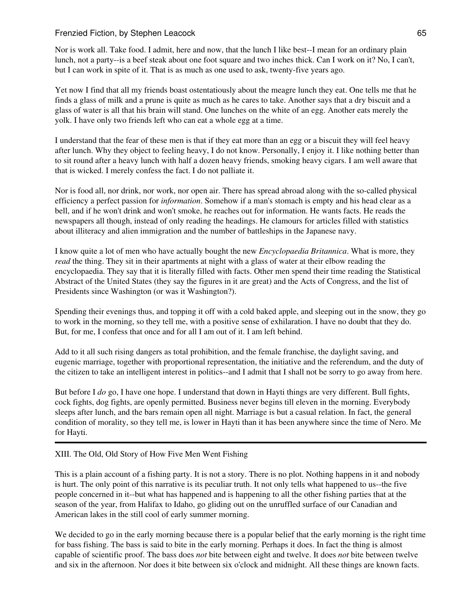Nor is work all. Take food. I admit, here and now, that the lunch I like best--I mean for an ordinary plain lunch, not a party--is a beef steak about one foot square and two inches thick. Can I work on it? No, I can't, but I can work in spite of it. That is as much as one used to ask, twenty-five years ago.

Yet now I find that all my friends boast ostentatiously about the meagre lunch they eat. One tells me that he finds a glass of milk and a prune is quite as much as he cares to take. Another says that a dry biscuit and a glass of water is all that his brain will stand. One lunches on the white of an egg. Another eats merely the yolk. I have only two friends left who can eat a whole egg at a time.

I understand that the fear of these men is that if they eat more than an egg or a biscuit they will feel heavy after lunch. Why they object to feeling heavy, I do not know. Personally, I enjoy it. I like nothing better than to sit round after a heavy lunch with half a dozen heavy friends, smoking heavy cigars. I am well aware that that is wicked. I merely confess the fact. I do not palliate it.

Nor is food all, nor drink, nor work, nor open air. There has spread abroad along with the so-called physical efficiency a perfect passion for *information*. Somehow if a man's stomach is empty and his head clear as a bell, and if he won't drink and won't smoke, he reaches out for information. He wants facts. He reads the newspapers all though, instead of only reading the headings. He clamours for articles filled with statistics about illiteracy and alien immigration and the number of battleships in the Japanese navy.

I know quite a lot of men who have actually bought the new *Encyclopaedia Britannica*. What is more, they *read* the thing. They sit in their apartments at night with a glass of water at their elbow reading the encyclopaedia. They say that it is literally filled with facts. Other men spend their time reading the Statistical Abstract of the United States (they say the figures in it are great) and the Acts of Congress, and the list of Presidents since Washington (or was it Washington?).

Spending their evenings thus, and topping it off with a cold baked apple, and sleeping out in the snow, they go to work in the morning, so they tell me, with a positive sense of exhilaration. I have no doubt that they do. But, for me, I confess that once and for all I am out of it. I am left behind.

Add to it all such rising dangers as total prohibition, and the female franchise, the daylight saving, and eugenic marriage, together with proportional representation, the initiative and the referendum, and the duty of the citizen to take an intelligent interest in politics--and I admit that I shall not be sorry to go away from here.

But before I *do* go, I have one hope. I understand that down in Hayti things are very different. Bull fights, cock fights, dog fights, are openly permitted. Business never begins till eleven in the morning. Everybody sleeps after lunch, and the bars remain open all night. Marriage is but a casual relation. In fact, the general condition of morality, so they tell me, is lower in Hayti than it has been anywhere since the time of Nero. Me for Hayti.

# XIII. The Old, Old Story of How Five Men Went Fishing

This is a plain account of a fishing party. It is not a story. There is no plot. Nothing happens in it and nobody is hurt. The only point of this narrative is its peculiar truth. It not only tells what happened to us--the five people concerned in it--but what has happened and is happening to all the other fishing parties that at the season of the year, from Halifax to Idaho, go gliding out on the unruffled surface of our Canadian and American lakes in the still cool of early summer morning.

We decided to go in the early morning because there is a popular belief that the early morning is the right time for bass fishing. The bass is said to bite in the early morning. Perhaps it does. In fact the thing is almost capable of scientific proof. The bass does *not* bite between eight and twelve. It does *not* bite between twelve and six in the afternoon. Nor does it bite between six o'clock and midnight. All these things are known facts.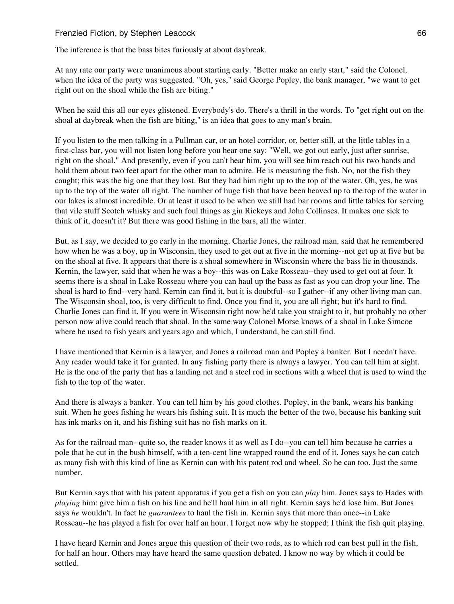The inference is that the bass bites furiously at about daybreak.

At any rate our party were unanimous about starting early. "Better make an early start," said the Colonel, when the idea of the party was suggested. "Oh, yes," said George Popley, the bank manager, "we want to get right out on the shoal while the fish are biting."

When he said this all our eyes glistened. Everybody's do. There's a thrill in the words. To "get right out on the shoal at daybreak when the fish are biting," is an idea that goes to any man's brain.

If you listen to the men talking in a Pullman car, or an hotel corridor, or, better still, at the little tables in a first-class bar, you will not listen long before you hear one say: "Well, we got out early, just after sunrise, right on the shoal." And presently, even if you can't hear him, you will see him reach out his two hands and hold them about two feet apart for the other man to admire. He is measuring the fish. No, not the fish they caught; this was the big one that they lost. But they had him right up to the top of the water. Oh, yes, he was up to the top of the water all right. The number of huge fish that have been heaved up to the top of the water in our lakes is almost incredible. Or at least it used to be when we still had bar rooms and little tables for serving that vile stuff Scotch whisky and such foul things as gin Rickeys and John Collinses. It makes one sick to think of it, doesn't it? But there was good fishing in the bars, all the winter.

But, as I say, we decided to go early in the morning. Charlie Jones, the railroad man, said that he remembered how when he was a boy, up in Wisconsin, they used to get out at five in the morning--not get up at five but be on the shoal at five. It appears that there is a shoal somewhere in Wisconsin where the bass lie in thousands. Kernin, the lawyer, said that when he was a boy--this was on Lake Rosseau--they used to get out at four. It seems there is a shoal in Lake Rosseau where you can haul up the bass as fast as you can drop your line. The shoal is hard to find--very hard. Kernin can find it, but it is doubtful--so I gather--if any other living man can. The Wisconsin shoal, too, is very difficult to find. Once you find it, you are all right; but it's hard to find. Charlie Jones can find it. If you were in Wisconsin right now he'd take you straight to it, but probably no other person now alive could reach that shoal. In the same way Colonel Morse knows of a shoal in Lake Simcoe where he used to fish years and years ago and which, I understand, he can still find.

I have mentioned that Kernin is a lawyer, and Jones a railroad man and Popley a banker. But I needn't have. Any reader would take it for granted. In any fishing party there is always a lawyer. You can tell him at sight. He is the one of the party that has a landing net and a steel rod in sections with a wheel that is used to wind the fish to the top of the water.

And there is always a banker. You can tell him by his good clothes. Popley, in the bank, wears his banking suit. When he goes fishing he wears his fishing suit. It is much the better of the two, because his banking suit has ink marks on it, and his fishing suit has no fish marks on it.

As for the railroad man--quite so, the reader knows it as well as I do--you can tell him because he carries a pole that he cut in the bush himself, with a ten-cent line wrapped round the end of it. Jones says he can catch as many fish with this kind of line as Kernin can with his patent rod and wheel. So he can too. Just the same number.

But Kernin says that with his patent apparatus if you get a fish on you can *play* him. Jones says to Hades with *playing* him: give him a fish on his line and he'll haul him in all right. Kernin says he'd lose him. But Jones says *he* wouldn't. In fact he *guarantees* to haul the fish in. Kernin says that more than once--in Lake Rosseau--he has played a fish for over half an hour. I forget now why he stopped; I think the fish quit playing.

I have heard Kernin and Jones argue this question of their two rods, as to which rod can best pull in the fish, for half an hour. Others may have heard the same question debated. I know no way by which it could be settled.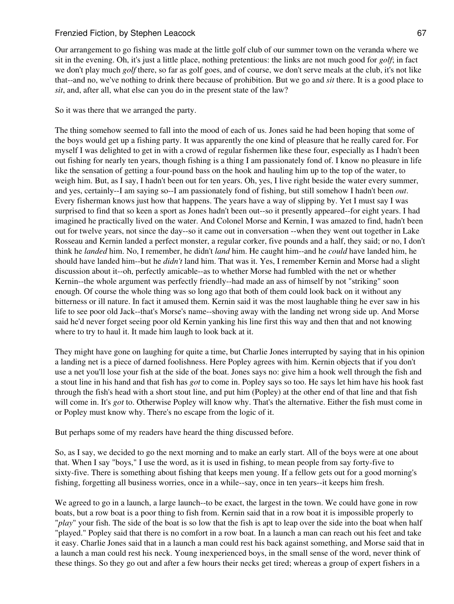Our arrangement to go fishing was made at the little golf club of our summer town on the veranda where we sit in the evening. Oh, it's just a little place, nothing pretentious: the links are not much good for *golf*; in fact we don't play much *golf* there, so far as golf goes, and of course, we don't serve meals at the club, it's not like that--and no, we've nothing to drink there because of prohibition. But we go and *sit* there. It is a good place to *sit*, and, after all, what else can you do in the present state of the law?

#### So it was there that we arranged the party.

The thing somehow seemed to fall into the mood of each of us. Jones said he had been hoping that some of the boys would get up a fishing party. It was apparently the one kind of pleasure that he really cared for. For myself I was delighted to get in with a crowd of regular fishermen like these four, especially as I hadn't been out fishing for nearly ten years, though fishing is a thing I am passionately fond of. I know no pleasure in life like the sensation of getting a four-pound bass on the hook and hauling him up to the top of the water, to weigh him. But, as I say, I hadn't been out for ten years. Oh, yes, I live right beside the water every summer, and yes, certainly--I am saying so--I am passionately fond of fishing, but still somehow I hadn't been *out*. Every fisherman knows just how that happens. The years have a way of slipping by. Yet I must say I was surprised to find that so keen a sport as Jones hadn't been out--so it presently appeared--for eight years. I had imagined he practically lived on the water. And Colonel Morse and Kernin, I was amazed to find, hadn't been out for twelve years, not since the day--so it came out in conversation --when they went out together in Lake Rosseau and Kernin landed a perfect monster, a regular corker, five pounds and a half, they said; or no, I don't think he *landed* him. No, I remember, he didn't *land* him. He caught him--and he *could* have landed him, he should have landed him--but he *didn't* land him. That was it. Yes, I remember Kernin and Morse had a slight discussion about it--oh, perfectly amicable--as to whether Morse had fumbled with the net or whether Kernin--the whole argument was perfectly friendly--had made an ass of himself by not "striking" soon enough. Of course the whole thing was so long ago that both of them could look back on it without any bitterness or ill nature. In fact it amused them. Kernin said it was the most laughable thing he ever saw in his life to see poor old Jack--that's Morse's name--shoving away with the landing net wrong side up. And Morse said he'd never forget seeing poor old Kernin yanking his line first this way and then that and not knowing where to try to haul it. It made him laugh to look back at it.

They might have gone on laughing for quite a time, but Charlie Jones interrupted by saying that in his opinion a landing net is a piece of darned foolishness. Here Popley agrees with him. Kernin objects that if you don't use a net you'll lose your fish at the side of the boat. Jones says no: give him a hook well through the fish and a stout line in his hand and that fish has *got* to come in. Popley says so too. He says let him have his hook fast through the fish's head with a short stout line, and put him (Popley) at the other end of that line and that fish will come in. It's *got* to. Otherwise Popley will know why. That's the alternative. Either the fish must come in or Popley must know why. There's no escape from the logic of it.

But perhaps some of my readers have heard the thing discussed before.

So, as I say, we decided to go the next morning and to make an early start. All of the boys were at one about that. When I say "boys," I use the word, as it is used in fishing, to mean people from say forty-five to sixty-five. There is something about fishing that keeps men young. If a fellow gets out for a good morning's fishing, forgetting all business worries, once in a while--say, once in ten years--it keeps him fresh.

We agreed to go in a launch, a large launch--to be exact, the largest in the town. We could have gone in row boats, but a row boat is a poor thing to fish from. Kernin said that in a row boat it is impossible properly to "*play*" your fish. The side of the boat is so low that the fish is apt to leap over the side into the boat when half "played." Popley said that there is no comfort in a row boat. In a launch a man can reach out his feet and take it easy. Charlie Jones said that in a launch a man could rest his back against something, and Morse said that in a launch a man could rest his neck. Young inexperienced boys, in the small sense of the word, never think of these things. So they go out and after a few hours their necks get tired; whereas a group of expert fishers in a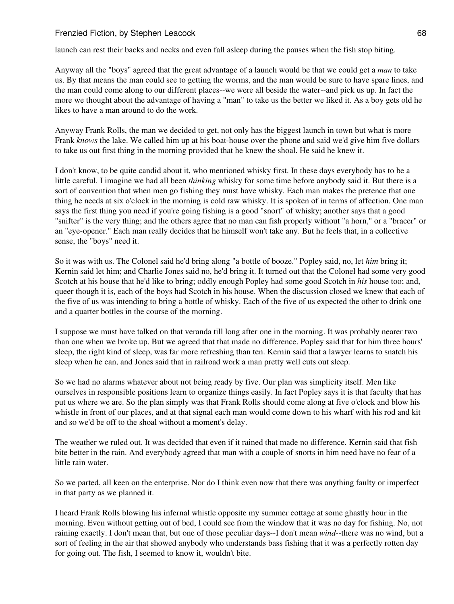launch can rest their backs and necks and even fall asleep during the pauses when the fish stop biting.

Anyway all the "boys" agreed that the great advantage of a launch would be that we could get a *man* to take us. By that means the man could see to getting the worms, and the man would be sure to have spare lines, and the man could come along to our different places--we were all beside the water--and pick us up. In fact the more we thought about the advantage of having a "man" to take us the better we liked it. As a boy gets old he likes to have a man around to do the work.

Anyway Frank Rolls, the man we decided to get, not only has the biggest launch in town but what is more Frank *knows* the lake. We called him up at his boat-house over the phone and said we'd give him five dollars to take us out first thing in the morning provided that he knew the shoal. He said he knew it.

I don't know, to be quite candid about it, who mentioned whisky first. In these days everybody has to be a little careful. I imagine we had all been *thinking* whisky for some time before anybody said it. But there is a sort of convention that when men go fishing they must have whisky. Each man makes the pretence that one thing he needs at six o'clock in the morning is cold raw whisky. It is spoken of in terms of affection. One man says the first thing you need if you're going fishing is a good "snort" of whisky; another says that a good "snifter" is the very thing; and the others agree that no man can fish properly without "a horn," or a "bracer" or an "eye-opener." Each man really decides that he himself won't take any. But he feels that, in a collective sense, the "boys" need it.

So it was with us. The Colonel said he'd bring along "a bottle of booze." Popley said, no, let *him* bring it; Kernin said let him; and Charlie Jones said no, he'd bring it. It turned out that the Colonel had some very good Scotch at his house that he'd like to bring; oddly enough Popley had some good Scotch in *his* house too; and, queer though it is, each of the boys had Scotch in his house. When the discussion closed we knew that each of the five of us was intending to bring a bottle of whisky. Each of the five of us expected the other to drink one and a quarter bottles in the course of the morning.

I suppose we must have talked on that veranda till long after one in the morning. It was probably nearer two than one when we broke up. But we agreed that that made no difference. Popley said that for him three hours' sleep, the right kind of sleep, was far more refreshing than ten. Kernin said that a lawyer learns to snatch his sleep when he can, and Jones said that in railroad work a man pretty well cuts out sleep.

So we had no alarms whatever about not being ready by five. Our plan was simplicity itself. Men like ourselves in responsible positions learn to organize things easily. In fact Popley says it is that faculty that has put us where we are. So the plan simply was that Frank Rolls should come along at five o'clock and blow his whistle in front of our places, and at that signal each man would come down to his wharf with his rod and kit and so we'd be off to the shoal without a moment's delay.

The weather we ruled out. It was decided that even if it rained that made no difference. Kernin said that fish bite better in the rain. And everybody agreed that man with a couple of snorts in him need have no fear of a little rain water.

So we parted, all keen on the enterprise. Nor do I think even now that there was anything faulty or imperfect in that party as we planned it.

I heard Frank Rolls blowing his infernal whistle opposite my summer cottage at some ghastly hour in the morning. Even without getting out of bed, I could see from the window that it was no day for fishing. No, not raining exactly. I don't mean that, but one of those peculiar days--I don't mean *wind*--there was no wind, but a sort of feeling in the air that showed anybody who understands bass fishing that it was a perfectly rotten day for going out. The fish, I seemed to know it, wouldn't bite.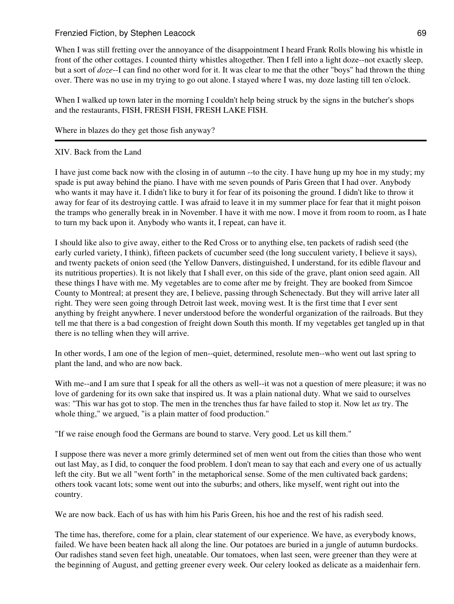When I was still fretting over the annoyance of the disappointment I heard Frank Rolls blowing his whistle in front of the other cottages. I counted thirty whistles altogether. Then I fell into a light doze--not exactly sleep, but a sort of *doze*--I can find no other word for it. It was clear to me that the other "boys" had thrown the thing over. There was no use in my trying to go out alone. I stayed where I was, my doze lasting till ten o'clock.

When I walked up town later in the morning I couldn't help being struck by the signs in the butcher's shops and the restaurants, FISH, FRESH FISH, FRESH LAKE FISH.

Where in blazes do they get those fish anyway?

# XIV. Back from the Land

I have just come back now with the closing in of autumn --to the city. I have hung up my hoe in my study; my spade is put away behind the piano. I have with me seven pounds of Paris Green that I had over. Anybody who wants it may have it. I didn't like to bury it for fear of its poisoning the ground. I didn't like to throw it away for fear of its destroying cattle. I was afraid to leave it in my summer place for fear that it might poison the tramps who generally break in in November. I have it with me now. I move it from room to room, as I hate to turn my back upon it. Anybody who wants it, I repeat, can have it.

I should like also to give away, either to the Red Cross or to anything else, ten packets of radish seed (the early curled variety, I think), fifteen packets of cucumber seed (the long succulent variety, I believe it says), and twenty packets of onion seed (the Yellow Danvers, distinguished, I understand, for its edible flavour and its nutritious properties). It is not likely that I shall ever, on this side of the grave, plant onion seed again. All these things I have with me. My vegetables are to come after me by freight. They are booked from Simcoe County to Montreal; at present they are, I believe, passing through Schenectady. But they will arrive later all right. They were seen going through Detroit last week, moving west. It is the first time that I ever sent anything by freight anywhere. I never understood before the wonderful organization of the railroads. But they tell me that there is a bad congestion of freight down South this month. If my vegetables get tangled up in that there is no telling when they will arrive.

In other words, I am one of the legion of men--quiet, determined, resolute men--who went out last spring to plant the land, and who are now back.

With me--and I am sure that I speak for all the others as well--it was not a question of mere pleasure; it was no love of gardening for its own sake that inspired us. It was a plain national duty. What we said to ourselves was: "This war has got to stop. The men in the trenches thus far have failed to stop it. Now let *us* try. The whole thing," we argued, "is a plain matter of food production."

"If we raise enough food the Germans are bound to starve. Very good. Let us kill them."

I suppose there was never a more grimly determined set of men went out from the cities than those who went out last May, as I did, to conquer the food problem. I don't mean to say that each and every one of us actually left the city. But we all "went forth" in the metaphorical sense. Some of the men cultivated back gardens; others took vacant lots; some went out into the suburbs; and others, like myself, went right out into the country.

We are now back. Each of us has with him his Paris Green, his hoe and the rest of his radish seed.

The time has, therefore, come for a plain, clear statement of our experience. We have, as everybody knows, failed. We have been beaten hack all along the line. Our potatoes are buried in a jungle of autumn burdocks. Our radishes stand seven feet high, uneatable. Our tomatoes, when last seen, were greener than they were at the beginning of August, and getting greener every week. Our celery looked as delicate as a maidenhair fern.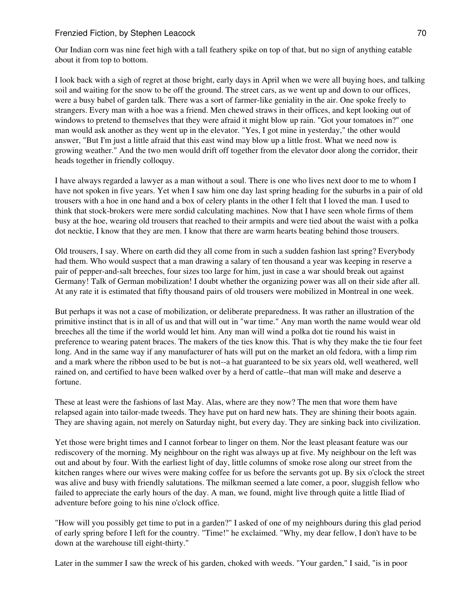Our Indian corn was nine feet high with a tall feathery spike on top of that, but no sign of anything eatable about it from top to bottom.

I look back with a sigh of regret at those bright, early days in April when we were all buying hoes, and talking soil and waiting for the snow to be off the ground. The street cars, as we went up and down to our offices, were a busy babel of garden talk. There was a sort of farmer-like geniality in the air. One spoke freely to strangers. Every man with a hoe was a friend. Men chewed straws in their offices, and kept looking out of windows to pretend to themselves that they were afraid it might blow up rain. "Got your tomatoes in?" one man would ask another as they went up in the elevator. "Yes, I got mine in yesterday," the other would answer, "But I'm just a little afraid that this east wind may blow up a little frost. What we need now is growing weather." And the two men would drift off together from the elevator door along the corridor, their heads together in friendly colloquy.

I have always regarded a lawyer as a man without a soul. There is one who lives next door to me to whom I have not spoken in five years. Yet when I saw him one day last spring heading for the suburbs in a pair of old trousers with a hoe in one hand and a box of celery plants in the other I felt that I loved the man. I used to think that stock-brokers were mere sordid calculating machines. Now that I have seen whole firms of them busy at the hoe, wearing old trousers that reached to their armpits and were tied about the waist with a polka dot necktie, I know that they are men. I know that there are warm hearts beating behind those trousers.

Old trousers, I say. Where on earth did they all come from in such a sudden fashion last spring? Everybody had them. Who would suspect that a man drawing a salary of ten thousand a year was keeping in reserve a pair of pepper-and-salt breeches, four sizes too large for him, just in case a war should break out against Germany! Talk of German mobilization! I doubt whether the organizing power was all on their side after all. At any rate it is estimated that fifty thousand pairs of old trousers were mobilized in Montreal in one week.

But perhaps it was not a case of mobilization, or deliberate preparedness. It was rather an illustration of the primitive instinct that is in all of us and that will out in "war time." Any man worth the name would wear old breeches all the time if the world would let him. Any man will wind a polka dot tie round his waist in preference to wearing patent braces. The makers of the ties know this. That is why they make the tie four feet long. And in the same way if any manufacturer of hats will put on the market an old fedora, with a limp rim and a mark where the ribbon used to be but is not--a hat guaranteed to be six years old, well weathered, well rained on, and certified to have been walked over by a herd of cattle--that man will make and deserve a fortune.

These at least were the fashions of last May. Alas, where are they now? The men that wore them have relapsed again into tailor-made tweeds. They have put on hard new hats. They are shining their boots again. They are shaving again, not merely on Saturday night, but every day. They are sinking back into civilization.

Yet those were bright times and I cannot forbear to linger on them. Nor the least pleasant feature was our rediscovery of the morning. My neighbour on the right was always up at five. My neighbour on the left was out and about by four. With the earliest light of day, little columns of smoke rose along our street from the kitchen ranges where our wives were making coffee for us before the servants got up. By six o'clock the street was alive and busy with friendly salutations. The milkman seemed a late comer, a poor, sluggish fellow who failed to appreciate the early hours of the day. A man, we found, might live through quite a little Iliad of adventure before going to his nine o'clock office.

"How will you possibly get time to put in a garden?" I asked of one of my neighbours during this glad period of early spring before I left for the country. "Time!" he exclaimed. "Why, my dear fellow, I don't have to be down at the warehouse till eight-thirty."

Later in the summer I saw the wreck of his garden, choked with weeds. "Your garden," I said, "is in poor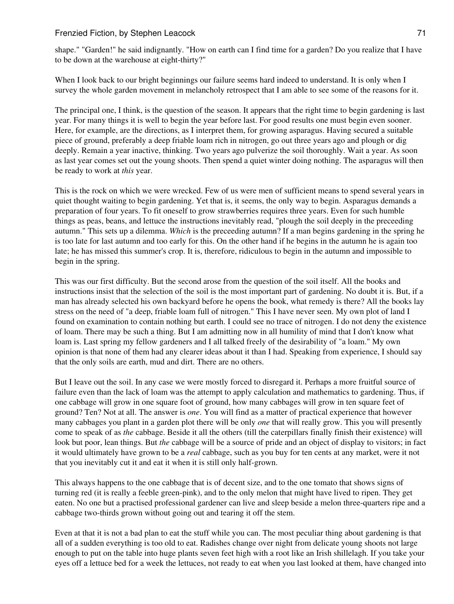shape." "Garden!" he said indignantly. "How on earth can I find time for a garden? Do you realize that I have to be down at the warehouse at eight-thirty?"

When I look back to our bright beginnings our failure seems hard indeed to understand. It is only when I survey the whole garden movement in melancholy retrospect that I am able to see some of the reasons for it.

The principal one, I think, is the question of the season. It appears that the right time to begin gardening is last year. For many things it is well to begin the year before last. For good results one must begin even sooner. Here, for example, are the directions, as I interpret them, for growing asparagus. Having secured a suitable piece of ground, preferably a deep friable loam rich in nitrogen, go out three years ago and plough or dig deeply. Remain a year inactive, thinking. Two years ago pulverize the soil thoroughly. Wait a year. As soon as last year comes set out the young shoots. Then spend a quiet winter doing nothing. The asparagus will then be ready to work at *this* year.

This is the rock on which we were wrecked. Few of us were men of sufficient means to spend several years in quiet thought waiting to begin gardening. Yet that is, it seems, the only way to begin. Asparagus demands a preparation of four years. To fit oneself to grow strawberries requires three years. Even for such humble things as peas, beans, and lettuce the instructions inevitably read, "plough the soil deeply in the preceeding autumn." This sets up a dilemma. *Which* is the preceeding autumn? If a man begins gardening in the spring he is too late for last autumn and too early for this. On the other hand if he begins in the autumn he is again too late; he has missed this summer's crop. It is, therefore, ridiculous to begin in the autumn and impossible to begin in the spring.

This was our first difficulty. But the second arose from the question of the soil itself. All the books and instructions insist that the selection of the soil is the most important part of gardening. No doubt it is. But, if a man has already selected his own backyard before he opens the book, what remedy is there? All the books lay stress on the need of "a deep, friable loam full of nitrogen." This I have never seen. My own plot of land I found on examination to contain nothing but earth. I could see no trace of nitrogen. I do not deny the existence of loam. There may be such a thing. But I am admitting now in all humility of mind that I don't know what loam is. Last spring my fellow gardeners and I all talked freely of the desirability of "a loam." My own opinion is that none of them had any clearer ideas about it than I had. Speaking from experience, I should say that the only soils are earth, mud and dirt. There are no others.

But I leave out the soil. In any case we were mostly forced to disregard it. Perhaps a more fruitful source of failure even than the lack of loam was the attempt to apply calculation and mathematics to gardening. Thus, if one cabbage will grow in one square foot of ground, how many cabbages will grow in ten square feet of ground? Ten? Not at all. The answer is *one*. You will find as a matter of practical experience that however many cabbages you plant in a garden plot there will be only *one* that will really grow. This you will presently come to speak of as *the* cabbage. Beside it all the others (till the caterpillars finally finish their existence) will look but poor, lean things. But *the* cabbage will be a source of pride and an object of display to visitors; in fact it would ultimately have grown to be a *real* cabbage, such as you buy for ten cents at any market, were it not that you inevitably cut it and eat it when it is still only half-grown.

This always happens to the one cabbage that is of decent size, and to the one tomato that shows signs of turning red (it is really a feeble green-pink), and to the only melon that might have lived to ripen. They get eaten. No one but a practised professional gardener can live and sleep beside a melon three-quarters ripe and a cabbage two-thirds grown without going out and tearing it off the stem.

Even at that it is not a bad plan to eat the stuff while you can. The most peculiar thing about gardening is that all of a sudden everything is too old to eat. Radishes change over night from delicate young shoots not large enough to put on the table into huge plants seven feet high with a root like an Irish shillelagh. If you take your eyes off a lettuce bed for a week the lettuces, not ready to eat when you last looked at them, have changed into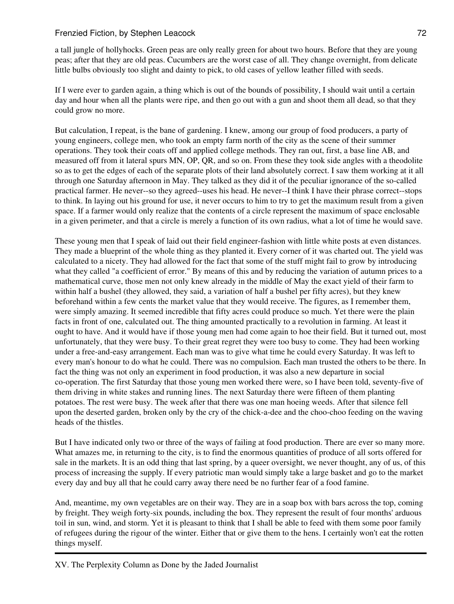a tall jungle of hollyhocks. Green peas are only really green for about two hours. Before that they are young peas; after that they are old peas. Cucumbers are the worst case of all. They change overnight, from delicate little bulbs obviously too slight and dainty to pick, to old cases of yellow leather filled with seeds.

If I were ever to garden again, a thing which is out of the bounds of possibility, I should wait until a certain day and hour when all the plants were ripe, and then go out with a gun and shoot them all dead, so that they could grow no more.

But calculation, I repeat, is the bane of gardening. I knew, among our group of food producers, a party of young engineers, college men, who took an empty farm north of the city as the scene of their summer operations. They took their coats off and applied college methods. They ran out, first, a base line AB, and measured off from it lateral spurs MN, OP, QR, and so on. From these they took side angles with a theodolite so as to get the edges of each of the separate plots of their land absolutely correct. I saw them working at it all through one Saturday afternoon in May. They talked as they did it of the peculiar ignorance of the so-called practical farmer. He never--so they agreed--uses his head. He never--I think I have their phrase correct--stops to think. In laying out his ground for use, it never occurs to him to try to get the maximum result from a given space. If a farmer would only realize that the contents of a circle represent the maximum of space enclosable in a given perimeter, and that a circle is merely a function of its own radius, what a lot of time he would save.

These young men that I speak of laid out their field engineer-fashion with little white posts at even distances. They made a blueprint of the whole thing as they planted it. Every corner of it was charted out. The yield was calculated to a nicety. They had allowed for the fact that some of the stuff might fail to grow by introducing what they called "a coefficient of error." By means of this and by reducing the variation of autumn prices to a mathematical curve, those men not only knew already in the middle of May the exact yield of their farm to within half a bushel (they allowed, they said, a variation of half a bushel per fifty acres), but they knew beforehand within a few cents the market value that they would receive. The figures, as I remember them, were simply amazing. It seemed incredible that fifty acres could produce so much. Yet there were the plain facts in front of one, calculated out. The thing amounted practically to a revolution in farming. At least it ought to have. And it would have if those young men had come again to hoe their field. But it turned out, most unfortunately, that they were busy. To their great regret they were too busy to come. They had been working under a free-and-easy arrangement. Each man was to give what time he could every Saturday. It was left to every man's honour to do what he could. There was no compulsion. Each man trusted the others to be there. In fact the thing was not only an experiment in food production, it was also a new departure in social co-operation. The first Saturday that those young men worked there were, so I have been told, seventy-five of them driving in white stakes and running lines. The next Saturday there were fifteen of them planting potatoes. The rest were busy. The week after that there was one man hoeing weeds. After that silence fell upon the deserted garden, broken only by the cry of the chick-a-dee and the choo-choo feeding on the waving heads of the thistles.

But I have indicated only two or three of the ways of failing at food production. There are ever so many more. What amazes me, in returning to the city, is to find the enormous quantities of produce of all sorts offered for sale in the markets. It is an odd thing that last spring, by a queer oversight, we never thought, any of us, of this process of increasing the supply. If every patriotic man would simply take a large basket and go to the market every day and buy all that he could carry away there need be no further fear of a food famine.

And, meantime, my own vegetables are on their way. They are in a soap box with bars across the top, coming by freight. They weigh forty-six pounds, including the box. They represent the result of four months' arduous toil in sun, wind, and storm. Yet it is pleasant to think that I shall be able to feed with them some poor family of refugees during the rigour of the winter. Either that or give them to the hens. I certainly won't eat the rotten things myself.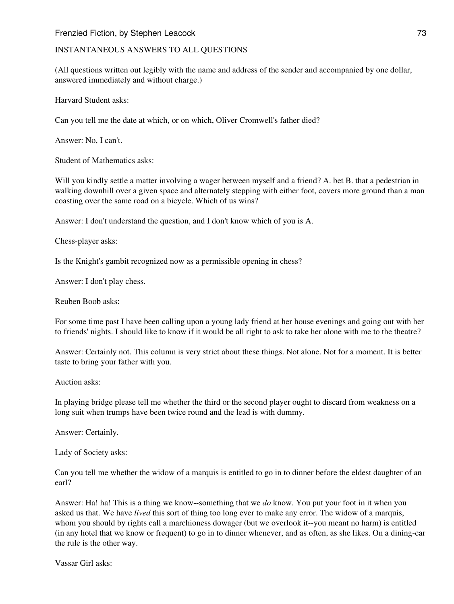#### INSTANTANEOUS ANSWERS TO ALL QUESTIONS

(All questions written out legibly with the name and address of the sender and accompanied by one dollar, answered immediately and without charge.)

Harvard Student asks:

Can you tell me the date at which, or on which, Oliver Cromwell's father died?

Answer: No, I can't.

Student of Mathematics asks:

Will you kindly settle a matter involving a wager between myself and a friend? A. bet B. that a pedestrian in walking downhill over a given space and alternately stepping with either foot, covers more ground than a man coasting over the same road on a bicycle. Which of us wins?

Answer: I don't understand the question, and I don't know which of you is A.

Chess-player asks:

Is the Knight's gambit recognized now as a permissible opening in chess?

Answer: I don't play chess.

Reuben Boob asks:

For some time past I have been calling upon a young lady friend at her house evenings and going out with her to friends' nights. I should like to know if it would be all right to ask to take her alone with me to the theatre?

Answer: Certainly not. This column is very strict about these things. Not alone. Not for a moment. It is better taste to bring your father with you.

Auction asks:

In playing bridge please tell me whether the third or the second player ought to discard from weakness on a long suit when trumps have been twice round and the lead is with dummy.

Answer: Certainly.

Lady of Society asks:

Can you tell me whether the widow of a marquis is entitled to go in to dinner before the eldest daughter of an earl?

Answer: Ha! ha! This is a thing we know--something that we *do* know. You put your foot in it when you asked us that. We have *lived* this sort of thing too long ever to make any error. The widow of a marquis, whom you should by rights call a marchioness dowager (but we overlook it--you meant no harm) is entitled (in any hotel that we know or frequent) to go in to dinner whenever, and as often, as she likes. On a dining-car the rule is the other way.

Vassar Girl asks: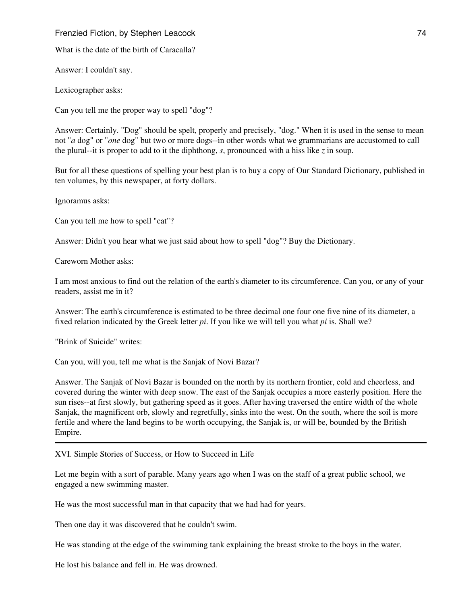What is the date of the birth of Caracalla?

Answer: I couldn't say.

Lexicographer asks:

Can you tell me the proper way to spell "dog"?

Answer: Certainly. "Dog" should be spelt, properly and precisely, "dog." When it is used in the sense to mean not "*a* dog" or "*one* dog" but two or more dogs--in other words what we grammarians are accustomed to call the plural--it is proper to add to it the diphthong, *s*, pronounced with a hiss like *z* in soup.

But for all these questions of spelling your best plan is to buy a copy of Our Standard Dictionary, published in ten volumes, by this newspaper, at forty dollars.

Ignoramus asks:

Can you tell me how to spell "cat"?

Answer: Didn't you hear what we just said about how to spell "dog"? Buy the Dictionary.

Careworn Mother asks:

I am most anxious to find out the relation of the earth's diameter to its circumference. Can you, or any of your readers, assist me in it?

Answer: The earth's circumference is estimated to be three decimal one four one five nine of its diameter, a fixed relation indicated by the Greek letter *pi*. If you like we will tell you what *pi* is. Shall we?

"Brink of Suicide" writes:

Can you, will you, tell me what is the Sanjak of Novi Bazar?

Answer. The Sanjak of Novi Bazar is bounded on the north by its northern frontier, cold and cheerless, and covered during the winter with deep snow. The east of the Sanjak occupies a more easterly position. Here the sun rises--at first slowly, but gathering speed as it goes. After having traversed the entire width of the whole Sanjak, the magnificent orb, slowly and regretfully, sinks into the west. On the south, where the soil is more fertile and where the land begins to be worth occupying, the Sanjak is, or will be, bounded by the British Empire.

XVI. Simple Stories of Success, or How to Succeed in Life

Let me begin with a sort of parable. Many years ago when I was on the staff of a great public school, we engaged a new swimming master.

He was the most successful man in that capacity that we had had for years.

Then one day it was discovered that he couldn't swim.

He was standing at the edge of the swimming tank explaining the breast stroke to the boys in the water.

He lost his balance and fell in. He was drowned.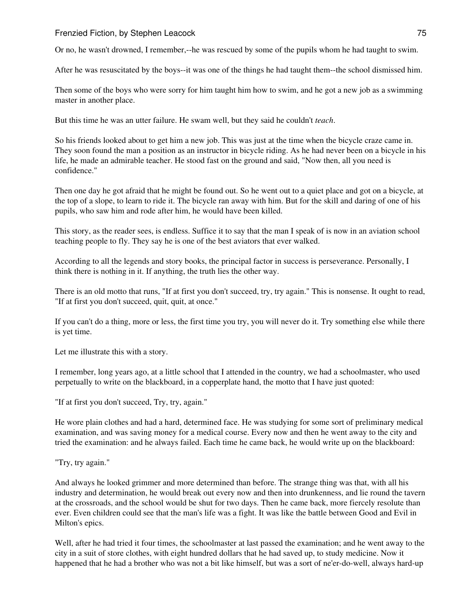Or no, he wasn't drowned, I remember,--he was rescued by some of the pupils whom he had taught to swim.

After he was resuscitated by the boys--it was one of the things he had taught them--the school dismissed him.

Then some of the boys who were sorry for him taught him how to swim, and he got a new job as a swimming master in another place.

But this time he was an utter failure. He swam well, but they said he couldn't *teach*.

So his friends looked about to get him a new job. This was just at the time when the bicycle craze came in. They soon found the man a position as an instructor in bicycle riding. As he had never been on a bicycle in his life, he made an admirable teacher. He stood fast on the ground and said, "Now then, all you need is confidence."

Then one day he got afraid that he might be found out. So he went out to a quiet place and got on a bicycle, at the top of a slope, to learn to ride it. The bicycle ran away with him. But for the skill and daring of one of his pupils, who saw him and rode after him, he would have been killed.

This story, as the reader sees, is endless. Suffice it to say that the man I speak of is now in an aviation school teaching people to fly. They say he is one of the best aviators that ever walked.

According to all the legends and story books, the principal factor in success is perseverance. Personally, I think there is nothing in it. If anything, the truth lies the other way.

There is an old motto that runs, "If at first you don't succeed, try, try again." This is nonsense. It ought to read, "If at first you don't succeed, quit, quit, at once."

If you can't do a thing, more or less, the first time you try, you will never do it. Try something else while there is yet time.

Let me illustrate this with a story.

I remember, long years ago, at a little school that I attended in the country, we had a schoolmaster, who used perpetually to write on the blackboard, in a copperplate hand, the motto that I have just quoted:

"If at first you don't succeed, Try, try, again."

He wore plain clothes and had a hard, determined face. He was studying for some sort of preliminary medical examination, and was saving money for a medical course. Every now and then he went away to the city and tried the examination: and he always failed. Each time he came back, he would write up on the blackboard:

"Try, try again."

And always he looked grimmer and more determined than before. The strange thing was that, with all his industry and determination, he would break out every now and then into drunkenness, and lie round the tavern at the crossroads, and the school would be shut for two days. Then he came back, more fiercely resolute than ever. Even children could see that the man's life was a fight. It was like the battle between Good and Evil in Milton's epics.

Well, after he had tried it four times, the schoolmaster at last passed the examination; and he went away to the city in a suit of store clothes, with eight hundred dollars that he had saved up, to study medicine. Now it happened that he had a brother who was not a bit like himself, but was a sort of ne'er-do-well, always hard-up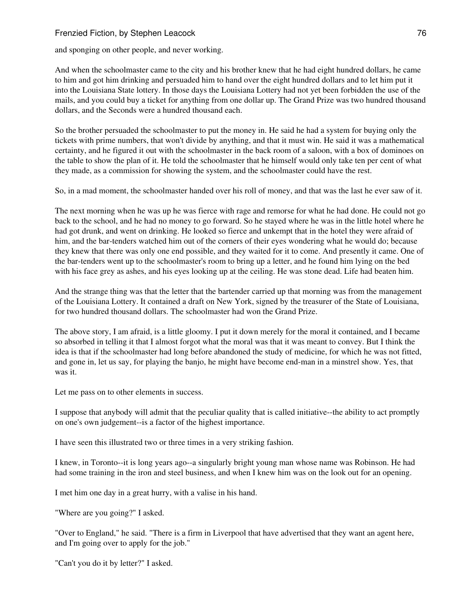and sponging on other people, and never working.

And when the schoolmaster came to the city and his brother knew that he had eight hundred dollars, he came to him and got him drinking and persuaded him to hand over the eight hundred dollars and to let him put it into the Louisiana State lottery. In those days the Louisiana Lottery had not yet been forbidden the use of the mails, and you could buy a ticket for anything from one dollar up. The Grand Prize was two hundred thousand dollars, and the Seconds were a hundred thousand each.

So the brother persuaded the schoolmaster to put the money in. He said he had a system for buying only the tickets with prime numbers, that won't divide by anything, and that it must win. He said it was a mathematical certainty, and he figured it out with the schoolmaster in the back room of a saloon, with a box of dominoes on the table to show the plan of it. He told the schoolmaster that he himself would only take ten per cent of what they made, as a commission for showing the system, and the schoolmaster could have the rest.

So, in a mad moment, the schoolmaster handed over his roll of money, and that was the last he ever saw of it.

The next morning when he was up he was fierce with rage and remorse for what he had done. He could not go back to the school, and he had no money to go forward. So he stayed where he was in the little hotel where he had got drunk, and went on drinking. He looked so fierce and unkempt that in the hotel they were afraid of him, and the bar-tenders watched him out of the corners of their eyes wondering what he would do; because they knew that there was only one end possible, and they waited for it to come. And presently it came. One of the bar-tenders went up to the schoolmaster's room to bring up a letter, and he found him lying on the bed with his face grey as ashes, and his eyes looking up at the ceiling. He was stone dead. Life had beaten him.

And the strange thing was that the letter that the bartender carried up that morning was from the management of the Louisiana Lottery. It contained a draft on New York, signed by the treasurer of the State of Louisiana, for two hundred thousand dollars. The schoolmaster had won the Grand Prize.

The above story, I am afraid, is a little gloomy. I put it down merely for the moral it contained, and I became so absorbed in telling it that I almost forgot what the moral was that it was meant to convey. But I think the idea is that if the schoolmaster had long before abandoned the study of medicine, for which he was not fitted, and gone in, let us say, for playing the banjo, he might have become end-man in a minstrel show. Yes, that was it.

Let me pass on to other elements in success.

I suppose that anybody will admit that the peculiar quality that is called initiative--the ability to act promptly on one's own judgement--is a factor of the highest importance.

I have seen this illustrated two or three times in a very striking fashion.

I knew, in Toronto--it is long years ago--a singularly bright young man whose name was Robinson. He had had some training in the iron and steel business, and when I knew him was on the look out for an opening.

I met him one day in a great hurry, with a valise in his hand.

"Where are you going?" I asked.

"Over to England," he said. "There is a firm in Liverpool that have advertised that they want an agent here, and I'm going over to apply for the job."

"Can't you do it by letter?" I asked.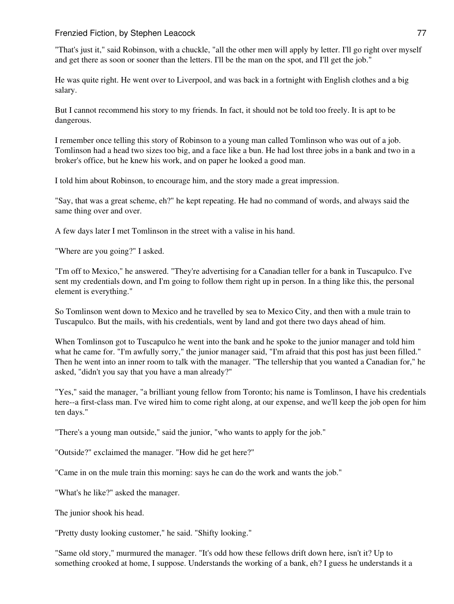"That's just it," said Robinson, with a chuckle, "all the other men will apply by letter. I'll go right over myself and get there as soon or sooner than the letters. I'll be the man on the spot, and I'll get the job."

He was quite right. He went over to Liverpool, and was back in a fortnight with English clothes and a big salary.

But I cannot recommend his story to my friends. In fact, it should not be told too freely. It is apt to be dangerous.

I remember once telling this story of Robinson to a young man called Tomlinson who was out of a job. Tomlinson had a head two sizes too big, and a face like a bun. He had lost three jobs in a bank and two in a broker's office, but he knew his work, and on paper he looked a good man.

I told him about Robinson, to encourage him, and the story made a great impression.

"Say, that was a great scheme, eh?" he kept repeating. He had no command of words, and always said the same thing over and over.

A few days later I met Tomlinson in the street with a valise in his hand.

"Where are you going?" I asked.

"I'm off to Mexico," he answered. "They're advertising for a Canadian teller for a bank in Tuscapulco. I've sent my credentials down, and I'm going to follow them right up in person. In a thing like this, the personal element is everything."

So Tomlinson went down to Mexico and he travelled by sea to Mexico City, and then with a mule train to Tuscapulco. But the mails, with his credentials, went by land and got there two days ahead of him.

When Tomlinson got to Tuscapulco he went into the bank and he spoke to the junior manager and told him what he came for. "I'm awfully sorry," the junior manager said, "I'm afraid that this post has just been filled." Then he went into an inner room to talk with the manager. "The tellership that you wanted a Canadian for," he asked, "didn't you say that you have a man already?"

"Yes," said the manager, "a brilliant young fellow from Toronto; his name is Tomlinson, I have his credentials here--a first-class man. I've wired him to come right along, at our expense, and we'll keep the job open for him ten days."

"There's a young man outside," said the junior, "who wants to apply for the job."

"Outside?" exclaimed the manager. "How did he get here?"

"Came in on the mule train this morning: says he can do the work and wants the job."

"What's he like?" asked the manager.

The junior shook his head.

"Pretty dusty looking customer," he said. "Shifty looking."

"Same old story," murmured the manager. "It's odd how these fellows drift down here, isn't it? Up to something crooked at home, I suppose. Understands the working of a bank, eh? I guess he understands it a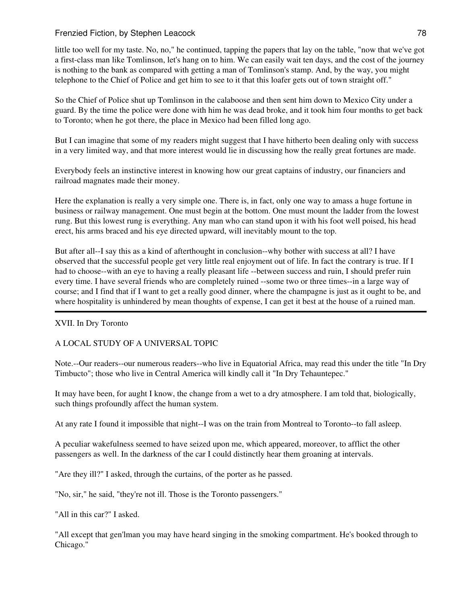little too well for my taste. No, no," he continued, tapping the papers that lay on the table, "now that we've got a first-class man like Tomlinson, let's hang on to him. We can easily wait ten days, and the cost of the journey is nothing to the bank as compared with getting a man of Tomlinson's stamp. And, by the way, you might telephone to the Chief of Police and get him to see to it that this loafer gets out of town straight off."

So the Chief of Police shut up Tomlinson in the calaboose and then sent him down to Mexico City under a guard. By the time the police were done with him he was dead broke, and it took him four months to get back to Toronto; when he got there, the place in Mexico had been filled long ago.

But I can imagine that some of my readers might suggest that I have hitherto been dealing only with success in a very limited way, and that more interest would lie in discussing how the really great fortunes are made.

Everybody feels an instinctive interest in knowing how our great captains of industry, our financiers and railroad magnates made their money.

Here the explanation is really a very simple one. There is, in fact, only one way to amass a huge fortune in business or railway management. One must begin at the bottom. One must mount the ladder from the lowest rung. But this lowest rung is everything. Any man who can stand upon it with his foot well poised, his head erect, his arms braced and his eye directed upward, will inevitably mount to the top.

But after all--I say this as a kind of afterthought in conclusion--why bother with success at all? I have observed that the successful people get very little real enjoyment out of life. In fact the contrary is true. If I had to choose--with an eye to having a really pleasant life --between success and ruin, I should prefer ruin every time. I have several friends who are completely ruined --some two or three times--in a large way of course; and I find that if I want to get a really good dinner, where the champagne is just as it ought to be, and where hospitality is unhindered by mean thoughts of expense, I can get it best at the house of a ruined man.

# XVII. In Dry Toronto

#### A LOCAL STUDY OF A UNIVERSAL TOPIC

Note.--Our readers--our numerous readers--who live in Equatorial Africa, may read this under the title "In Dry Timbucto"; those who live in Central America will kindly call it "In Dry Tehauntepec."

It may have been, for aught I know, the change from a wet to a dry atmosphere. I am told that, biologically, such things profoundly affect the human system.

At any rate I found it impossible that night--I was on the train from Montreal to Toronto--to fall asleep.

A peculiar wakefulness seemed to have seized upon me, which appeared, moreover, to afflict the other passengers as well. In the darkness of the car I could distinctly hear them groaning at intervals.

"Are they ill?" I asked, through the curtains, of the porter as he passed.

"No, sir," he said, "they're not ill. Those is the Toronto passengers."

"All in this car?" I asked.

"All except that gen'lman you may have heard singing in the smoking compartment. He's booked through to Chicago."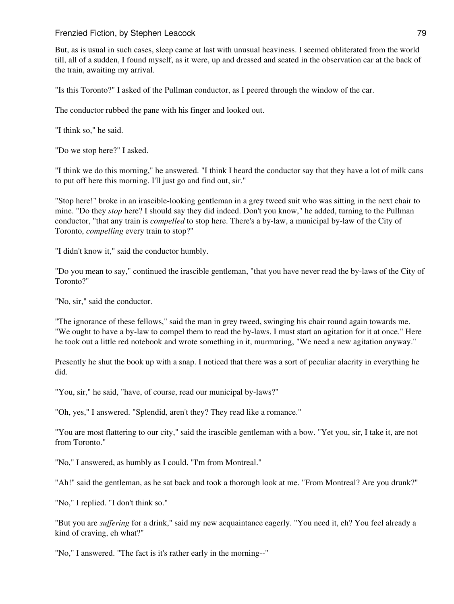But, as is usual in such cases, sleep came at last with unusual heaviness. I seemed obliterated from the world till, all of a sudden, I found myself, as it were, up and dressed and seated in the observation car at the back of the train, awaiting my arrival.

"Is this Toronto?" I asked of the Pullman conductor, as I peered through the window of the car.

The conductor rubbed the pane with his finger and looked out.

"I think so," he said.

"Do we stop here?" I asked.

"I think we do this morning," he answered. "I think I heard the conductor say that they have a lot of milk cans to put off here this morning. I'll just go and find out, sir."

"Stop here!" broke in an irascible-looking gentleman in a grey tweed suit who was sitting in the next chair to mine. "Do they *stop* here? I should say they did indeed. Don't you know," he added, turning to the Pullman conductor, "that any train is *compelled* to stop here. There's a by-law, a municipal by-law of the City of Toronto, *compelling* every train to stop?"

"I didn't know it," said the conductor humbly.

"Do you mean to say," continued the irascible gentleman, "that you have never read the by-laws of the City of Toronto?"

"No, sir," said the conductor.

"The ignorance of these fellows," said the man in grey tweed, swinging his chair round again towards me. "We ought to have a by-law to compel them to read the by-laws. I must start an agitation for it at once." Here he took out a little red notebook and wrote something in it, murmuring, "We need a new agitation anyway."

Presently he shut the book up with a snap. I noticed that there was a sort of peculiar alacrity in everything he did.

"You, sir," he said, "have, of course, read our municipal by-laws?"

"Oh, yes," I answered. "Splendid, aren't they? They read like a romance."

"You are most flattering to our city," said the irascible gentleman with a bow. "Yet you, sir, I take it, are not from Toronto."

"No," I answered, as humbly as I could. "I'm from Montreal."

"Ah!" said the gentleman, as he sat back and took a thorough look at me. "From Montreal? Are you drunk?"

"No," I replied. "I don't think so."

"But you are *suffering* for a drink," said my new acquaintance eagerly. "You need it, eh? You feel already a kind of craving, eh what?"

"No," I answered. "The fact is it's rather early in the morning--"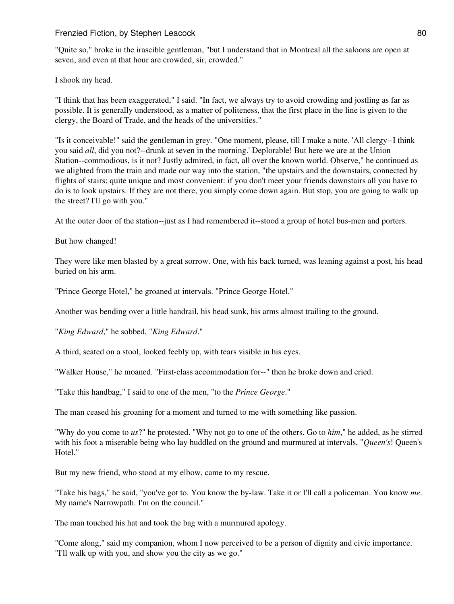"Quite so," broke in the irascible gentleman, "but I understand that in Montreal all the saloons are open at seven, and even at that hour are crowded, sir, crowded."

I shook my head.

"I think that has been exaggerated," I said. "In fact, we always try to avoid crowding and jostling as far as possible. It is generally understood, as a matter of politeness, that the first place in the line is given to the clergy, the Board of Trade, and the heads of the universities."

"Is it conceivable!" said the gentleman in grey. "One moment, please, till I make a note. 'All clergy--I think you said *all*, did you not?--drunk at seven in the morning.' Deplorable! But here we are at the Union Station--commodious, is it not? Justly admired, in fact, all over the known world. Observe," he continued as we alighted from the train and made our way into the station, "the upstairs and the downstairs, connected by flights of stairs; quite unique and most convenient: if you don't meet your friends downstairs all you have to do is to look upstairs. If they are not there, you simply come down again. But stop, you are going to walk up the street? I'll go with you."

At the outer door of the station--just as I had remembered it--stood a group of hotel bus-men and porters.

But how changed!

They were like men blasted by a great sorrow. One, with his back turned, was leaning against a post, his head buried on his arm.

"Prince George Hotel," he groaned at intervals. "Prince George Hotel."

Another was bending over a little handrail, his head sunk, his arms almost trailing to the ground.

"*King Edward*," he sobbed, "*King Edward*."

A third, seated on a stool, looked feebly up, with tears visible in his eyes.

"Walker House," he moaned. "First-class accommodation for--" then he broke down and cried.

"Take this handbag," I said to one of the men, "to the *Prince George*."

The man ceased his groaning for a moment and turned to me with something like passion.

"Why do you come to *us*?" he protested. "Why not go to one of the others. Go to *him*," he added, as he stirred with his foot a miserable being who lay huddled on the ground and murmured at intervals, "*Queen's*! Queen's Hotel."

But my new friend, who stood at my elbow, came to my rescue.

"Take his bags," he said, "you've got to. You know the by-law. Take it or I'll call a policeman. You know *me*. My name's Narrowpath. I'm on the council."

The man touched his hat and took the bag with a murmured apology.

"Come along," said my companion, whom I now perceived to be a person of dignity and civic importance. "I'll walk up with you, and show you the city as we go."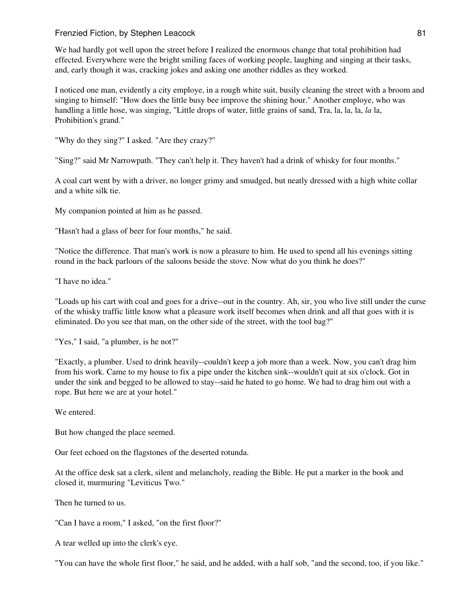We had hardly got well upon the street before I realized the enormous change that total prohibition had effected. Everywhere were the bright smiling faces of working people, laughing and singing at their tasks, and, early though it was, cracking jokes and asking one another riddles as they worked.

I noticed one man, evidently a city employe, in a rough white suit, busily cleaning the street with a broom and singing to himself: "How does the little busy bee improve the shining hour." Another employe, who was handling a little hose, was singing, "Little drops of water, little grains of sand, Tra, la, la, la, *la* la, Prohibition's grand."

"Why do they sing?" I asked. "Are they crazy?"

"Sing?" said Mr Narrowpath. "They can't help it. They haven't had a drink of whisky for four months."

A coal cart went by with a driver, no longer grimy and smudged, but neatly dressed with a high white collar and a white silk tie.

My companion pointed at him as he passed.

"Hasn't had a glass of beer for four months," he said.

"Notice the difference. That man's work is now a pleasure to him. He used to spend all his evenings sitting round in the back parlours of the saloons beside the stove. Now what do you think he does?"

"I have no idea."

"Loads up his cart with coal and goes for a drive--out in the country. Ah, sir, you who live still under the curse of the whisky traffic little know what a pleasure work itself becomes when drink and all that goes with it is eliminated. Do you see that man, on the other side of the street, with the tool bag?"

"Yes," I said, "a plumber, is he not?"

"Exactly, a plumber. Used to drink heavily--couldn't keep a job more than a week. Now, you can't drag him from his work. Came to my house to fix a pipe under the kitchen sink--wouldn't quit at six o'clock. Got in under the sink and begged to be allowed to stay--said he hated to go home. We had to drag him out with a rope. But here we are at your hotel."

We entered.

But how changed the place seemed.

Our feet echoed on the flagstones of the deserted rotunda.

At the office desk sat a clerk, silent and melancholy, reading the Bible. He put a marker in the book and closed it, murmuring "Leviticus Two."

Then he turned to us.

"Can I have a room," I asked, "on the first floor?"

A tear welled up into the clerk's eye.

"You can have the whole first floor," he said, and he added, with a half sob, "and the second, too, if you like."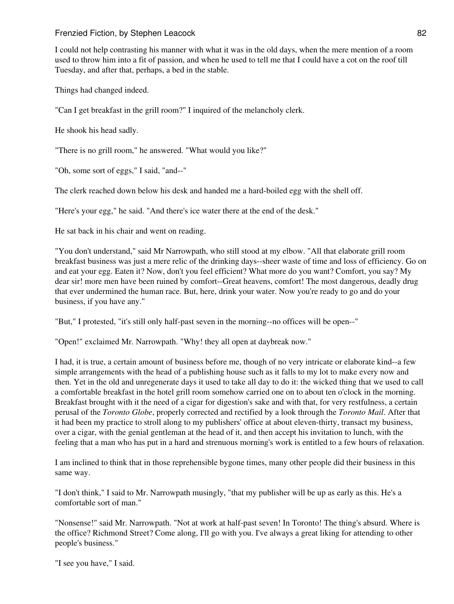I could not help contrasting his manner with what it was in the old days, when the mere mention of a room used to throw him into a fit of passion, and when he used to tell me that I could have a cot on the roof till Tuesday, and after that, perhaps, a bed in the stable.

Things had changed indeed.

"Can I get breakfast in the grill room?" I inquired of the melancholy clerk.

He shook his head sadly.

"There is no grill room," he answered. "What would you like?"

"Oh, some sort of eggs," I said, "and--"

The clerk reached down below his desk and handed me a hard-boiled egg with the shell off.

"Here's your egg," he said. "And there's ice water there at the end of the desk."

He sat back in his chair and went on reading.

"You don't understand," said Mr Narrowpath, who still stood at my elbow. "All that elaborate grill room breakfast business was just a mere relic of the drinking days--sheer waste of time and loss of efficiency. Go on and eat your egg. Eaten it? Now, don't you feel efficient? What more do you want? Comfort, you say? My dear sir! more men have been ruined by comfort--Great heavens, comfort! The most dangerous, deadly drug that ever undermined the human race. But, here, drink your water. Now you're ready to go and do your business, if you have any."

"But," I protested, "it's still only half-past seven in the morning--no offices will be open--"

"Open!" exclaimed Mr. Narrowpath. "Why! they all open at daybreak now."

I had, it is true, a certain amount of business before me, though of no very intricate or elaborate kind--a few simple arrangements with the head of a publishing house such as it falls to my lot to make every now and then. Yet in the old and unregenerate days it used to take all day to do it: the wicked thing that we used to call a comfortable breakfast in the hotel grill room somehow carried one on to about ten o'clock in the morning. Breakfast brought with it the need of a cigar for digestion's sake and with that, for very restfulness, a certain perusal of the *Toronto Globe*, properly corrected and rectified by a look through the *Toronto Mail*. After that it had been my practice to stroll along to my publishers' office at about eleven-thirty, transact my business, over a cigar, with the genial gentleman at the head of it, and then accept his invitation to lunch, with the feeling that a man who has put in a hard and strenuous morning's work is entitled to a few hours of relaxation.

I am inclined to think that in those reprehensible bygone times, many other people did their business in this same way.

"I don't think," I said to Mr. Narrowpath musingly, "that my publisher will be up as early as this. He's a comfortable sort of man."

"Nonsense!" said Mr. Narrowpath. "Not at work at half-past seven! In Toronto! The thing's absurd. Where is the office? Richmond Street? Come along, I'll go with you. I've always a great liking for attending to other people's business."

"I see you have," I said.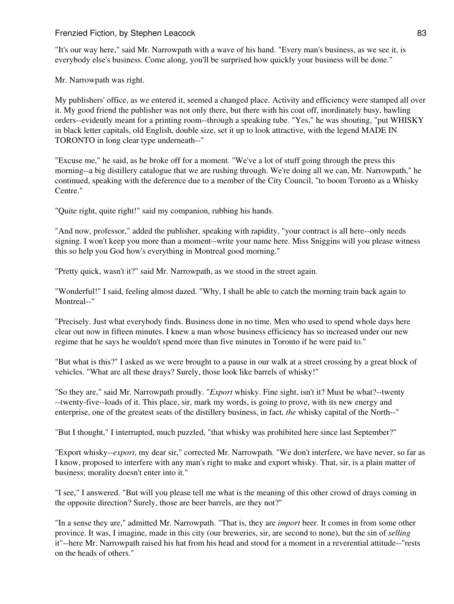"It's our way here," said Mr. Narrowpath with a wave of his hand. "Every man's business, as we see it, is everybody else's business. Come along, you'll be surprised how quickly your business will be done."

Mr. Narrowpath was right.

My publishers' office, as we entered it, seemed a changed place. Activity and efficiency were stamped all over it. My good friend the publisher was not only there, but there with his coat off, inordinately busy, bawling orders--evidently meant for a printing room--through a speaking tube. "Yes," he was shouting, "put WHISKY in black letter capitals, old English, double size, set it up to look attractive, with the legend MADE IN TORONTO in long clear type underneath--"

"Excuse me," he said, as he broke off for a moment. "We've a lot of stuff going through the press this morning--a big distillery catalogue that we are rushing through. We're doing all we can, Mr. Narrowpath," he continued, speaking with the deference due to a member of the City Council, "to boom Toronto as a Whisky Centre."

"Quite right, quite right!" said my companion, rubbing his hands.

"And now, professor," added the publisher, speaking with rapidity, "your contract is all here--only needs signing. I won't keep you more than a moment--write your name here. Miss Sniggins will you please witness this so help you God how's everything in Montreal good morning."

"Pretty quick, wasn't it?" said Mr. Narrowpath, as we stood in the street again.

"Wonderful!" I said, feeling almost dazed. "Why, I shall be able to catch the morning train back again to Montreal--"

"Precisely. Just what everybody finds. Business done in no time. Men who used to spend whole days here clear out now in fifteen minutes. I knew a man whose business efficiency has so increased under our new regime that he says he wouldn't spend more than five minutes in Toronto if he were paid to."

"But what is this?" I asked as we were brought to a pause in our walk at a street crossing by a great block of vehicles. "What are all these drays? Surely, those look like barrels of whisky!"

"So they are," said Mr. Narrowpath proudly. "*Export* whisky. Fine sight, isn't it? Must be what?--twenty --twenty-five--loads of it. This place, sir, mark my words, is going to prove, with its new energy and enterprise, one of the greatest seats of the distillery business, in fact, *the* whisky capital of the North--"

"But I thought," I interrupted, much puzzled, "that whisky was prohibited here since last September?"

"Export whisky--*export*, my dear sir," corrected Mr. Narrowpath. "We don't interfere, we have never, so far as I know, proposed to interfere with any man's right to make and export whisky. That, sir, is a plain matter of business; morality doesn't enter into it."

"I see," I answered. "But will you please tell me what is the meaning of this other crowd of drays coming in the opposite direction? Surely, those are beer barrels, are they not?"

"In a sense they are," admitted Mr. Narrowpath. "That is, they are *import* beer. It comes in from some other province. It was, I imagine, made in this city (our breweries, sir, are second to none), but the sin of *selling* it"--here Mr. Narrowpath raised his hat from his head and stood for a moment in a reverential attitude--"rests on the heads of others."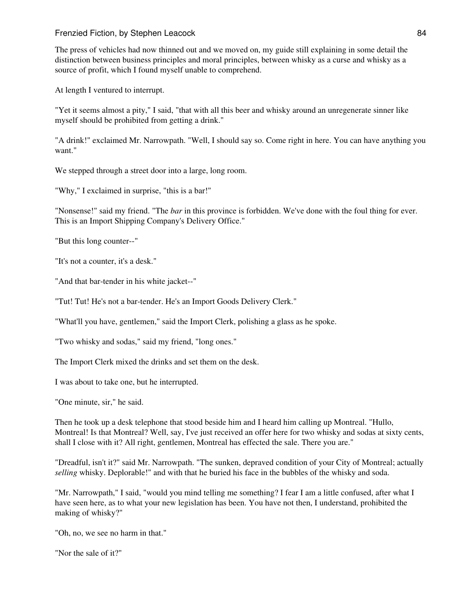The press of vehicles had now thinned out and we moved on, my guide still explaining in some detail the distinction between business principles and moral principles, between whisky as a curse and whisky as a source of profit, which I found myself unable to comprehend.

At length I ventured to interrupt.

"Yet it seems almost a pity," I said, "that with all this beer and whisky around an unregenerate sinner like myself should be prohibited from getting a drink."

"A drink!" exclaimed Mr. Narrowpath. "Well, I should say so. Come right in here. You can have anything you want."

We stepped through a street door into a large, long room.

"Why," I exclaimed in surprise, "this is a bar!"

"Nonsense!" said my friend. "The *bar* in this province is forbidden. We've done with the foul thing for ever. This is an Import Shipping Company's Delivery Office."

"But this long counter--"

"It's not a counter, it's a desk."

"And that bar-tender in his white jacket--"

"Tut! Tut! He's not a bar-tender. He's an Import Goods Delivery Clerk."

"What'll you have, gentlemen," said the Import Clerk, polishing a glass as he spoke.

"Two whisky and sodas," said my friend, "long ones."

The Import Clerk mixed the drinks and set them on the desk.

I was about to take one, but he interrupted.

"One minute, sir," he said.

Then he took up a desk telephone that stood beside him and I heard him calling up Montreal. "Hullo, Montreal! Is that Montreal? Well, say, I've just received an offer here for two whisky and sodas at sixty cents, shall I close with it? All right, gentlemen, Montreal has effected the sale. There you are."

"Dreadful, isn't it?" said Mr. Narrowpath. "The sunken, depraved condition of your City of Montreal; actually *selling* whisky. Deplorable!" and with that he buried his face in the bubbles of the whisky and soda.

"Mr. Narrowpath," I said, "would you mind telling me something? I fear I am a little confused, after what I have seen here, as to what your new legislation has been. You have not then, I understand, prohibited the making of whisky?"

"Oh, no, we see no harm in that."

"Nor the sale of it?"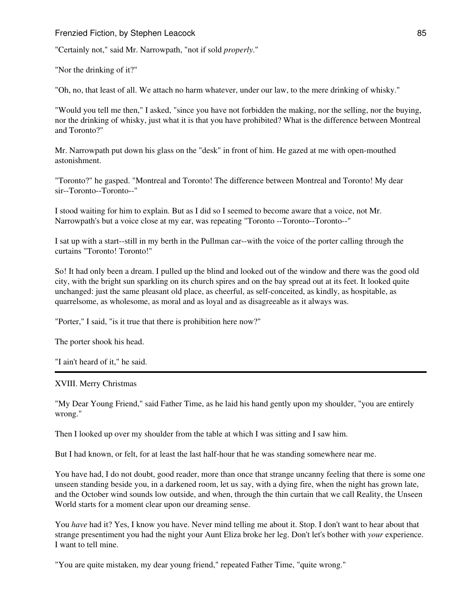"Certainly not," said Mr. Narrowpath, "not if sold *properly*."

"Nor the drinking of it?"

"Oh, no, that least of all. We attach no harm whatever, under our law, to the mere drinking of whisky."

"Would you tell me then," I asked, "since you have not forbidden the making, nor the selling, nor the buying, nor the drinking of whisky, just what it is that you have prohibited? What is the difference between Montreal and Toronto?"

Mr. Narrowpath put down his glass on the "desk" in front of him. He gazed at me with open-mouthed astonishment.

"Toronto?" he gasped. "Montreal and Toronto! The difference between Montreal and Toronto! My dear sir--Toronto--Toronto--"

I stood waiting for him to explain. But as I did so I seemed to become aware that a voice, not Mr. Narrowpath's but a voice close at my ear, was repeating "Toronto --Toronto--Toronto--"

I sat up with a start--still in my berth in the Pullman car--with the voice of the porter calling through the curtains "Toronto! Toronto!"

So! It had only been a dream. I pulled up the blind and looked out of the window and there was the good old city, with the bright sun sparkling on its church spires and on the bay spread out at its feet. It looked quite unchanged: just the same pleasant old place, as cheerful, as self-conceited, as kindly, as hospitable, as quarrelsome, as wholesome, as moral and as loyal and as disagreeable as it always was.

"Porter," I said, "is it true that there is prohibition here now?"

The porter shook his head.

"I ain't heard of it," he said.

XVIII. Merry Christmas

"My Dear Young Friend," said Father Time, as he laid his hand gently upon my shoulder, "you are entirely wrong."

Then I looked up over my shoulder from the table at which I was sitting and I saw him.

But I had known, or felt, for at least the last half-hour that he was standing somewhere near me.

You have had, I do not doubt, good reader, more than once that strange uncanny feeling that there is some one unseen standing beside you, in a darkened room, let us say, with a dying fire, when the night has grown late, and the October wind sounds low outside, and when, through the thin curtain that we call Reality, the Unseen World starts for a moment clear upon our dreaming sense.

You have had it? Yes, I know you have. Never mind telling me about it. Stop. I don't want to hear about that strange presentiment you had the night your Aunt Eliza broke her leg. Don't let's bother with *your* experience. I want to tell mine.

"You are quite mistaken, my dear young friend," repeated Father Time, "quite wrong."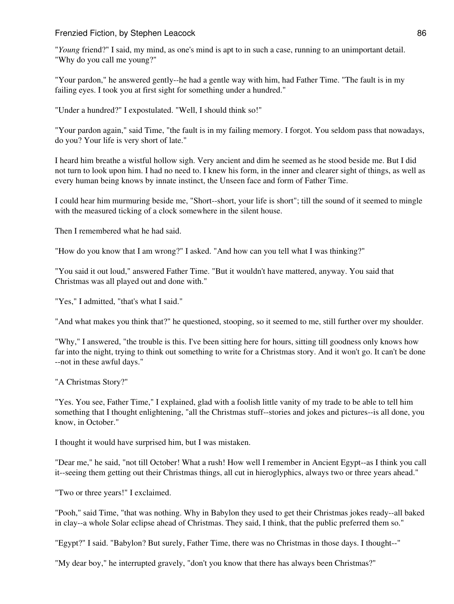"*Young* friend?" I said, my mind, as one's mind is apt to in such a case, running to an unimportant detail. "Why do you call me young?"

"Your pardon," he answered gently--he had a gentle way with him, had Father Time. "The fault is in my failing eyes. I took you at first sight for something under a hundred."

"Under a hundred?" I expostulated. "Well, I should think so!"

"Your pardon again," said Time, "the fault is in my failing memory. I forgot. You seldom pass that nowadays, do you? Your life is very short of late."

I heard him breathe a wistful hollow sigh. Very ancient and dim he seemed as he stood beside me. But I did not turn to look upon him. I had no need to. I knew his form, in the inner and clearer sight of things, as well as every human being knows by innate instinct, the Unseen face and form of Father Time.

I could hear him murmuring beside me, "Short--short, your life is short"; till the sound of it seemed to mingle with the measured ticking of a clock somewhere in the silent house.

Then I remembered what he had said.

"How do you know that I am wrong?" I asked. "And how can you tell what I was thinking?"

"You said it out loud," answered Father Time. "But it wouldn't have mattered, anyway. You said that Christmas was all played out and done with."

"Yes," I admitted, "that's what I said."

"And what makes you think that?" he questioned, stooping, so it seemed to me, still further over my shoulder.

"Why," I answered, "the trouble is this. I've been sitting here for hours, sitting till goodness only knows how far into the night, trying to think out something to write for a Christmas story. And it won't go. It can't be done --not in these awful days."

"A Christmas Story?"

"Yes. You see, Father Time," I explained, glad with a foolish little vanity of my trade to be able to tell him something that I thought enlightening, "all the Christmas stuff--stories and jokes and pictures--is all done, you know, in October."

I thought it would have surprised him, but I was mistaken.

"Dear me," he said, "not till October! What a rush! How well I remember in Ancient Egypt--as I think you call it--seeing them getting out their Christmas things, all cut in hieroglyphics, always two or three years ahead."

"Two or three years!" I exclaimed.

"Pooh," said Time, "that was nothing. Why in Babylon they used to get their Christmas jokes ready--all baked in clay--a whole Solar eclipse ahead of Christmas. They said, I think, that the public preferred them so."

"Egypt?" I said. "Babylon? But surely, Father Time, there was no Christmas in those days. I thought--"

"My dear boy," he interrupted gravely, "don't you know that there has always been Christmas?"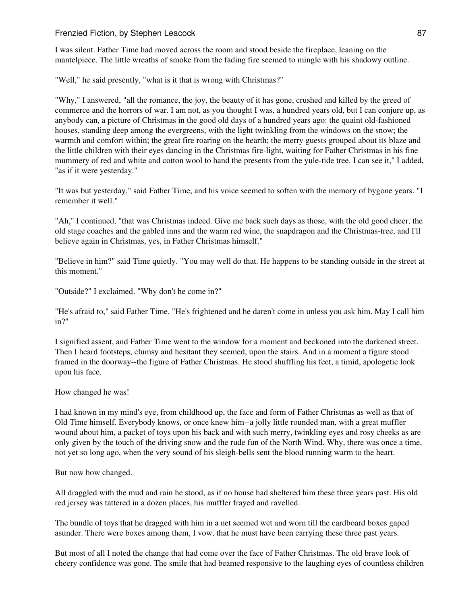I was silent. Father Time had moved across the room and stood beside the fireplace, leaning on the mantelpiece. The little wreaths of smoke from the fading fire seemed to mingle with his shadowy outline.

"Well," he said presently, "what is it that is wrong with Christmas?"

"Why," I answered, "all the romance, the joy, the beauty of it has gone, crushed and killed by the greed of commerce and the horrors of war. I am not, as you thought I was, a hundred years old, but I can conjure up, as anybody can, a picture of Christmas in the good old days of a hundred years ago: the quaint old-fashioned houses, standing deep among the evergreens, with the light twinkling from the windows on the snow; the warmth and comfort within; the great fire roaring on the hearth; the merry guests grouped about its blaze and the little children with their eyes dancing in the Christmas fire-light, waiting for Father Christmas in his fine mummery of red and white and cotton wool to hand the presents from the yule-tide tree. I can see it," I added, "as if it were yesterday."

"It was but yesterday," said Father Time, and his voice seemed to soften with the memory of bygone years. "I remember it well."

"Ah," I continued, "that was Christmas indeed. Give me back such days as those, with the old good cheer, the old stage coaches and the gabled inns and the warm red wine, the snapdragon and the Christmas-tree, and I'll believe again in Christmas, yes, in Father Christmas himself."

"Believe in him?" said Time quietly. "You may well do that. He happens to be standing outside in the street at this moment."

"Outside?" I exclaimed. "Why don't he come in?"

"He's afraid to," said Father Time. "He's frightened and he daren't come in unless you ask him. May I call him in?"

I signified assent, and Father Time went to the window for a moment and beckoned into the darkened street. Then I heard footsteps, clumsy and hesitant they seemed, upon the stairs. And in a moment a figure stood framed in the doorway--the figure of Father Christmas. He stood shuffling his feet, a timid, apologetic look upon his face.

How changed he was!

I had known in my mind's eye, from childhood up, the face and form of Father Christmas as well as that of Old Time himself. Everybody knows, or once knew him--a jolly little rounded man, with a great muffler wound about him, a packet of toys upon his back and with such merry, twinkling eyes and rosy cheeks as are only given by the touch of the driving snow and the rude fun of the North Wind. Why, there was once a time, not yet so long ago, when the very sound of his sleigh-bells sent the blood running warm to the heart.

But now how changed.

All draggled with the mud and rain he stood, as if no house had sheltered him these three years past. His old red jersey was tattered in a dozen places, his muffler frayed and ravelled.

The bundle of toys that he dragged with him in a net seemed wet and worn till the cardboard boxes gaped asunder. There were boxes among them, I vow, that he must have been carrying these three past years.

But most of all I noted the change that had come over the face of Father Christmas. The old brave look of cheery confidence was gone. The smile that had beamed responsive to the laughing eyes of countless children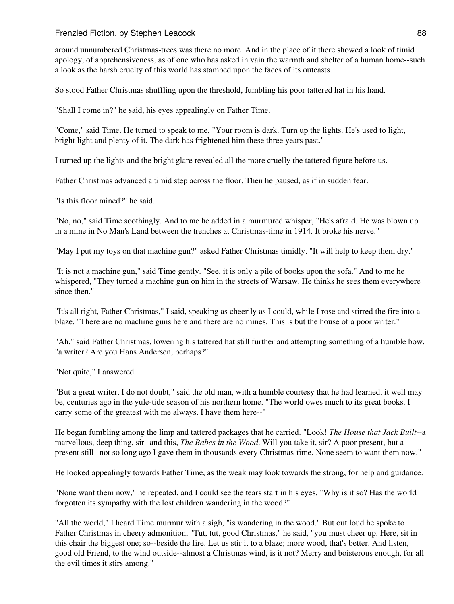around unnumbered Christmas-trees was there no more. And in the place of it there showed a look of timid apology, of apprehensiveness, as of one who has asked in vain the warmth and shelter of a human home--such a look as the harsh cruelty of this world has stamped upon the faces of its outcasts.

So stood Father Christmas shuffling upon the threshold, fumbling his poor tattered hat in his hand.

"Shall I come in?" he said, his eyes appealingly on Father Time.

"Come," said Time. He turned to speak to me, "Your room is dark. Turn up the lights. He's used to light, bright light and plenty of it. The dark has frightened him these three years past."

I turned up the lights and the bright glare revealed all the more cruelly the tattered figure before us.

Father Christmas advanced a timid step across the floor. Then he paused, as if in sudden fear.

"Is this floor mined?" he said.

"No, no," said Time soothingly. And to me he added in a murmured whisper, "He's afraid. He was blown up in a mine in No Man's Land between the trenches at Christmas-time in 1914. It broke his nerve."

"May I put my toys on that machine gun?" asked Father Christmas timidly. "It will help to keep them dry."

"It is not a machine gun," said Time gently. "See, it is only a pile of books upon the sofa." And to me he whispered, "They turned a machine gun on him in the streets of Warsaw. He thinks he sees them everywhere since then."

"It's all right, Father Christmas," I said, speaking as cheerily as I could, while I rose and stirred the fire into a blaze. "There are no machine guns here and there are no mines. This is but the house of a poor writer."

"Ah," said Father Christmas, lowering his tattered hat still further and attempting something of a humble bow, "a writer? Are you Hans Andersen, perhaps?"

"Not quite," I answered.

"But a great writer, I do not doubt," said the old man, with a humble courtesy that he had learned, it well may be, centuries ago in the yule-tide season of his northern home. "The world owes much to its great books. I carry some of the greatest with me always. I have them here--"

He began fumbling among the limp and tattered packages that he carried. "Look! *The House that Jack Built*--a marvellous, deep thing, sir--and this, *The Babes in the Wood*. Will you take it, sir? A poor present, but a present still--not so long ago I gave them in thousands every Christmas-time. None seem to want them now."

He looked appealingly towards Father Time, as the weak may look towards the strong, for help and guidance.

"None want them now," he repeated, and I could see the tears start in his eyes. "Why is it so? Has the world forgotten its sympathy with the lost children wandering in the wood?"

"All the world," I heard Time murmur with a sigh, "is wandering in the wood." But out loud he spoke to Father Christmas in cheery admonition, "Tut, tut, good Christmas," he said, "you must cheer up. Here, sit in this chair the biggest one; so--beside the fire. Let us stir it to a blaze; more wood, that's better. And listen, good old Friend, to the wind outside--almost a Christmas wind, is it not? Merry and boisterous enough, for all the evil times it stirs among."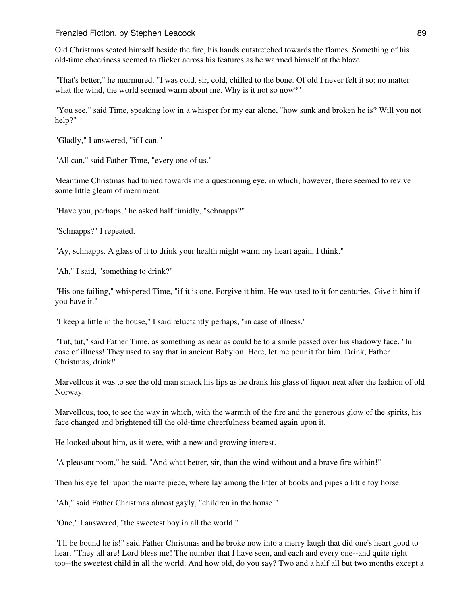Old Christmas seated himself beside the fire, his hands outstretched towards the flames. Something of his old-time cheeriness seemed to flicker across his features as he warmed himself at the blaze.

"That's better," he murmured. "I was cold, sir, cold, chilled to the bone. Of old I never felt it so; no matter what the wind, the world seemed warm about me. Why is it not so now?"

"You see," said Time, speaking low in a whisper for my ear alone, "how sunk and broken he is? Will you not help?"

"Gladly," I answered, "if I can."

"All can," said Father Time, "every one of us."

Meantime Christmas had turned towards me a questioning eye, in which, however, there seemed to revive some little gleam of merriment.

"Have you, perhaps," he asked half timidly, "schnapps?"

"Schnapps?" I repeated.

"Ay, schnapps. A glass of it to drink your health might warm my heart again, I think."

"Ah," I said, "something to drink?"

"His one failing," whispered Time, "if it is one. Forgive it him. He was used to it for centuries. Give it him if you have it."

"I keep a little in the house," I said reluctantly perhaps, "in case of illness."

"Tut, tut," said Father Time, as something as near as could be to a smile passed over his shadowy face. "In case of illness! They used to say that in ancient Babylon. Here, let me pour it for him. Drink, Father Christmas, drink!"

Marvellous it was to see the old man smack his lips as he drank his glass of liquor neat after the fashion of old Norway.

Marvellous, too, to see the way in which, with the warmth of the fire and the generous glow of the spirits, his face changed and brightened till the old-time cheerfulness beamed again upon it.

He looked about him, as it were, with a new and growing interest.

"A pleasant room," he said. "And what better, sir, than the wind without and a brave fire within!"

Then his eye fell upon the mantelpiece, where lay among the litter of books and pipes a little toy horse.

"Ah," said Father Christmas almost gayly, "children in the house!"

"One," I answered, "the sweetest boy in all the world."

"I'll be bound he is!" said Father Christmas and he broke now into a merry laugh that did one's heart good to hear. "They all are! Lord bless me! The number that I have seen, and each and every one--and quite right too--the sweetest child in all the world. And how old, do you say? Two and a half all but two months except a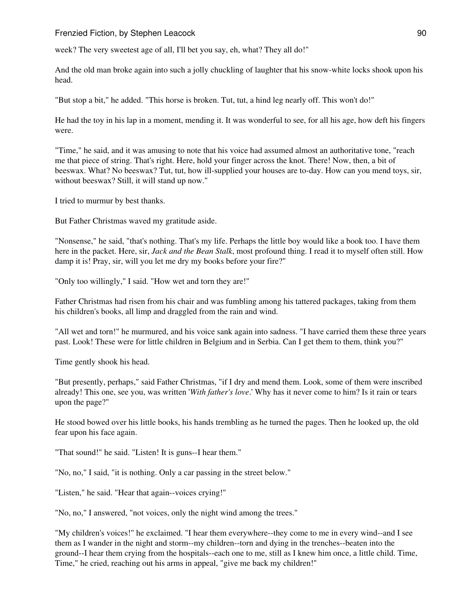week? The very sweetest age of all, I'll bet you say, eh, what? They all do!"

And the old man broke again into such a jolly chuckling of laughter that his snow-white locks shook upon his head.

"But stop a bit," he added. "This horse is broken. Tut, tut, a hind leg nearly off. This won't do!"

He had the toy in his lap in a moment, mending it. It was wonderful to see, for all his age, how deft his fingers were.

"Time," he said, and it was amusing to note that his voice had assumed almost an authoritative tone, "reach me that piece of string. That's right. Here, hold your finger across the knot. There! Now, then, a bit of beeswax. What? No beeswax? Tut, tut, how ill-supplied your houses are to-day. How can you mend toys, sir, without beeswax? Still, it will stand up now."

I tried to murmur by best thanks.

But Father Christmas waved my gratitude aside.

"Nonsense," he said, "that's nothing. That's my life. Perhaps the little boy would like a book too. I have them here in the packet. Here, sir, *Jack and the Bean Stalk*, most profound thing. I read it to myself often still. How damp it is! Pray, sir, will you let me dry my books before your fire?"

"Only too willingly," I said. "How wet and torn they are!"

Father Christmas had risen from his chair and was fumbling among his tattered packages, taking from them his children's books, all limp and draggled from the rain and wind.

"All wet and torn!" he murmured, and his voice sank again into sadness. "I have carried them these three years past. Look! These were for little children in Belgium and in Serbia. Can I get them to them, think you?"

Time gently shook his head.

"But presently, perhaps," said Father Christmas, "if I dry and mend them. Look, some of them were inscribed already! This one, see you, was written '*With father's love*.' Why has it never come to him? Is it rain or tears upon the page?"

He stood bowed over his little books, his hands trembling as he turned the pages. Then he looked up, the old fear upon his face again.

"That sound!" he said. "Listen! It is guns--I hear them."

"No, no," I said, "it is nothing. Only a car passing in the street below."

"Listen," he said. "Hear that again--voices crying!"

"No, no," I answered, "not voices, only the night wind among the trees."

"My children's voices!" he exclaimed. "I hear them everywhere--they come to me in every wind--and I see them as I wander in the night and storm--my children--torn and dying in the trenches--beaten into the ground--I hear them crying from the hospitals--each one to me, still as I knew him once, a little child. Time, Time," he cried, reaching out his arms in appeal, "give me back my children!"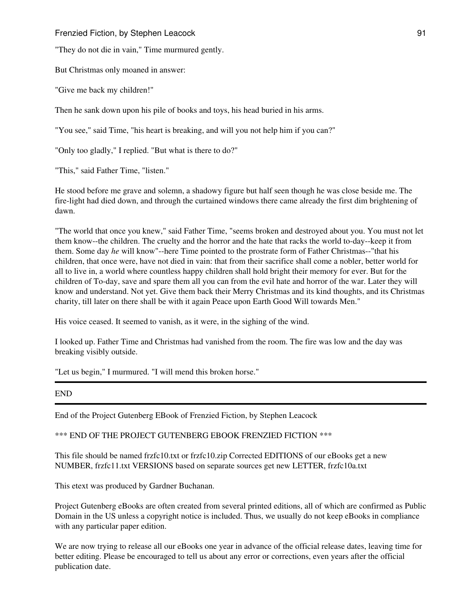"They do not die in vain," Time murmured gently.

But Christmas only moaned in answer:

"Give me back my children!"

Then he sank down upon his pile of books and toys, his head buried in his arms.

"You see," said Time, "his heart is breaking, and will you not help him if you can?"

"Only too gladly," I replied. "But what is there to do?"

"This," said Father Time, "listen."

He stood before me grave and solemn, a shadowy figure but half seen though he was close beside me. The fire-light had died down, and through the curtained windows there came already the first dim brightening of dawn.

"The world that once you knew," said Father Time, "seems broken and destroyed about you. You must not let them know--the children. The cruelty and the horror and the hate that racks the world to-day--keep it from them. Some day *he* will know"--here Time pointed to the prostrate form of Father Christmas--"that his children, that once were, have not died in vain: that from their sacrifice shall come a nobler, better world for all to live in, a world where countless happy children shall hold bright their memory for ever. But for the children of To-day, save and spare them all you can from the evil hate and horror of the war. Later they will know and understand. Not yet. Give them back their Merry Christmas and its kind thoughts, and its Christmas charity, till later on there shall be with it again Peace upon Earth Good Will towards Men."

His voice ceased. It seemed to vanish, as it were, in the sighing of the wind.

I looked up. Father Time and Christmas had vanished from the room. The fire was low and the day was breaking visibly outside.

"Let us begin," I murmured. "I will mend this broken horse."

END

End of the Project Gutenberg EBook of Frenzied Fiction, by Stephen Leacock

\*\*\* END OF THE PROJECT GUTENBERG EBOOK FRENZIED FICTION \*\*\*

This file should be named frzfc10.txt or frzfc10.zip Corrected EDITIONS of our eBooks get a new NUMBER, frzfc11.txt VERSIONS based on separate sources get new LETTER, frzfc10a.txt

This etext was produced by Gardner Buchanan.

Project Gutenberg eBooks are often created from several printed editions, all of which are confirmed as Public Domain in the US unless a copyright notice is included. Thus, we usually do not keep eBooks in compliance with any particular paper edition.

We are now trying to release all our eBooks one year in advance of the official release dates, leaving time for better editing. Please be encouraged to tell us about any error or corrections, even years after the official publication date.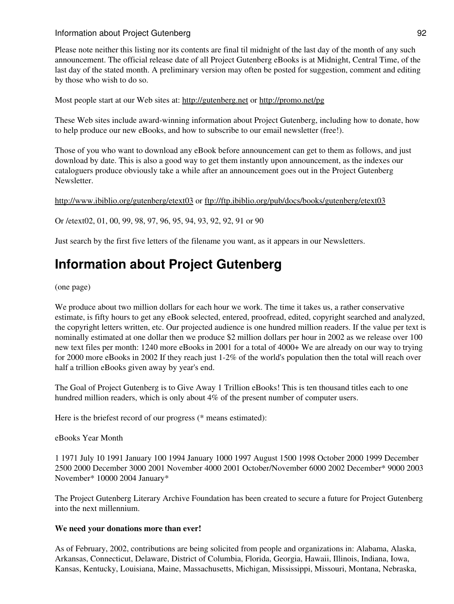# Information about Project Gutenberg 92

Please note neither this listing nor its contents are final til midnight of the last day of the month of any such announcement. The official release date of all Project Gutenberg eBooks is at Midnight, Central Time, of the last day of the stated month. A preliminary version may often be posted for suggestion, comment and editing by those who wish to do so.

Most people start at our Web sites at: <http://gutenberg.net> or <http://promo.net/pg>

These Web sites include award-winning information about Project Gutenberg, including how to donate, how to help produce our new eBooks, and how to subscribe to our email newsletter (free!).

Those of you who want to download any eBook before announcement can get to them as follows, and just download by date. This is also a good way to get them instantly upon announcement, as the indexes our cataloguers produce obviously take a while after an announcement goes out in the Project Gutenberg Newsletter.

<http://www.ibiblio.org/gutenberg/etext03>or<ftp://ftp.ibiblio.org/pub/docs/books/gutenberg/etext03>

Or /etext02, 01, 00, 99, 98, 97, 96, 95, 94, 93, 92, 92, 91 or 90

Just search by the first five letters of the filename you want, as it appears in our Newsletters.

# **Information about Project Gutenberg**

(one page)

We produce about two million dollars for each hour we work. The time it takes us, a rather conservative estimate, is fifty hours to get any eBook selected, entered, proofread, edited, copyright searched and analyzed, the copyright letters written, etc. Our projected audience is one hundred million readers. If the value per text is nominally estimated at one dollar then we produce \$2 million dollars per hour in 2002 as we release over 100 new text files per month: 1240 more eBooks in 2001 for a total of 4000+ We are already on our way to trying for 2000 more eBooks in 2002 If they reach just 1-2% of the world's population then the total will reach over half a trillion eBooks given away by year's end.

The Goal of Project Gutenberg is to Give Away 1 Trillion eBooks! This is ten thousand titles each to one hundred million readers, which is only about 4% of the present number of computer users.

Here is the briefest record of our progress (\* means estimated):

eBooks Year Month

1 1971 July 10 1991 January 100 1994 January 1000 1997 August 1500 1998 October 2000 1999 December 2500 2000 December 3000 2001 November 4000 2001 October/November 6000 2002 December\* 9000 2003 November\* 10000 2004 January\*

The Project Gutenberg Literary Archive Foundation has been created to secure a future for Project Gutenberg into the next millennium.

#### **We need your donations more than ever!**

As of February, 2002, contributions are being solicited from people and organizations in: Alabama, Alaska, Arkansas, Connecticut, Delaware, District of Columbia, Florida, Georgia, Hawaii, Illinois, Indiana, Iowa, Kansas, Kentucky, Louisiana, Maine, Massachusetts, Michigan, Mississippi, Missouri, Montana, Nebraska,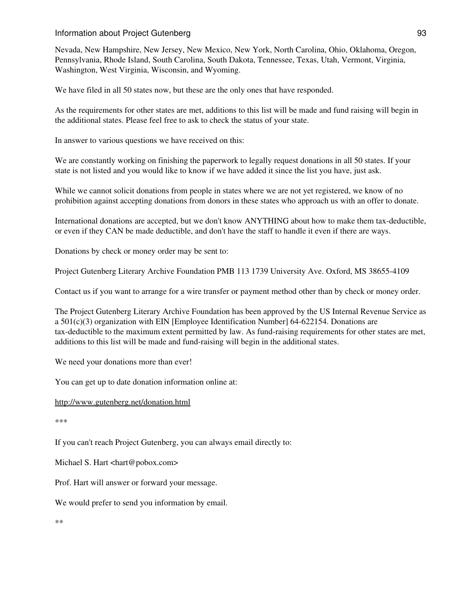### Information about Project Gutenberg 93

Nevada, New Hampshire, New Jersey, New Mexico, New York, North Carolina, Ohio, Oklahoma, Oregon, Pennsylvania, Rhode Island, South Carolina, South Dakota, Tennessee, Texas, Utah, Vermont, Virginia, Washington, West Virginia, Wisconsin, and Wyoming.

We have filed in all 50 states now, but these are the only ones that have responded.

As the requirements for other states are met, additions to this list will be made and fund raising will begin in the additional states. Please feel free to ask to check the status of your state.

In answer to various questions we have received on this:

We are constantly working on finishing the paperwork to legally request donations in all 50 states. If your state is not listed and you would like to know if we have added it since the list you have, just ask.

While we cannot solicit donations from people in states where we are not yet registered, we know of no prohibition against accepting donations from donors in these states who approach us with an offer to donate.

International donations are accepted, but we don't know ANYTHING about how to make them tax-deductible, or even if they CAN be made deductible, and don't have the staff to handle it even if there are ways.

Donations by check or money order may be sent to:

Project Gutenberg Literary Archive Foundation PMB 113 1739 University Ave. Oxford, MS 38655-4109

Contact us if you want to arrange for a wire transfer or payment method other than by check or money order.

The Project Gutenberg Literary Archive Foundation has been approved by the US Internal Revenue Service as a 501(c)(3) organization with EIN [Employee Identification Number] 64-622154. Donations are tax-deductible to the maximum extent permitted by law. As fund-raising requirements for other states are met, additions to this list will be made and fund-raising will begin in the additional states.

We need your donations more than ever!

You can get up to date donation information online at:

<http://www.gutenberg.net/donation.html>

\*\*\*

If you can't reach Project Gutenberg, you can always email directly to:

Michael S. Hart <hart@pobox.com>

Prof. Hart will answer or forward your message.

We would prefer to send you information by email.

\*\*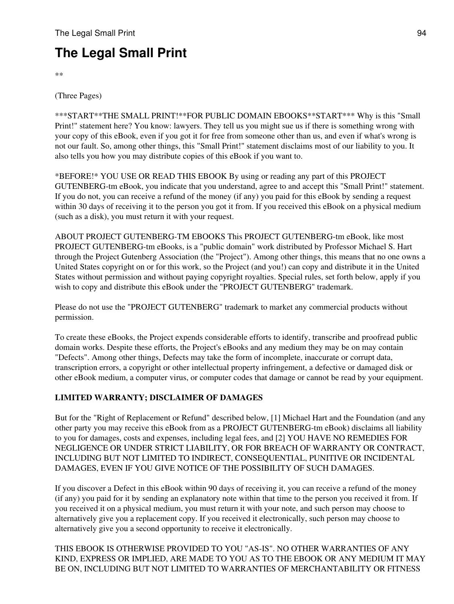# **The Legal Small Print**

\*\*

(Three Pages)

\*\*\*START\*\*THE SMALL PRINT!\*\*FOR PUBLIC DOMAIN EBOOKS\*\*START\*\*\* Why is this "Small Print!" statement here? You know: lawyers. They tell us you might sue us if there is something wrong with your copy of this eBook, even if you got it for free from someone other than us, and even if what's wrong is not our fault. So, among other things, this "Small Print!" statement disclaims most of our liability to you. It also tells you how you may distribute copies of this eBook if you want to.

\*BEFORE!\* YOU USE OR READ THIS EBOOK By using or reading any part of this PROJECT GUTENBERG-tm eBook, you indicate that you understand, agree to and accept this "Small Print!" statement. If you do not, you can receive a refund of the money (if any) you paid for this eBook by sending a request within 30 days of receiving it to the person you got it from. If you received this eBook on a physical medium (such as a disk), you must return it with your request.

ABOUT PROJECT GUTENBERG-TM EBOOKS This PROJECT GUTENBERG-tm eBook, like most PROJECT GUTENBERG-tm eBooks, is a "public domain" work distributed by Professor Michael S. Hart through the Project Gutenberg Association (the "Project"). Among other things, this means that no one owns a United States copyright on or for this work, so the Project (and you!) can copy and distribute it in the United States without permission and without paying copyright royalties. Special rules, set forth below, apply if you wish to copy and distribute this eBook under the "PROJECT GUTENBERG" trademark.

Please do not use the "PROJECT GUTENBERG" trademark to market any commercial products without permission.

To create these eBooks, the Project expends considerable efforts to identify, transcribe and proofread public domain works. Despite these efforts, the Project's eBooks and any medium they may be on may contain "Defects". Among other things, Defects may take the form of incomplete, inaccurate or corrupt data, transcription errors, a copyright or other intellectual property infringement, a defective or damaged disk or other eBook medium, a computer virus, or computer codes that damage or cannot be read by your equipment.

# **LIMITED WARRANTY; DISCLAIMER OF DAMAGES**

But for the "Right of Replacement or Refund" described below, [1] Michael Hart and the Foundation (and any other party you may receive this eBook from as a PROJECT GUTENBERG-tm eBook) disclaims all liability to you for damages, costs and expenses, including legal fees, and [2] YOU HAVE NO REMEDIES FOR NEGLIGENCE OR UNDER STRICT LIABILITY, OR FOR BREACH OF WARRANTY OR CONTRACT, INCLUDING BUT NOT LIMITED TO INDIRECT, CONSEQUENTIAL, PUNITIVE OR INCIDENTAL DAMAGES, EVEN IF YOU GIVE NOTICE OF THE POSSIBILITY OF SUCH DAMAGES.

If you discover a Defect in this eBook within 90 days of receiving it, you can receive a refund of the money (if any) you paid for it by sending an explanatory note within that time to the person you received it from. If you received it on a physical medium, you must return it with your note, and such person may choose to alternatively give you a replacement copy. If you received it electronically, such person may choose to alternatively give you a second opportunity to receive it electronically.

THIS EBOOK IS OTHERWISE PROVIDED TO YOU "AS-IS". NO OTHER WARRANTIES OF ANY KIND, EXPRESS OR IMPLIED, ARE MADE TO YOU AS TO THE EBOOK OR ANY MEDIUM IT MAY BE ON, INCLUDING BUT NOT LIMITED TO WARRANTIES OF MERCHANTABILITY OR FITNESS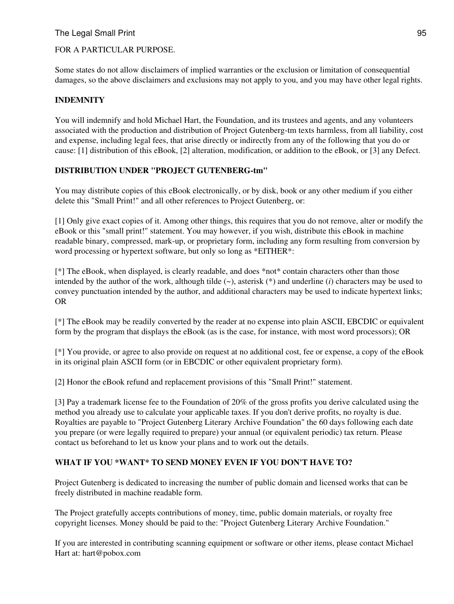# The Legal Small Print 95

## FOR A PARTICULAR PURPOSE.

Some states do not allow disclaimers of implied warranties or the exclusion or limitation of consequential damages, so the above disclaimers and exclusions may not apply to you, and you may have other legal rights.

# **INDEMNITY**

You will indemnify and hold Michael Hart, the Foundation, and its trustees and agents, and any volunteers associated with the production and distribution of Project Gutenberg-tm texts harmless, from all liability, cost and expense, including legal fees, that arise directly or indirectly from any of the following that you do or cause: [1] distribution of this eBook, [2] alteration, modification, or addition to the eBook, or [3] any Defect.

## **DISTRIBUTION UNDER "PROJECT GUTENBERG-tm"**

You may distribute copies of this eBook electronically, or by disk, book or any other medium if you either delete this "Small Print!" and all other references to Project Gutenberg, or:

[1] Only give exact copies of it. Among other things, this requires that you do not remove, alter or modify the eBook or this "small print!" statement. You may however, if you wish, distribute this eBook in machine readable binary, compressed, mark-up, or proprietary form, including any form resulting from conversion by word processing or hypertext software, but only so long as \*EITHER\*:

[\*] The eBook, when displayed, is clearly readable, and does \*not\* contain characters other than those intended by the author of the work, although tilde (~), asterisk (\*) and underline (*i*) characters may be used to convey punctuation intended by the author, and additional characters may be used to indicate hypertext links; OR

[\*] The eBook may be readily converted by the reader at no expense into plain ASCII, EBCDIC or equivalent form by the program that displays the eBook (as is the case, for instance, with most word processors); OR

[\*] You provide, or agree to also provide on request at no additional cost, fee or expense, a copy of the eBook in its original plain ASCII form (or in EBCDIC or other equivalent proprietary form).

[2] Honor the eBook refund and replacement provisions of this "Small Print!" statement.

[3] Pay a trademark license fee to the Foundation of 20% of the gross profits you derive calculated using the method you already use to calculate your applicable taxes. If you don't derive profits, no royalty is due. Royalties are payable to "Project Gutenberg Literary Archive Foundation" the 60 days following each date you prepare (or were legally required to prepare) your annual (or equivalent periodic) tax return. Please contact us beforehand to let us know your plans and to work out the details.

# **WHAT IF YOU \*WANT\* TO SEND MONEY EVEN IF YOU DON'T HAVE TO?**

Project Gutenberg is dedicated to increasing the number of public domain and licensed works that can be freely distributed in machine readable form.

The Project gratefully accepts contributions of money, time, public domain materials, or royalty free copyright licenses. Money should be paid to the: "Project Gutenberg Literary Archive Foundation."

If you are interested in contributing scanning equipment or software or other items, please contact Michael Hart at: hart@pobox.com